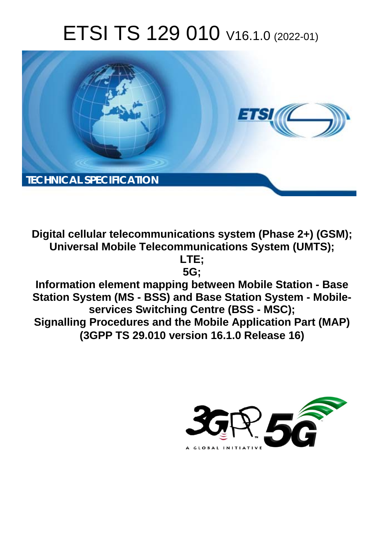# ETSI TS 129 010 V16.1.0 (2022-01)



**Digital cellular telecommunications system (Phase 2+) (GSM); Universal Mobile Telecommunications System (UMTS);** 

> **LTE; 5G;**

**Information element mapping between Mobile Station - Base Station System (MS - BSS) and Base Station System - Mobileservices Switching Centre (BSS - MSC); Signalling Procedures and the Mobile Application Part (MAP) (3GPP TS 29.010 version 16.1.0 Release 16)** 

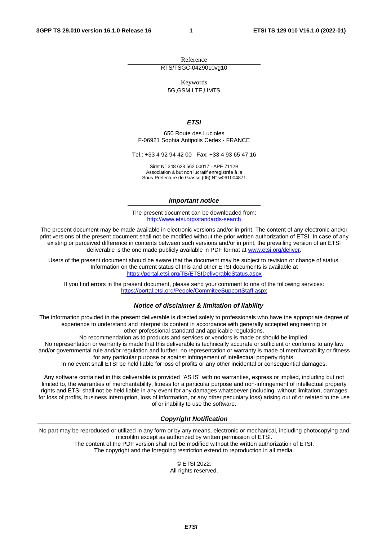Reference RTS/TSGC-0429010vg10

Keywords

5G,GSM,LTE,UMTS

#### *ETSI*

650 Route des Lucioles F-06921 Sophia Antipolis Cedex - FRANCE

Tel.: +33 4 92 94 42 00 Fax: +33 4 93 65 47 16

Siret N° 348 623 562 00017 - APE 7112B Association à but non lucratif enregistrée à la Sous-Préfecture de Grasse (06) N° w061004871

#### *Important notice*

The present document can be downloaded from: <http://www.etsi.org/standards-search>

The present document may be made available in electronic versions and/or in print. The content of any electronic and/or print versions of the present document shall not be modified without the prior written authorization of ETSI. In case of any existing or perceived difference in contents between such versions and/or in print, the prevailing version of an ETSI deliverable is the one made publicly available in PDF format at [www.etsi.org/deliver](http://www.etsi.org/deliver).

Users of the present document should be aware that the document may be subject to revision or change of status. Information on the current status of this and other ETSI documents is available at <https://portal.etsi.org/TB/ETSIDeliverableStatus.aspx>

If you find errors in the present document, please send your comment to one of the following services: <https://portal.etsi.org/People/CommiteeSupportStaff.aspx>

#### *Notice of disclaimer & limitation of liability*

The information provided in the present deliverable is directed solely to professionals who have the appropriate degree of experience to understand and interpret its content in accordance with generally accepted engineering or other professional standard and applicable regulations.

No recommendation as to products and services or vendors is made or should be implied.

No representation or warranty is made that this deliverable is technically accurate or sufficient or conforms to any law and/or governmental rule and/or regulation and further, no representation or warranty is made of merchantability or fitness for any particular purpose or against infringement of intellectual property rights.

In no event shall ETSI be held liable for loss of profits or any other incidental or consequential damages.

Any software contained in this deliverable is provided "AS IS" with no warranties, express or implied, including but not limited to, the warranties of merchantability, fitness for a particular purpose and non-infringement of intellectual property rights and ETSI shall not be held liable in any event for any damages whatsoever (including, without limitation, damages for loss of profits, business interruption, loss of information, or any other pecuniary loss) arising out of or related to the use of or inability to use the software.

#### *Copyright Notification*

No part may be reproduced or utilized in any form or by any means, electronic or mechanical, including photocopying and microfilm except as authorized by written permission of ETSI. The content of the PDF version shall not be modified without the written authorization of ETSI.

The copyright and the foregoing restriction extend to reproduction in all media.

© ETSI 2022. All rights reserved.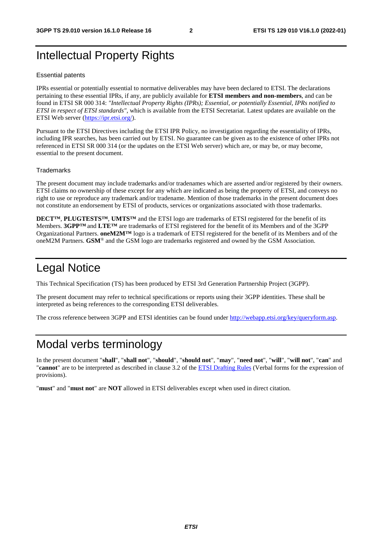# Intellectual Property Rights

#### Essential patents

IPRs essential or potentially essential to normative deliverables may have been declared to ETSI. The declarations pertaining to these essential IPRs, if any, are publicly available for **ETSI members and non-members**, and can be found in ETSI SR 000 314: *"Intellectual Property Rights (IPRs); Essential, or potentially Essential, IPRs notified to ETSI in respect of ETSI standards"*, which is available from the ETSI Secretariat. Latest updates are available on the ETSI Web server [\(https://ipr.etsi.org/](https://ipr.etsi.org/)).

Pursuant to the ETSI Directives including the ETSI IPR Policy, no investigation regarding the essentiality of IPRs, including IPR searches, has been carried out by ETSI. No guarantee can be given as to the existence of other IPRs not referenced in ETSI SR 000 314 (or the updates on the ETSI Web server) which are, or may be, or may become, essential to the present document.

#### **Trademarks**

The present document may include trademarks and/or tradenames which are asserted and/or registered by their owners. ETSI claims no ownership of these except for any which are indicated as being the property of ETSI, and conveys no right to use or reproduce any trademark and/or tradename. Mention of those trademarks in the present document does not constitute an endorsement by ETSI of products, services or organizations associated with those trademarks.

**DECT™**, **PLUGTESTS™**, **UMTS™** and the ETSI logo are trademarks of ETSI registered for the benefit of its Members. **3GPP™** and **LTE™** are trademarks of ETSI registered for the benefit of its Members and of the 3GPP Organizational Partners. **oneM2M™** logo is a trademark of ETSI registered for the benefit of its Members and of the oneM2M Partners. **GSM**® and the GSM logo are trademarks registered and owned by the GSM Association.

# Legal Notice

This Technical Specification (TS) has been produced by ETSI 3rd Generation Partnership Project (3GPP).

The present document may refer to technical specifications or reports using their 3GPP identities. These shall be interpreted as being references to the corresponding ETSI deliverables.

The cross reference between 3GPP and ETSI identities can be found under<http://webapp.etsi.org/key/queryform.asp>.

# Modal verbs terminology

In the present document "**shall**", "**shall not**", "**should**", "**should not**", "**may**", "**need not**", "**will**", "**will not**", "**can**" and "**cannot**" are to be interpreted as described in clause 3.2 of the [ETSI Drafting Rules](https://portal.etsi.org/Services/editHelp!/Howtostart/ETSIDraftingRules.aspx) (Verbal forms for the expression of provisions).

"**must**" and "**must not**" are **NOT** allowed in ETSI deliverables except when used in direct citation.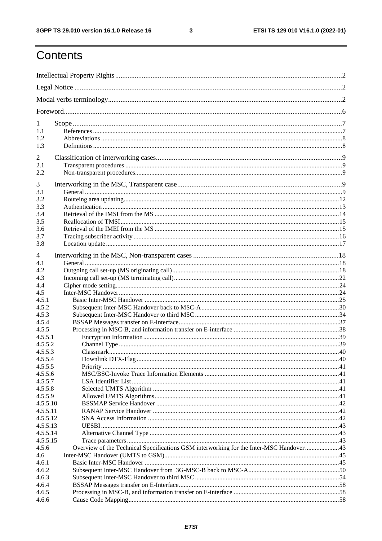$\mathbf{3}$ 

# Contents

| 1                  |                                                                                         |  |
|--------------------|-----------------------------------------------------------------------------------------|--|
| 1.1                |                                                                                         |  |
| 1.2                |                                                                                         |  |
| 1.3                |                                                                                         |  |
| 2                  |                                                                                         |  |
| 2.1                |                                                                                         |  |
| 2.2                |                                                                                         |  |
| 3                  |                                                                                         |  |
| 3.1                |                                                                                         |  |
| 3.2                |                                                                                         |  |
| 3.3                |                                                                                         |  |
| 3.4                |                                                                                         |  |
| 3.5                |                                                                                         |  |
| 3.6                |                                                                                         |  |
| 3.7                |                                                                                         |  |
| 3.8                |                                                                                         |  |
|                    |                                                                                         |  |
| $\overline{4}$     |                                                                                         |  |
| 4.1                |                                                                                         |  |
| 4.2                |                                                                                         |  |
| 4.3                |                                                                                         |  |
| 4.4                |                                                                                         |  |
| 4.5                |                                                                                         |  |
| 4.5.1              |                                                                                         |  |
| 4.5.2              |                                                                                         |  |
| 4.5.3              |                                                                                         |  |
| 4.5.4              |                                                                                         |  |
| 4.5.5              |                                                                                         |  |
| 4.5.5.1            |                                                                                         |  |
| 4.5.5.2            |                                                                                         |  |
| 4.5.5.3            |                                                                                         |  |
| 4.5.5.4            |                                                                                         |  |
| 4.5.5.5            |                                                                                         |  |
| 4.5.5.6<br>4.5.5.7 |                                                                                         |  |
|                    |                                                                                         |  |
| 4.5.5.8<br>4.5.5.9 |                                                                                         |  |
| 4.5.5.10           |                                                                                         |  |
| 4.5.5.11           |                                                                                         |  |
| 4.5.5.12           |                                                                                         |  |
| 4.5.5.13           |                                                                                         |  |
| 4.5.5.14           |                                                                                         |  |
| 4.5.5.15           |                                                                                         |  |
| 4.5.6              | Overview of the Technical Specifications GSM interworking for the Inter-MSC Handover 43 |  |
| 4.6                |                                                                                         |  |
| 4.6.1              |                                                                                         |  |
| 4.6.2              |                                                                                         |  |
| 4.6.3              |                                                                                         |  |
| 4.6.4              |                                                                                         |  |
| 4.6.5              |                                                                                         |  |
| 4.6.6              |                                                                                         |  |
|                    |                                                                                         |  |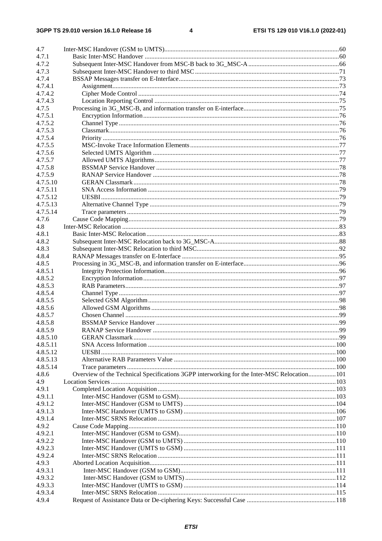| 4.7      |                                                                                            |  |
|----------|--------------------------------------------------------------------------------------------|--|
| 4.7.1    |                                                                                            |  |
| 4.7.2    |                                                                                            |  |
| 4.7.3    |                                                                                            |  |
| 4.7.4    |                                                                                            |  |
| 4.7.4.1  |                                                                                            |  |
| 4.7.4.2  |                                                                                            |  |
| 4.7.4.3  |                                                                                            |  |
| 4.7.5    |                                                                                            |  |
| 4.7.5.1  |                                                                                            |  |
| 4.7.5.2  |                                                                                            |  |
| 4.7.5.3  |                                                                                            |  |
| 4.7.5.4  |                                                                                            |  |
| 4.7.5.5  |                                                                                            |  |
| 4.7.5.6  |                                                                                            |  |
| 4.7.5.7  |                                                                                            |  |
| 4.7.5.8  |                                                                                            |  |
| 4.7.5.9  |                                                                                            |  |
| 4.7.5.10 |                                                                                            |  |
| 4.7.5.11 |                                                                                            |  |
| 4.7.5.12 |                                                                                            |  |
| 4.7.5.13 |                                                                                            |  |
| 4.7.5.14 |                                                                                            |  |
| 4.7.6    |                                                                                            |  |
| 4.8      |                                                                                            |  |
| 4.8.1    |                                                                                            |  |
| 4.8.2    |                                                                                            |  |
| 4.8.3    |                                                                                            |  |
| 4.8.4    |                                                                                            |  |
| 4.8.5    |                                                                                            |  |
| 4.8.5.1  |                                                                                            |  |
| 4.8.5.2  |                                                                                            |  |
| 4.8.5.3  |                                                                                            |  |
| 4.8.5.4  |                                                                                            |  |
| 4.8.5.5  |                                                                                            |  |
| 4.8.5.6  |                                                                                            |  |
| 4.8.5.7  |                                                                                            |  |
| 4.8.5.8  |                                                                                            |  |
| 4.8.5.9  |                                                                                            |  |
| 4.8.5.10 |                                                                                            |  |
| 4.8.5.11 |                                                                                            |  |
| 4.8.5.12 |                                                                                            |  |
| 4.8.5.13 |                                                                                            |  |
| 4.8.5.14 |                                                                                            |  |
| 4.8.6    | Overview of the Technical Specifications 3GPP interworking for the Inter-MSC Relocation101 |  |
| 4.9      |                                                                                            |  |
| 4.9.1    |                                                                                            |  |
| 4.9.1.1  |                                                                                            |  |
| 4.9.1.2  |                                                                                            |  |
| 4.9.1.3  |                                                                                            |  |
| 4.9.1.4  |                                                                                            |  |
| 4.9.2    |                                                                                            |  |
| 4.9.2.1  |                                                                                            |  |
| 4.9.2.2  |                                                                                            |  |
| 4.9.2.3  |                                                                                            |  |
| 4.9.2.4  |                                                                                            |  |
| 4.9.3    |                                                                                            |  |
| 4.9.3.1  |                                                                                            |  |
| 4.9.3.2  |                                                                                            |  |
| 4.9.3.3  |                                                                                            |  |
| 4.9.3.4  |                                                                                            |  |
| 4.9.4    |                                                                                            |  |
|          |                                                                                            |  |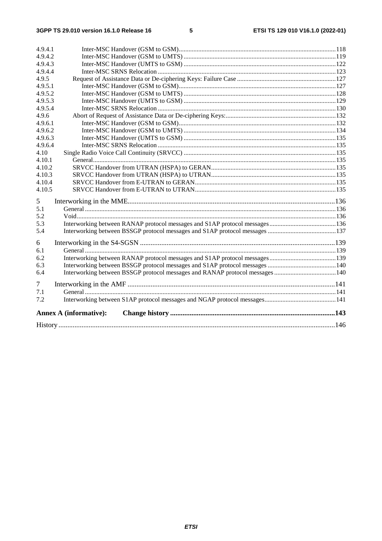|                    | <b>Annex A (informative):</b> |  |
|--------------------|-------------------------------|--|
| 7.2                |                               |  |
| 7.1                |                               |  |
| 7                  |                               |  |
| 6.4                |                               |  |
| 6.2<br>6.3         |                               |  |
| 6.1                |                               |  |
| 6                  |                               |  |
| 5.4                |                               |  |
| 5.3                |                               |  |
| 5.2                |                               |  |
| 5.1                |                               |  |
| 5                  |                               |  |
| 4.10.5             |                               |  |
| 4.10.4             |                               |  |
| 4.10.3             |                               |  |
| 4.10.2             |                               |  |
| 4.10.1             |                               |  |
| 4.10               |                               |  |
| 4.9.6.4            |                               |  |
| 4.9.6.3            |                               |  |
| 4.9.6.2            |                               |  |
| 4.9.6.1            |                               |  |
| 4.9.6              |                               |  |
| 4.9.5.3<br>4.9.5.4 |                               |  |
|                    |                               |  |
| 4.9.5.1<br>4.9.5.2 |                               |  |
| 4.9.5              |                               |  |
| 4.9.4.4            |                               |  |
| 4.9.4.3            |                               |  |
| 4.9.4.2            |                               |  |
| 4.9.4.1            |                               |  |
|                    |                               |  |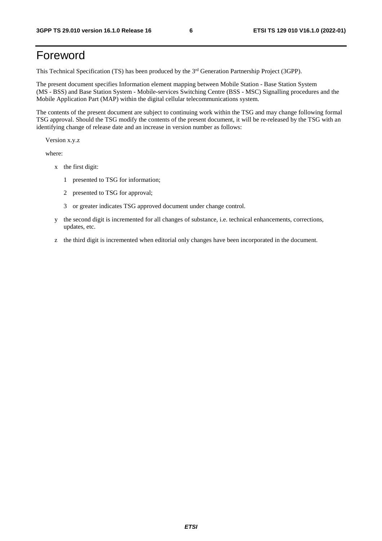# Foreword

This Technical Specification (TS) has been produced by the 3<sup>rd</sup> Generation Partnership Project (3GPP).

The present document specifies Information element mapping between Mobile Station - Base Station System (MS - BSS) and Base Station System - Mobile-services Switching Centre (BSS - MSC) Signalling procedures and the Mobile Application Part (MAP) within the digital cellular telecommunications system.

The contents of the present document are subject to continuing work within the TSG and may change following formal TSG approval. Should the TSG modify the contents of the present document, it will be re-released by the TSG with an identifying change of release date and an increase in version number as follows:

Version x.y.z

where:

- x the first digit:
	- 1 presented to TSG for information;
	- 2 presented to TSG for approval;
	- 3 or greater indicates TSG approved document under change control.
- y the second digit is incremented for all changes of substance, i.e. technical enhancements, corrections, updates, etc.
- z the third digit is incremented when editorial only changes have been incorporated in the document.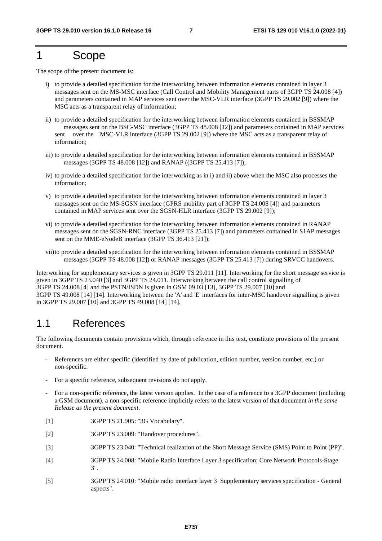# 1 Scope

The scope of the present document is:

- i) to provide a detailed specification for the interworking between information elements contained in layer 3 messages sent on the MS-MSC interface (Call Control and Mobility Management parts of 3GPP TS 24.008 [4]) and parameters contained in MAP services sent over the MSC-VLR interface (3GPP TS 29.002 [9]) where the MSC acts as a transparent relay of information;
- ii) to provide a detailed specification for the interworking between information elements contained in BSSMAP messages sent on the BSC-MSC interface (3GPP TS 48.008 [12]) and parameters contained in MAP services sent over the MSC-VLR interface (3GPP TS 29.002 [9]) where the MSC acts as a transparent relay of information;
- iii) to provide a detailed specification for the interworking between information elements contained in BSSMAP messages (3GPP TS 48.008 [12]) and RANAP ((3GPP TS 25.413 [7]);
- iv) to provide a detailed specification for the interworking as in i) and ii) above when the MSC also processes the information;
- v) to provide a detailed specification for the interworking between information elements contained in layer 3 messages sent on the MS-SGSN interface (GPRS mobility part of 3GPP TS 24.008 [4]) and parameters contained in MAP services sent over the SGSN-HLR interface (3GPP TS 29.002 [9]);
- vi) to provide a detailed specification for the interworking between information elements contained in RANAP messages sent on the SGSN-RNC interface (3GPP TS 25.413 [7]) and parameters contained in S1AP messages sent on the MME-eNodeB interface (3GPP TS 36.413 [21]);
- vii) to provide a detailed specification for the interworking between information elements contained in BSSMAP messages (3GPP TS 48.008 [12]) or RANAP messages (3GPP TS 25.413 [7]) during SRVCC handovers.

Interworking for supplementary services is given in 3GPP TS 29.011 [11]. Interworking for the short message service is given in 3GPP TS 23.040 [3] and 3GPP TS 24.011. Interworking between the call control signalling of 3GPP TS 24.008 [4] and the PSTN/ISDN is given in GSM 09.03 [13], 3GPP TS 29.007 [10] and 3GPP TS 49.008 [14] [14]. Interworking between the 'A' and 'E' interfaces for inter-MSC handover signalling is given in 3GPP TS 29.007 [10] and 3GPP TS 49.008 [14] [14].

### 1.1 References

The following documents contain provisions which, through reference in this text, constitute provisions of the present document.

- References are either specific (identified by date of publication, edition number, version number, etc.) or non-specific.
- For a specific reference, subsequent revisions do not apply.
- For a non-specific reference, the latest version applies. In the case of a reference to a 3GPP document (including a GSM document), a non-specific reference implicitly refers to the latest version of that document *in the same Release as the present document*.
- [1] 3GPP TS 21.905: "3G Vocabulary".
- [2] 3GPP TS 23.009: "Handover procedures".
- [3] 3GPP TS 23.040: "Technical realization of the Short Message Service (SMS) Point to Point (PP)".
- [4] 3GPP TS 24.008: "Mobile Radio Interface Layer 3 specification; Core Network Protocols-Stage 3".
- [5] 3GPP TS 24.010: "Mobile radio interface layer 3 Supplementary services specification General aspects".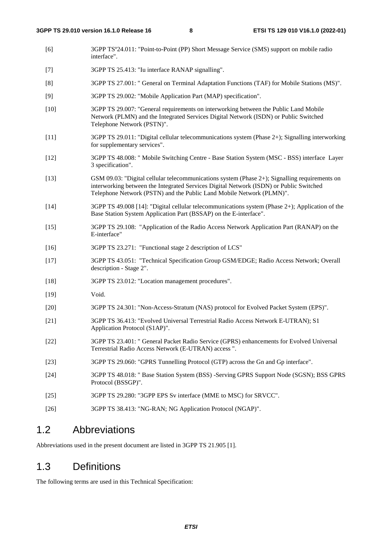- [6] 3GPP TSº24.011: "Point-to-Point (PP) Short Message Service (SMS) support on mobile radio interface".
- [7] 3GPP TS 25.413: "Iu interface RANAP signalling".
- [8] 3GPP TS 27.001: " General on Terminal Adaptation Functions (TAF) for Mobile Stations (MS)".
- [9] 3GPP TS 29.002: "Mobile Application Part (MAP) specification".
- [10] 3GPP TS 29.007: "General requirements on interworking between the Public Land Mobile Network (PLMN) and the Integrated Services Digital Network (ISDN) or Public Switched Telephone Network (PSTN)".
- [11] 3GPP TS 29.011: "Digital cellular telecommunications system (Phase 2+); Signalling interworking for supplementary services".
- [12] 3GPP TS 48.008: " Mobile Switching Centre Base Station System (MSC BSS) interface Layer 3 specification".
- [13] GSM 09.03: "Digital cellular telecommunications system (Phase 2+); Signalling requirements on interworking between the Integrated Services Digital Network (ISDN) or Public Switched Telephone Network (PSTN) and the Public Land Mobile Network (PLMN)".
- [14] 3GPP TS 49.008 [14]: "Digital cellular telecommunications system (Phase 2+); Application of the Base Station System Application Part (BSSAP) on the E-interface".
- [15] 3GPP TS 29.108: "Application of the Radio Access Network Application Part (RANAP) on the E-interface"
- [16] 3GPP TS 23.271: "Functional stage 2 description of LCS"
- [17] 3GPP TS 43.051: "Technical Specification Group GSM/EDGE; Radio Access Network; Overall description - Stage 2".
- [18] 3GPP TS 23.012: "Location management procedures".
- [19] Void.
- [20] 3GPP TS 24.301: "Non-Access-Stratum (NAS) protocol for Evolved Packet System (EPS)".
- [21] 3GPP TS 36.413: "Evolved Universal Terrestrial Radio Access Network E-UTRAN); S1 Application Protocol (S1AP)".
- [22] 3GPP TS 23.401: " General Packet Radio Service (GPRS) enhancements for Evolved Universal Terrestrial Radio Access Network (E-UTRAN) access ".
- [23] 3GPP TS 29.060: "GPRS Tunnelling Protocol (GTP) across the Gn and Gp interface".
- [24] 3GPP TS 48.018: " Base Station System (BSS) -Serving GPRS Support Node (SGSN); BSS GPRS Protocol (BSSGP)".
- [25] 3GPP TS 29.280: "3GPP EPS Sv interface (MME to MSC) for SRVCC".
- [26] 3GPP TS 38.413: "NG-RAN; NG Application Protocol (NGAP)".

### 1.2 Abbreviations

Abbreviations used in the present document are listed in 3GPP TS 21.905 [1].

# 1.3 Definitions

The following terms are used in this Technical Specification: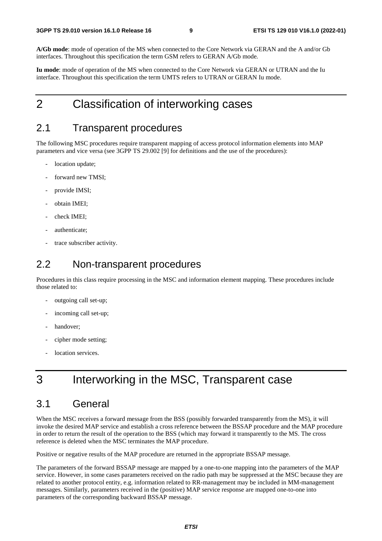**A/Gb mode**: mode of operation of the MS when connected to the Core Network via GERAN and the A and/or Gb interfaces. Throughout this specification the term GSM refers to GERAN A/Gb mode*.*

**Iu mode**: mode of operation of the MS when connected to the Core Network via GERAN or UTRAN and the Iu interface. Throughout this specification the term UMTS refers to UTRAN or GERAN Iu mode.

# 2 Classification of interworking cases

### 2.1 Transparent procedures

The following MSC procedures require transparent mapping of access protocol information elements into MAP parameters and vice versa (see 3GPP TS 29.002 [9] for definitions and the use of the procedures):

- location update;
- forward new TMSI;
- provide IMSI;
- obtain IMEI;
- check IMEI:
- authenticate:
- trace subscriber activity.

### 2.2 Non-transparent procedures

Procedures in this class require processing in the MSC and information element mapping. These procedures include those related to:

- outgoing call set-up;
- incoming call set-up;
- handover;
- cipher mode setting;
- location services.

# 3 Interworking in the MSC, Transparent case

# 3.1 General

When the MSC receives a forward message from the BSS (possibly forwarded transparently from the MS), it will invoke the desired MAP service and establish a cross reference between the BSSAP procedure and the MAP procedure in order to return the result of the operation to the BSS (which may forward it transparently to the MS. The cross reference is deleted when the MSC terminates the MAP procedure.

Positive or negative results of the MAP procedure are returned in the appropriate BSSAP message.

The parameters of the forward BSSAP message are mapped by a one-to-one mapping into the parameters of the MAP service. However, in some cases parameters received on the radio path may be suppressed at the MSC because they are related to another protocol entity, e.g. information related to RR-management may be included in MM-management messages. Similarly, parameters received in the (positive) MAP service response are mapped one-to-one into parameters of the corresponding backward BSSAP message.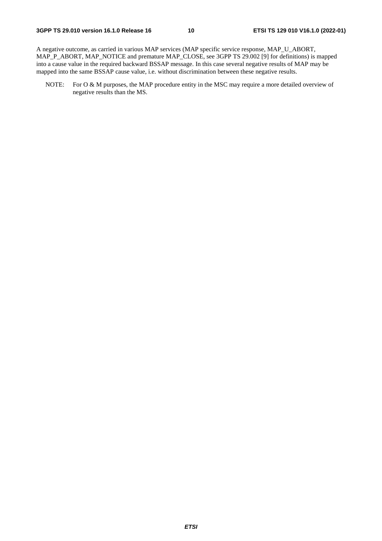A negative outcome, as carried in various MAP services (MAP specific service response, MAP\_U\_ABORT, MAP\_P\_ABORT, MAP\_NOTICE and premature MAP\_CLOSE, see 3GPP TS 29.002 [9] for definitions) is mapped into a cause value in the required backward BSSAP message. In this case several negative results of MAP may be mapped into the same BSSAP cause value, i.e. without discrimination between these negative results.

NOTE: For O & M purposes, the MAP procedure entity in the MSC may require a more detailed overview of negative results than the MS.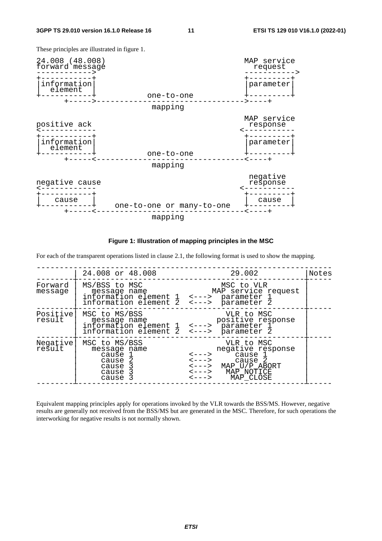These principles are illustrated in figure 1.



**Figure 1: Illustration of mapping principles in the MSC** 

For each of the transparent operations listed in clause 2.1, the following format is used to show the mapping.

|                    | 24.008 or 48.008                                                                                                    | 29.002                                                                                                                                                                                                                                                                    | Notes |
|--------------------|---------------------------------------------------------------------------------------------------------------------|---------------------------------------------------------------------------------------------------------------------------------------------------------------------------------------------------------------------------------------------------------------------------|-------|
| Forward<br>message | MS/BSS to MSC<br>message name<br>information element 1 <---> parameter 1<br>information element 2 <---> parameter 2 | MSC to VLR<br>MAP service request                                                                                                                                                                                                                                         |       |
| Positive<br>result | MSC to MS/BSS<br>message name<br>information element 1 <---> parameter 1<br>information element 2 <---> parameter 2 | VLR to MSC<br>positive response                                                                                                                                                                                                                                           |       |
| Negative<br>result | MSC to MS/BSS<br>message name<br>cause l<br>cause 2<br>cause 3<br>cause 3<br>cause 3                                | VLR to MSC<br>negative response<br>$\leftarrow \leftarrow \leftarrow$ cause 1<br>cause 2<br>$\leftarrow$ $\leftarrow$ $\rightarrow$<br>$\leftarrow$ ---> MAP U/P ABORT<br>$\leftarrow \leftarrow \rightarrow$ MAP NOTICE<br>$\leftarrow \leftarrow \rightarrow$ MAP CLOSE |       |

Equivalent mapping principles apply for operations invoked by the VLR towards the BSS/MS. However, negative results are generally not received from the BSS/MS but are generated in the MSC. Therefore, for such operations the interworking for negative results is not normally shown.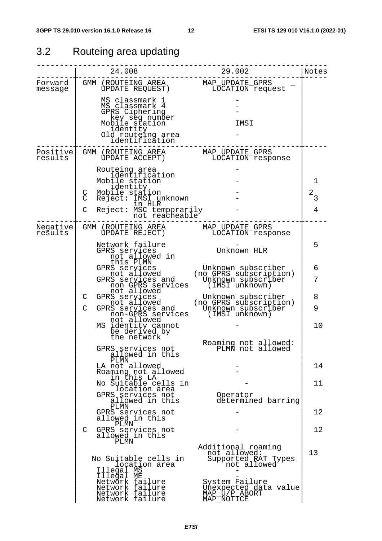# 3.2 Routeing area updating

|                      | 24.008                                                                                                                                                                                   | 29.002                                                                                                 | Notes                     |
|----------------------|------------------------------------------------------------------------------------------------------------------------------------------------------------------------------------------|--------------------------------------------------------------------------------------------------------|---------------------------|
| Forward<br>message   | GMM (ROUTEING AREA MAP_UPDATE_GPRS<br>UPDATE REQUEST) LOCATION request                                                                                                                   |                                                                                                        |                           |
|                      | MS classmark 1<br>MS classmark 4<br>GPRS Ciphering<br>key seq number<br>Mobile station<br>identity<br>Old routeing area<br>identification                                                | IMSI                                                                                                   |                           |
| Positive <br>results | GMM (ROUTEING AREA<br>ÙPDATE ACCEPT)                                                                                                                                                     | MAP_UPDATE GPRS<br>LOCATION response                                                                   |                           |
|                      | Routeing area<br>identification<br>Mobile station<br>identity<br>Mobile station<br>C<br>Reject: IMSI unknown<br>C<br>in HLR<br>$\mathsf{C}$<br>Reject: MSC temporarily<br>not reacheable |                                                                                                        | 1<br>$2\overline{3}$<br>4 |
| Negative<br>results  | GMM (ROUTEING AREA<br>UPDATE REJECT)                                                                                                                                                     | MAP_UPDATE_GPRS<br>LOCATION response                                                                   |                           |
|                      | Network failure<br>GPRS services<br>not allowed in                                                                                                                                       | Unknown HLR                                                                                            | 5                         |
|                      | this PLMN<br>GPRS services<br>not allowed<br>GPRS services and<br>non GPRS services                                                                                                      | Unknown subscriber<br>(no GPRS subscription)<br>Unknown subscriber<br>(IMSI unknown)                   | 6<br>7                    |
|                      | not allowed<br>C<br>GPRS services<br>not allowed<br>$\mathsf{C}$<br>non-GPRS services                                                                                                    | Unknown subscriber<br>(no GPRS subscription)<br>GPRS services and Unknown subscriber<br>(IMSI unknown) | 8<br>9                    |
|                      | not allowed<br>MS identity cannot<br>be derived by<br>the network                                                                                                                        |                                                                                                        | 10                        |
|                      | GPRS services not<br>allowed in this<br>PLMN                                                                                                                                             | Roaming not allowed:<br>PLMÑ not allowed                                                               |                           |
|                      | LA not allowed<br>Roaming not allowed<br>in this LA                                                                                                                                      |                                                                                                        | 14                        |
|                      | No Suitable cells in<br>location area<br>GPRS services not<br>allowed in this                                                                                                            | Operator<br>determined barring                                                                         | 11                        |
|                      | PLMN<br>GPRS services not<br>allowed in this                                                                                                                                             |                                                                                                        | 12                        |
|                      | PLMN<br>GPRS services not<br>C<br>allowed in this<br>PLMN                                                                                                                                |                                                                                                        | 12                        |
|                      | No Suitable cells in<br>location area<br>Illegal MS                                                                                                                                      | Additional roaming<br>not allowed:<br>Supported RAT Types<br>not allowed                               | 13                        |
|                      | Illeğal ME<br>Network failure<br>Network failure<br>Network failure<br>Network failure                                                                                                   | System Failure<br>Unexpected data value<br>MAP_U/P_ABORT<br>MAP NOTICE                                 |                           |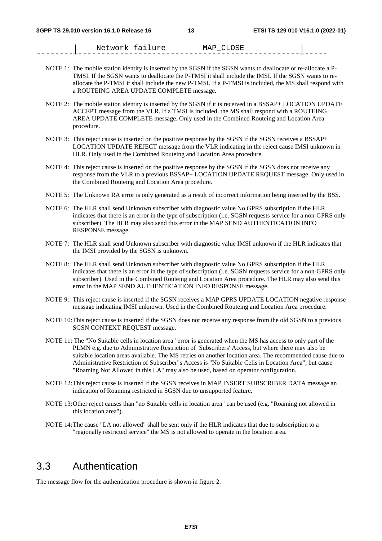Network failure MAP CLOSE --------┴------------------------------------------------┴-----

- NOTE 1: The mobile station identity is inserted by the SGSN if the SGSN wants to deallocate or re-allocate a P-TMSI. If the SGSN wants to deallocate the P-TMSI it shall include the IMSI. If the SGSN wants to reallocate the P-TMSI it shall include the new P-TMSI. If a P-TMSI is included, the MS shall respond with a ROUTEING AREA UPDATE COMPLETE message.
- NOTE 2: The mobile station identity is inserted by the SGSN if it is received in a BSSAP+ LOCATION UPDATE ACCEPT message from the VLR. If a TMSI is included, the MS shall respond with a ROUTEING AREA UPDATE COMPLETE message. Only used in the Combined Routeing and Location Area procedure.
- NOTE 3: This reject cause is inserted on the positive response by the SGSN if the SGSN receives a BSSAP+ LOCATION UPDATE REJECT message from the VLR indicating in the reject cause IMSI unknown in HLR. Only used in the Combined Routeing and Location Area procedure.
- NOTE 4: This reject cause is inserted on the positive response by the SGSN if the SGSN does not receive any response from the VLR to a previous BSSAP+ LOCATION UPDATE REQUEST message. Only used in the Combined Routeing and Location Area procedure.
- NOTE 5: The Unknown RA error is only generated as a result of incorrect information being inserted by the BSS.
- NOTE 6: The HLR shall send Unknown subscriber with diagnostic value No GPRS subscription if the HLR indicates that there is an error in the type of subscription (i.e. SGSN requests service for a non-GPRS only subscriber). The HLR may also send this error in the MAP SEND AUTHENTICATION INFO RESPONSE message.
- NOTE 7: The HLR shall send Unknown subscriber with diagnostic value IMSI unknown if the HLR indicates that the IMSI provided by the SGSN is unknown.
- NOTE 8: The HLR shall send Unknown subscriber with diagnostic value No GPRS subscription if the HLR indicates that there is an error in the type of subscription (i.e. SGSN requests service for a non-GPRS only subscriber). Used in the Combined Routeing and Location Area procedure. The HLR may also send this error in the MAP SEND AUTHENTICATION INFO RESPONSE message.
- NOTE 9: This reject cause is inserted if the SGSN receives a MAP GPRS UPDATE LOCATION negative response message indicating IMSI unknown. Used in the Combined Routeing and Location Area procedure.
- NOTE 10: This reject cause is inserted if the SGSN does not receive any response from the old SGSN to a previous SGSN CONTEXT REQUEST message.
- NOTE 11: The "No Suitable cells in location area" error is generated when the MS has access to only part of the PLMN e.g. due to Administrative Restriction of Subscribers' Access, but where there may also be suitable location areas available. The MS retries on another location area. The recommended cause due to Administrative Restriction of Subscriber"s Access is "No Suitable Cells in Location Area", but cause "Roaming Not Allowed in this LA" may also be used, based on operator configuration.
- NOTE 12: This reject cause is inserted if the SGSN receives in MAP INSERT SUBSCRIBER DATA message an indication of Roaming restricted in SGSN due to unsupported feature.
- NOTE 13: Other reject causes than "no Suitable cells in location area" can be used (e.g. "Roaming not allowed in this location area").
- NOTE 14: The cause "LA not allowed" shall be sent only if the HLR indicates that due to subscription to a "regionally restricted service" the MS is not allowed to operate in the location area.

### 3.3 Authentication

The message flow for the authentication procedure is shown in figure 2.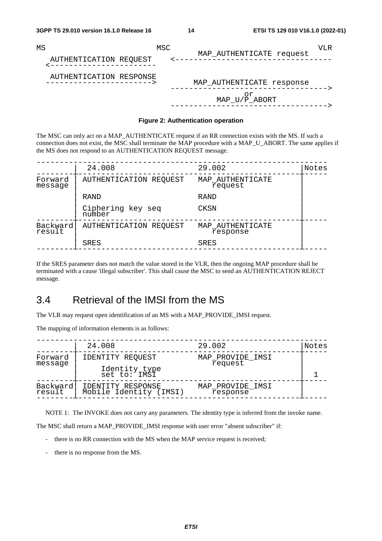| MS                      | MSC | VLR.                                       |
|-------------------------|-----|--------------------------------------------|
| AUTHENTICATION REQUEST  |     | MAP_AUTHENTICATE request                   |
| AUTHENTICATION RESPONSE |     | MAP_AUTHENTICATE response<br>MAP_U/P_ABORT |

#### **Figure 2: Authentication operation**

The MSC can only act on a MAP\_AUTHENTICATE request if an RR connection exists with the MS. If such a connection does not exist, the MSC shall terminate the MAP procedure with a MAP\_U\_ABORT. The same applies if the MS does not respond to an AUTHENTICATION REQUEST message.

|                    | 24.008                      | 29.002                       | Notes |
|--------------------|-----------------------------|------------------------------|-------|
| Forward<br>message | AUTHENTICATION REQUEST      | MAP_AUTHENTICATE<br>request  |       |
|                    | RAND                        | RAND                         |       |
|                    | Ciphering key seq<br>number | CKSN                         |       |
| Backward<br>result | AUTHENTICATION REQUEST      | MAP AUTHENTICATE<br>response |       |
|                    | SRES                        | <b>SRES</b>                  |       |

If the SRES parameter does not match the value stored in the VLR, then the ongoing MAP procedure shall be terminated with a cause 'illegal subscriber'. This shall cause the MSC to send an AUTHENTICATION REJECT message.

# 3.4 Retrieval of the IMSI from the MS

The VLR may request open identification of an MS with a MAP\_PROVIDE\_IMSI request.

The mapping of information elements is as follows:

|                    | 24.008                                      | 29.002                       | Notes |
|--------------------|---------------------------------------------|------------------------------|-------|
| Forward<br>message | IDENTITY REQUEST                            | MAP_PROVIDE_IMSI<br>request  |       |
|                    | Identity type<br>set to: IMSI               |                              |       |
| Backward<br>result | IDENTITY RESPONSE<br>Mobile Identity (IMSI) | MAP_PROVIDE_IMSI<br>response |       |
|                    |                                             |                              |       |

NOTE 1: The INVOKE does not carry any parameters. The identity type is inferred from the invoke name.

The MSC shall return a MAP\_PROVIDE\_IMSI response with user error "absent subscriber" if:

- there is no RR connection with the MS when the MAP service request is received;
- there is no response from the MS.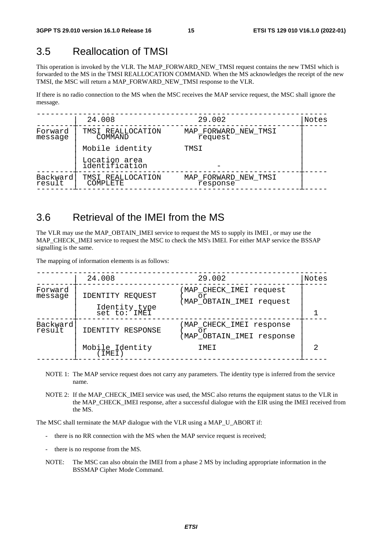# 3.5 Reallocation of TMSI

This operation is invoked by the VLR. The MAP\_FORWARD\_NEW\_TMSI request contains the new TMSI which is forwarded to the MS in the TMSI REALLOCATION COMMAND. When the MS acknowledges the receipt of the new TMSI, the MSC will return a MAP\_FORWARD\_NEW\_TMSI response to the VLR.

If there is no radio connection to the MS when the MSC receives the MAP service request, the MSC shall ignore the message.

|                    | 24.008                          | 29.002                           | Notes |
|--------------------|---------------------------------|----------------------------------|-------|
| Forward<br>message | TMSI REALLOCATION<br>COMMAND    | MAP FORWARD NEW TMSI<br>request  |       |
|                    | Mobile identity                 | TMSI                             |       |
|                    | Location area<br>identification |                                  |       |
| Backward<br>result | TMSI REALLOCATION<br>COMPLETE   | MAP_FORWARD_NEW_TMSI<br>response |       |
|                    |                                 |                                  |       |

## 3.6 Retrieval of the IMEI from the MS

The VLR may use the MAP\_OBTAIN\_IMEI service to request the MS to supply its IMEI , or may use the MAP\_CHECK\_IMEI service to request the MSC to check the MS's IMEI. For either MAP service the BSSAP signalling is the same.

The mapping of information elements is as follows:

|                    | 24.008                                                | 29.002                                                            | Notes |
|--------------------|-------------------------------------------------------|-------------------------------------------------------------------|-------|
| Forward<br>message | IDENTITY REQUEST<br>Identity type<br>$set$ to: $INET$ | MAP_CHECK_IMEI request<br>or<br>MAP_OBTAIN_IMEI request           |       |
| Backward<br>result | IDENTITY RESPONSE<br>Mobile Identity<br>(IMEI)        | MAP CHECK IMEI response<br>or<br>MAP_OBTAIN_IMEI response<br>TMET |       |
|                    |                                                       |                                                                   |       |

- NOTE 1: The MAP service request does not carry any parameters. The identity type is inferred from the service name.
- NOTE 2: If the MAP\_CHECK\_IMEI service was used, the MSC also returns the equipment status to the VLR in the MAP\_CHECK\_IMEI response, after a successful dialogue with the EIR using the IMEI received from the MS.

The MSC shall terminate the MAP dialogue with the VLR using a MAP\_U\_ABORT if:

- there is no RR connection with the MS when the MAP service request is received;
- there is no response from the MS.
- NOTE: The MSC can also obtain the IMEI from a phase 2 MS by including appropriate information in the BSSMAP Cipher Mode Command.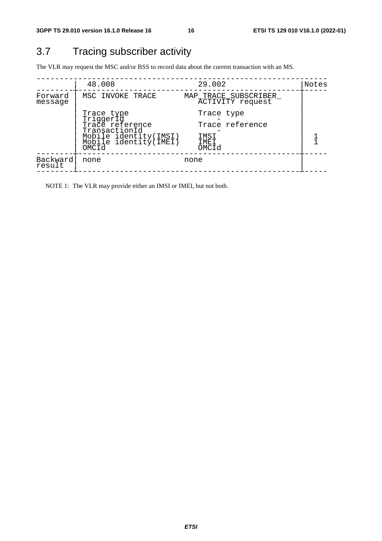# 3.7 Tracing subscriber activity

The VLR may request the MSC and/or BSS to record data about the current transaction with an MS.

| 29.002<br>48.008<br>MSC INVOKE TRACE<br>Forward<br>MAP_TRACE_SUBSCRIBER_<br>ACTIVITY request<br>message<br>Trace type<br>Trace type<br>TriggerId<br>Trace reference<br>Trace reference<br>TransactionId<br>Mobile identity(IMSI)<br>Mobile identity(IMEI)<br>IMSI<br>IMEI<br>OMCId<br>OMCId |          |      |      |       |
|---------------------------------------------------------------------------------------------------------------------------------------------------------------------------------------------------------------------------------------------------------------------------------------------|----------|------|------|-------|
|                                                                                                                                                                                                                                                                                             |          |      |      | Notes |
|                                                                                                                                                                                                                                                                                             |          |      |      |       |
|                                                                                                                                                                                                                                                                                             |          |      |      |       |
| result                                                                                                                                                                                                                                                                                      | Backward | none | none |       |

NOTE 1: The VLR may provide either an IMSI or IMEI, but not both.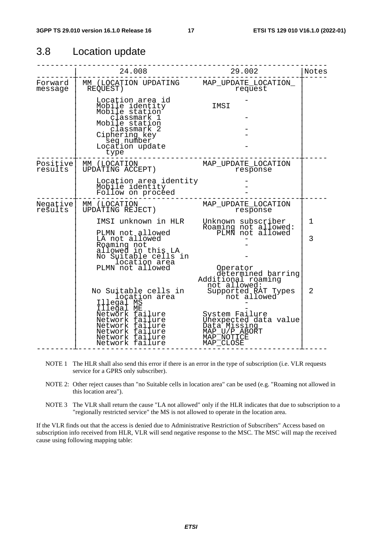### 3.8 Location update

|                     | 24.008                                                                                                         | 29.002                                                                                              | Notes |
|---------------------|----------------------------------------------------------------------------------------------------------------|-----------------------------------------------------------------------------------------------------|-------|
| Forward<br>message  | MM (LOCATION UPDATING MAP_UPDATE_LOCATION_<br>REQUEST)                                                         | request                                                                                             |       |
|                     | Location area id<br>Mobile identity<br>Mobile station<br>classmark 1                                           | IMSI                                                                                                |       |
|                     | Mobile station<br>classmark 2<br>Ciphering key<br>seq number                                                   |                                                                                                     |       |
|                     | Location update<br>type                                                                                        |                                                                                                     |       |
| Positive<br>results | MM (LOCATION<br>UPDATING ACCEPT)                                                                               | MAP_UPDATE_LOCATION<br>response                                                                     |       |
|                     | Location area identity<br>Mobile identity<br>Follow on proceed                                                 |                                                                                                     |       |
| Negative<br>results | MM (LOCATION<br>UPDATING REJECT)                                                                               | MAP_UPDATE_LOCATION<br>response                                                                     |       |
|                     | IMSI unknown in HLR                                                                                            | Unknown subscriber<br>Roaming not allowed:<br>PLMN not allowed                                      | 1     |
|                     | PLMN not allowed<br>LA not allowed<br>Roaming not<br>allowed in this LA                                        |                                                                                                     | 3     |
|                     | No Suitable cells in<br>location area<br>PLMN not allowed                                                      |                                                                                                     |       |
|                     |                                                                                                                | Operator<br>determined barring<br>Additional roaming<br>not allowed:                                |       |
|                     | No Suitable cells in<br>location area<br>Illegal MS<br>Illegal ME                                              | Supported RAT Types<br>not allowed                                                                  | 2     |
|                     | Network failure<br>Network failure<br>Network failure<br>Network failure<br>Network failure<br>Network failure | System Failure<br>Unexpected data value<br>Data Missing<br>MAP_U/P_ABORT<br>MAP_NOTICE<br>MAP CLOSE |       |

- NOTE 1 The HLR shall also send this error if there is an error in the type of subscription (i.e. VLR requests service for a GPRS only subscriber).
- NOTE 2: Other reject causes than "no Suitable cells in location area" can be used (e.g. "Roaming not allowed in this location area").
- NOTE 3 The VLR shall return the cause "LA not allowed" only if the HLR indicates that due to subscription to a "regionally restricted service" the MS is not allowed to operate in the location area.

If the VLR finds out that the access is denied due to Administrative Restriction of Subscribers" Access based on subscription info received from HLR, VLR will send negative response to the MSC. The MSC will map the received cause using following mapping table: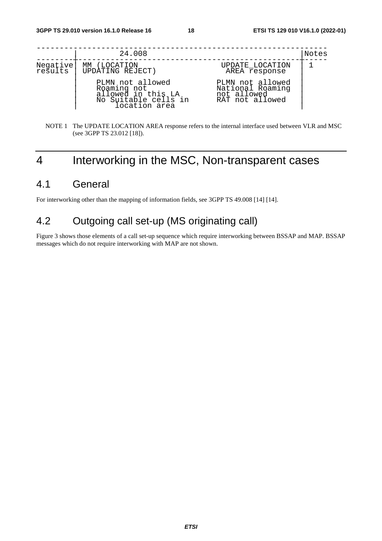|                     | 24.008                                                                                         |                                                                        | Notes |
|---------------------|------------------------------------------------------------------------------------------------|------------------------------------------------------------------------|-------|
|                     |                                                                                                |                                                                        |       |
| Negative<br>results | MM (LOCATION<br>UPDATING REJECT)                                                               | UPDATE_LOCATION<br>AREA response                                       |       |
|                     | PLMN not allowed<br>Roaming not<br>allowed in this LA<br>No Suitable cells in<br>location area | PLMN not allowed<br>National Roaming<br>not allowed<br>RAT not allowed |       |

#### NOTE 1 The UPDATE LOCATION AREA response refers to the internal interface used between VLR and MSC (see 3GPP TS 23.012 [18]).

# 4 Interworking in the MSC, Non-transparent cases

## 4.1 General

For interworking other than the mapping of information fields, see 3GPP TS 49.008 [14] [14].

### 4.2 Outgoing call set-up (MS originating call)

Figure 3 shows those elements of a call set-up sequence which require interworking between BSSAP and MAP. BSSAP messages which do not require interworking with MAP are not shown.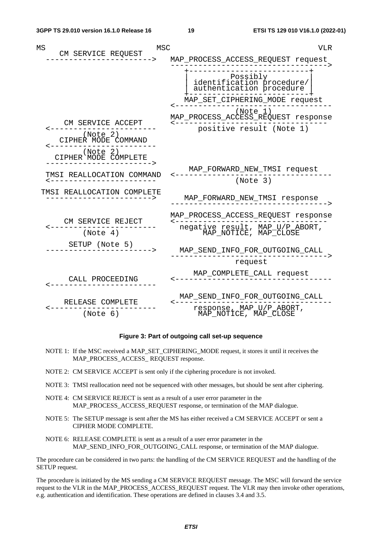| MS<br>MSC                                                                                | <b>VLR</b>                                                                                                                            |
|------------------------------------------------------------------------------------------|---------------------------------------------------------------------------------------------------------------------------------------|
| CM SERVICE REQUEST                                                                       | MAP_PROCESS_ACCESS_REQUEST request                                                                                                    |
|                                                                                          | Possibly<br>  identification procedure<br>  authentication procedure<br>MAP_SET_CIPHERING_MODE_request<br>(Note 1)                    |
| CM SERVICE ACCEPT<br>(Note 2)<br>CIPHER MODE COMMAND<br>(Note 2)<br>CIPHER MODE COMPLETE | MAP_PROCESS_ACCESS_REQUEST response<br>positive result (Note 1)                                                                       |
| TMSI REALLOCATION COMMAND                                                                | MAP_FORWARD_NEW_TMSI request<br>(Note 3)                                                                                              |
| TMSI REALLOCATION COMPLETE                                                               | MAP_FORWARD_NEW_TMSI response                                                                                                         |
| CM SERVICE REJECT<br>(Note 4)                                                            | MAP_PROCESS_ACCESS_REQUEST_response<br><---------------------------------<br>negative_result,_MAP_U/P_ABORT,<br>MAP_NOTICE,_MAP_CLOSE |
| SETUP (Note 5)                                                                           | MAP_SEND_INFO_FOR_OUTGOING_CALL                                                                                                       |
|                                                                                          | request                                                                                                                               |
| CALL PROCEEDING                                                                          | MAP_COMPLETE_CALL_request                                                                                                             |
| RELEASE COMPLETE<br>(Note 6)                                                             | MAP_SEND_INFO_FOR_OUTGOING_CALL<br>response, MAP_U/P_ABORT,<br>MAP_NOTICE, MAP_CLOSE                                                  |

#### **Figure 3: Part of outgoing call set-up sequence**

- NOTE 1: If the MSC received a MAP\_SET\_CIPHERING\_MODE request, it stores it until it receives the MAP\_PROCESS\_ACCESS\_ REQUEST response.
- NOTE 2: CM SERVICE ACCEPT is sent only if the ciphering procedure is not invoked.
- NOTE 3: TMSI reallocation need not be sequenced with other messages, but should be sent after ciphering.
- NOTE 4: CM SERVICE REJECT is sent as a result of a user error parameter in the MAP\_PROCESS\_ACCESS\_REQUEST response, or termination of the MAP dialogue.
- NOTE 5: The SETUP message is sent after the MS has either received a CM SERVICE ACCEPT or sent a CIPHER MODE COMPLETE.
- NOTE 6: RELEASE COMPLETE is sent as a result of a user error parameter in the MAP\_SEND\_INFO\_FOR\_OUTGOING\_CALL response, or termination of the MAP dialogue.

The procedure can be considered in two parts: the handling of the CM SERVICE REQUEST and the handling of the SETUP request.

The procedure is initiated by the MS sending a CM SERVICE REQUEST message. The MSC will forward the service request to the VLR in the MAP\_PROCESS\_ACCESS\_REQUEST request. The VLR may then invoke other operations, e.g. authentication and identification. These operations are defined in clauses 3.4 and 3.5.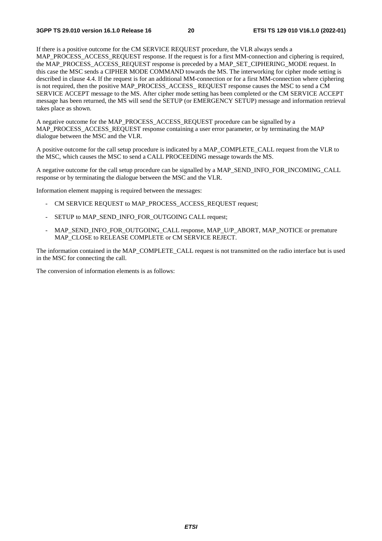If there is a positive outcome for the CM SERVICE REQUEST procedure, the VLR always sends a MAP\_PROCESS\_ACCESS\_REQUEST response. If the request is for a first MM-connection and ciphering is required, the MAP\_PROCESS\_ACCESS\_REQUEST response is preceded by a MAP\_SET\_CIPHERING\_MODE request. In this case the MSC sends a CIPHER MODE COMMAND towards the MS. The interworking for cipher mode setting is described in clause 4.4. If the request is for an additional MM-connection or for a first MM-connection where ciphering is not required, then the positive MAP\_PROCESS\_ACCESS\_REQUEST response causes the MSC to send a CM SERVICE ACCEPT message to the MS. After cipher mode setting has been completed or the CM SERVICE ACCEPT message has been returned, the MS will send the SETUP (or EMERGENCY SETUP) message and information retrieval takes place as shown.

A negative outcome for the MAP\_PROCESS\_ACCESS\_REQUEST procedure can be signalled by a MAP\_PROCESS\_ACCESS\_REQUEST response containing a user error parameter, or by terminating the MAP dialogue between the MSC and the VLR.

A positive outcome for the call setup procedure is indicated by a MAP\_COMPLETE\_CALL request from the VLR to the MSC, which causes the MSC to send a CALL PROCEEDING message towards the MS.

A negative outcome for the call setup procedure can be signalled by a MAP\_SEND\_INFO\_FOR\_INCOMING\_CALL response or by terminating the dialogue between the MSC and the VLR.

Information element mapping is required between the messages:

- CM SERVICE REQUEST to MAP\_PROCESS\_ACCESS\_REQUEST request;
- SETUP to MAP\_SEND\_INFO\_FOR\_OUTGOING CALL request;
- MAP\_SEND\_INFO\_FOR\_OUTGOING\_CALL response, MAP\_U/P\_ABORT, MAP\_NOTICE or premature MAP\_CLOSE to RELEASE COMPLETE or CM SERVICE REJECT.

The information contained in the MAP\_COMPLETE\_CALL request is not transmitted on the radio interface but is used in the MSC for connecting the call.

The conversion of information elements is as follows: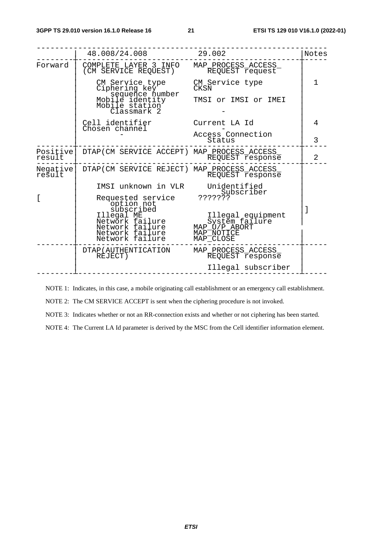|                    | 48.008/24.008                                                                                        | 29.002                                                                          | Notes          |
|--------------------|------------------------------------------------------------------------------------------------------|---------------------------------------------------------------------------------|----------------|
| Forward            | COMPLETE LAYER 3 INFO<br>(CM SERVICE REQUEST)                                                        | MAP_PROCESS_ACCESS_<br>REQUEST request                                          |                |
|                    | CM Service type<br>Ciphering key<br>sequence number                                                  | CM Service type<br><b>CKSN</b>                                                  | $\mathbf 1$    |
|                    | Mobile identity<br>Mobile station<br>Classmark 2                                                     | TMSI or IMSI or IMEI                                                            |                |
|                    | Cell identifier<br>Chosen channel                                                                    | Current LA Id                                                                   | 4              |
|                    |                                                                                                      | Access Connection<br>Status                                                     | 3              |
| Positive<br>result | DTAP (CM SERVICE ACCEPT) MAP_PROCESS_ACCESS_                                                         | REQUEST Fesponse                                                                | $\overline{2}$ |
| Negative<br>result | DTAP (CM SERVICE REJECT) MAP_PROCESS_ACCESS_                                                         | REQUEST response                                                                |                |
|                    | IMSI unknown in VLR                                                                                  | Unidentified<br>Subscriber                                                      |                |
|                    | Requested service<br>option not                                                                      | ???????                                                                         |                |
|                    | subscribed<br>Illegal ME<br>Network failure<br>Network failure<br>Network failure<br>Network failure | Illegal equipment<br>System failure<br>MAP_U/P_ABORT<br>MAP NOTICE<br>MAP CLOSE |                |
|                    | DTAP (AUTHENTICATION<br>REJECT)                                                                      | MAP_PROCESS_ACCESS_<br>REQUEST response                                         |                |
|                    |                                                                                                      | Illegal subscriber                                                              |                |

NOTE 1: Indicates, in this case, a mobile originating call establishment or an emergency call establishment.

NOTE 2: The CM SERVICE ACCEPT is sent when the ciphering procedure is not invoked.

NOTE 3: Indicates whether or not an RR-connection exists and whether or not ciphering has been started.

NOTE 4: The Current LA Id parameter is derived by the MSC from the Cell identifier information element.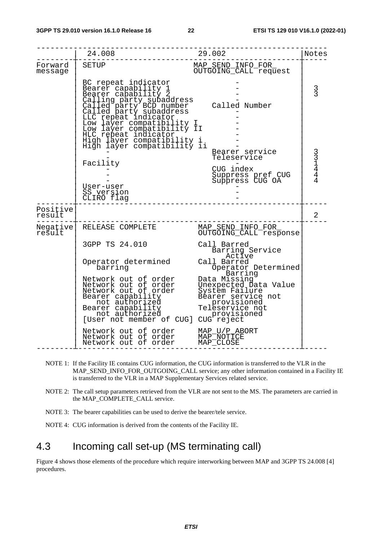|                    | 24.008                                                                                                                                                                                                                                                                                                                                                                             | 29.002                                                                                                                                                                                                                      | Notes          |
|--------------------|------------------------------------------------------------------------------------------------------------------------------------------------------------------------------------------------------------------------------------------------------------------------------------------------------------------------------------------------------------------------------------|-----------------------------------------------------------------------------------------------------------------------------------------------------------------------------------------------------------------------------|----------------|
| Forward<br>message | <b>SETUP</b>                                                                                                                                                                                                                                                                                                                                                                       | MAP_SEND_INFO_FOR_<br>OUTGOING_CALL_request                                                                                                                                                                                 |                |
|                    | BC repeat indicator<br>BC repeat indicator<br>Bearer capability 1<br>Calling party subaddress<br>Called party subaddress<br>Called party BCD number<br>Called party subaddress<br>LLC repeat indicator<br>Low layer compatibility II<br>HUC repeat indicator<br>High layer compa<br>High layer compatibility i<br>High layer compatibility ii                                      | Called Number                                                                                                                                                                                                               | $\frac{3}{3}$  |
|                    | Facility<br>User-user<br>SS version<br>CLIRO flag                                                                                                                                                                                                                                                                                                                                  | Bearer service<br>Teleservice<br>CUG index<br>Suppress pref CUG<br>Suppress CUG OA                                                                                                                                          | 331444         |
| Positive<br>result |                                                                                                                                                                                                                                                                                                                                                                                    |                                                                                                                                                                                                                             | $\overline{2}$ |
| Negative<br>result | RELEASE COMPLETE                                                                                                                                                                                                                                                                                                                                                                   | MAP_SEND_INFO_FOR_<br>OUTGOING_CALL_response                                                                                                                                                                                |                |
|                    | 3GPP TS 24.010<br>Operator determined<br>barring<br>Network out of order<br>Network out of order<br>Network out of order<br>Bearer capability<br>_ not authorized<br>Bearer capability<br>not authorized<br>[User not member of CUG] CUG reject<br>Network out of order<br>Network out of order MAP_U/P_ABORT<br>Network out of order MAP_NOTICE<br>Network out of order MAP_CLOSE | Call Barred<br>Barring Service<br>Active<br>Call Barred<br>Operator Determined<br>Barring<br>Data Missing<br>Unexpected Data Value<br>System Failure<br>Bearer service not<br>provisioned<br>Teleservice not<br>provisioned |                |

- NOTE 1: If the Facility IE contains CUG information, the CUG information is transferred to the VLR in the MAP\_SEND\_INFO\_FOR\_OUTGOING\_CALL service; any other information contained in a Facility IE is transferred to the VLR in a MAP Supplementary Services related service.
- NOTE 2: The call setup parameters retrieved from the VLR are not sent to the MS. The parameters are carried in the MAP\_COMPLETE\_CALL service.
- NOTE 3: The bearer capabilities can be used to derive the bearer/tele service.
- NOTE 4: CUG information is derived from the contents of the Facility IE.

### 4.3 Incoming call set-up (MS terminating call)

Figure 4 shows those elements of the procedure which require interworking between MAP and 3GPP TS 24.008 [4] procedures.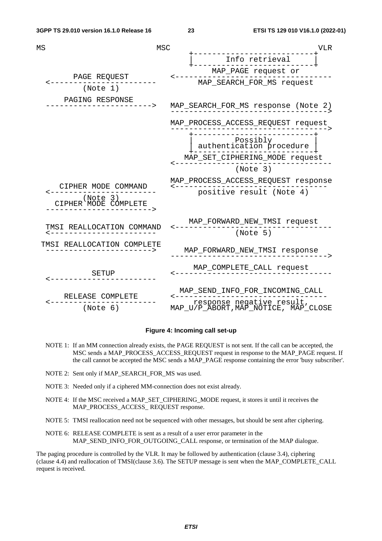| MS<br>MSC                        |                                                                                                                                          | <b>VLR</b> |
|----------------------------------|------------------------------------------------------------------------------------------------------------------------------------------|------------|
|                                  | Info retrieval                                                                                                                           |            |
|                                  | MAP_PAGE request or                                                                                                                      |            |
| PAGE REQUEST<br>(Note 1)         | MAP_SEARCH_FOR_MS request                                                                                                                |            |
|                                  |                                                                                                                                          |            |
| PAGING RESPONSE                  | MAP_SEARCH_FOR_MS_response (Note 2)<br>----------------------------------                                                                |            |
|                                  | MAP_PROCESS_ACCESS_REQUEST request<br>-----------------------------------                                                                |            |
|                                  | ----------<br>Possibly<br>authentication procedure<br>----------------------                                                             |            |
|                                  | MAP_SET_CIPHERING_MODE_request                                                                                                           |            |
|                                  | (Note 3)                                                                                                                                 |            |
| CIPHER MODE COMMAND              | MAP_PROCESS_ACCESS_REQUEST response                                                                                                      |            |
| (Note 3)<br>CIPHER MODE COMPLETE | positive result (Note 4)                                                                                                                 |            |
|                                  | MAP_FORWARD_NEW_TMSI_request                                                                                                             |            |
| TMSI REALLOCATION COMMAND        | (Note 5)                                                                                                                                 |            |
| TMSI REALLOCATION COMPLETE       | MAP_FORWARD_NEW_TMSI response                                                                                                            |            |
| SETUP                            | MAP_COMPLETE_CALL request<br>---------------------------                                                                                 |            |
| RELEASE COMPLETE                 | MAP_SEND_INFO_FOR_INCOMING_CALL<br>---------------------------------<br>response negative result,<br>MAP_U/P_ABORT,MAP_NOTICE, MAP_CLOSE |            |
| (Note 6)                         |                                                                                                                                          |            |

#### **Figure 4: Incoming call set-up**

- NOTE 1: If an MM connection already exists, the PAGE REQUEST is not sent. If the call can be accepted, the MSC sends a MAP\_PROCESS\_ACCESS\_REQUEST request in response to the MAP\_PAGE request. If the call cannot be accepted the MSC sends a MAP\_PAGE response containing the error 'busy subscriber'.
- NOTE 2: Sent only if MAP\_SEARCH\_FOR\_MS was used.
- NOTE 3: Needed only if a ciphered MM-connection does not exist already.
- NOTE 4: If the MSC received a MAP\_SET\_CIPHERING\_MODE request, it stores it until it receives the MAP\_PROCESS\_ACCESS\_ REQUEST response.
- NOTE 5: TMSI reallocation need not be sequenced with other messages, but should be sent after ciphering.
- NOTE 6: RELEASE COMPLETE is sent as a result of a user error parameter in the MAP\_SEND\_INFO\_FOR\_OUTGOING\_CALL response, or termination of the MAP dialogue.

The paging procedure is controlled by the VLR. It may be followed by authentication (clause 3.4), ciphering (clause 4.4) and reallocation of TMSI(clause 3.6). The SETUP message is sent when the MAP\_COMPLETE\_CALL request is received.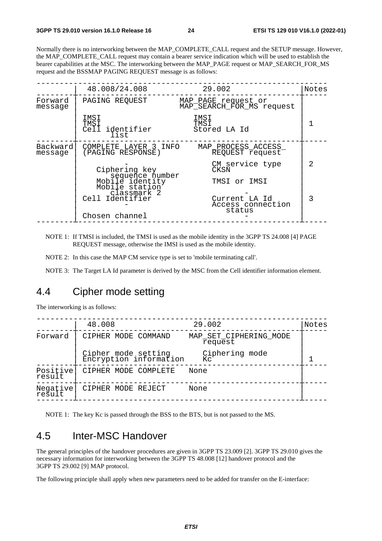Normally there is no interworking between the MAP\_COMPLETE\_CALL request and the SETUP message. However, the MAP\_COMPLETE\_CALL request may contain a bearer service indication which will be used to establish the bearer capabilities at the MSC. The interworking between the MAP\_PAGE request or MAP\_SEARCH\_FOR\_MS request and the BSSMAP PAGING REQUEST message is as follows:

|                     | 48.008/24.008                                                       | 29.002                                           | Notes |
|---------------------|---------------------------------------------------------------------|--------------------------------------------------|-------|
| Forward<br>message  | PAGING REOUEST                                                      | MAP_PAGE request or<br>MAP_SEARCH_FOR_MS request |       |
|                     | IMSI<br>TMSI<br>Cell identifier<br>list                             | IMSI<br>TMST<br>Stored LA Id                     |       |
| Backward<br>message | COMPLETE LAYER 3 INFO<br>(PAGING RESPONSE)                          | MAP_PROCESS_ACCESS_<br>REQUEST request           |       |
|                     | Ciphering key                                                       | CM service type<br>CKSN                          | 2     |
|                     | sequence number<br>Mobile identity<br>Mobile station<br>classmark 2 | TMSI or IMSI                                     |       |
|                     | Cell Identifier                                                     | Current LA Id<br>Access connection<br>status     | 3     |
|                     | Chosen channel                                                      |                                                  |       |

NOTE 1: If TMSI is included, the TMSI is used as the mobile identity in the 3GPP TS 24.008 [4] PAGE REQUEST message, otherwise the IMSI is used as the mobile identity.

NOTE 2: In this case the MAP CM service type is set to 'mobile terminating call'.

NOTE 3: The Target LA Id parameter is derived by the MSC from the Cell identifier information element.

### 4.4 Cipher mode setting

The interworking is as follows:

|                    | 48.008                                        | 29.002                            | Notes |
|--------------------|-----------------------------------------------|-----------------------------------|-------|
| Forward            | CIPHER MODE COMMAND                           | MAP SET CIPHERING MODE<br>request |       |
|                    | Cipher mode setting<br>Encryption information | Ciphering mode<br>Кc              |       |
| Positive<br>result | CIPHER MODE COMPLETE                          | None                              |       |
| Negative<br>result | CIPHER MODE REJECT                            | None                              |       |
|                    |                                               |                                   |       |

NOTE 1: The key Kc is passed through the BSS to the BTS, but is not passed to the MS.

# 4.5 Inter-MSC Handover

The general principles of the handover procedures are given in 3GPP TS 23.009 [2]. 3GPP TS 29.010 gives the necessary information for interworking between the 3GPP TS 48.008 [12] handover protocol and the 3GPP TS 29.002 [9] MAP protocol.

The following principle shall apply when new parameters need to be added for transfer on the E-interface: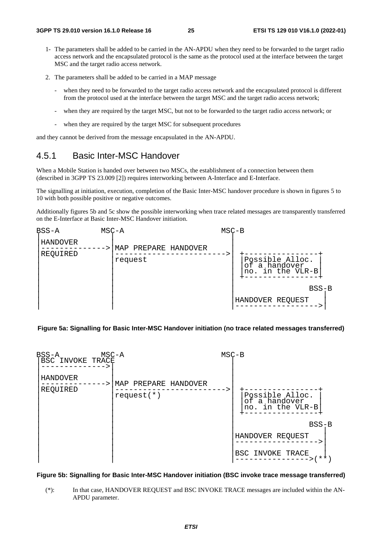- 1- The parameters shall be added to be carried in the AN-APDU when they need to be forwarded to the target radio access network and the encapsulated protocol is the same as the protocol used at the interface between the target MSC and the target radio access network.
- 2. The parameters shall be added to be carried in a MAP message
	- when they need to be forwarded to the target radio access network and the encapsulated protocol is different from the protocol used at the interface between the target MSC and the target radio access network;
	- when they are required by the target MSC, but not to be forwarded to the target radio access network; or
	- when they are required by the target MSC for subsequent procedures

and they cannot be derived from the message encapsulated in the AN-APDU.

### 4.5.1 Basic Inter-MSC Handover

When a Mobile Station is handed over between two MSCs, the establishment of a connection between them (described in 3GPP TS 23.009 [2]) requires interworking between A-Interface and E-Interface.

The signalling at initiation, execution, completion of the Basic Inter-MSC handover procedure is shown in figures 5 to 10 with both possible positive or negative outcomes.

Additionally figures 5b and 5c show the possible interworking when trace related messages are transparently transferred on the E-Interface at Basic Inter-MSC Handover initiation.



#### **Figure 5a: Signalling for Basic Inter-MSC Handover initiation (no trace related messages transferred)**



#### **Figure 5b: Signalling for Basic Inter-MSC Handover initiation (BSC invoke trace message transferred)**

(\*): In that case, HANDOVER REQUEST and BSC INVOKE TRACE messages are included within the AN-APDU parameter.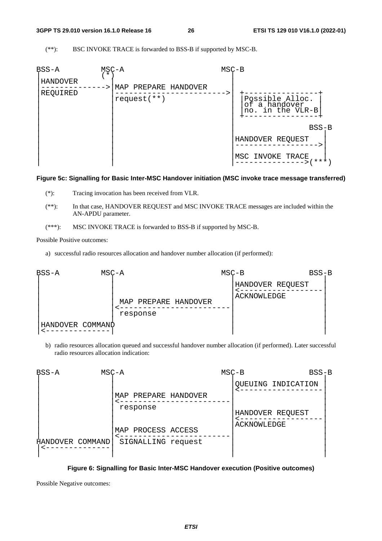(\*\*): BSC INVOKE TRACE is forwarded to BSS-B if supported by MSC-B.



#### **Figure 5c: Signalling for Basic Inter-MSC Handover initiation (MSC invoke trace message transferred)**

- (\*): Tracing invocation has been received from VLR.
- (\*\*): In that case, HANDOVER REQUEST and MSC INVOKE TRACE messages are included within the AN-APDU parameter.
- (\*\*\*): MSC INVOKE TRACE is forwarded to BSS-B if supported by MSC-B.

Possible Positive outcomes:

a) successful radio resources allocation and handover number allocation (if performed):



b) radio resources allocation queued and successful handover number allocation (if performed). Later successful radio resources allocation indication:



#### **Figure 6: Signalling for Basic Inter-MSC Handover execution (Positive outcomes)**

Possible Negative outcomes: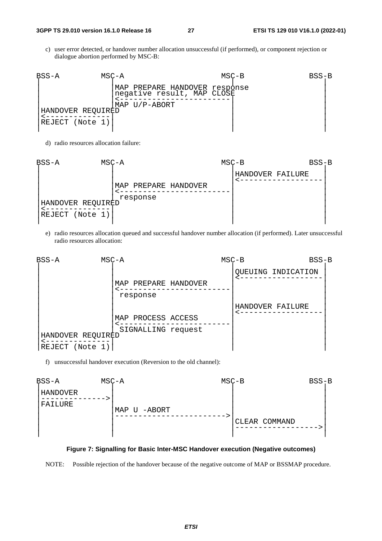c) user error detected, or handover number allocation unsuccessful (if performed), or component rejection or dialogue abortion performed by MSC-B:

| BSS-A<br>MSC-A     |                                                                              | $MSC-B$ | $BSS-B$ |
|--------------------|------------------------------------------------------------------------------|---------|---------|
| 'HANDOVER REQUIRÈD | MAP PREPARE HANDOVER response<br>negative result, MAP CLOSE<br>MAP U/P-ABORT |         |         |
| REJECT (Note 1)    |                                                                              |         |         |

d) radio resources allocation failure:



e) radio resources allocation queued and successful handover number allocation (if performed). Later unsuccessful radio resources allocation:



f) unsuccessful handover execution (Reversion to the old channel):



#### **Figure 7: Signalling for Basic Inter-MSC Handover execution (Negative outcomes)**

NOTE: Possible rejection of the handover because of the negative outcome of MAP or BSSMAP procedure.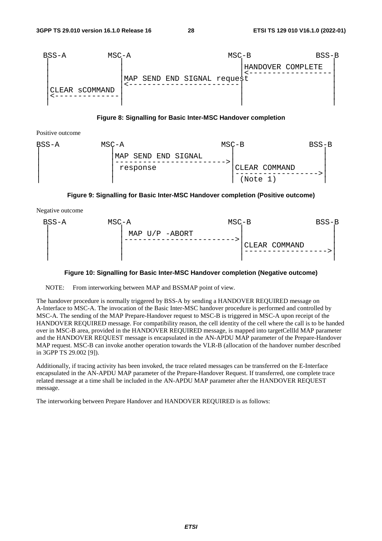



Positive outcome



#### **Figure 9: Signalling for Basic Inter-MSC Handover completion (Positive outcome)**

Negative outcome



#### **Figure 10: Signalling for Basic Inter-MSC Handover completion (Negative outcome)**

NOTE: From interworking between MAP and BSSMAP point of view.

The handover procedure is normally triggered by BSS-A by sending a HANDOVER REQUIRED message on A-Interface to MSC-A. The invocation of the Basic Inter-MSC handover procedure is performed and controlled by MSC-A. The sending of the MAP Prepare-Handover request to MSC-B is triggered in MSC-A upon receipt of the HANDOVER REQUIRED message. For compatibility reason, the cell identity of the cell where the call is to be handed over in MSC-B area, provided in the HANDOVER REQUIRED message, is mapped into targetCellId MAP parameter and the HANDOVER REQUEST message is encapsulated in the AN-APDU MAP parameter of the Prepare-Handover MAP request. MSC-B can invoke another operation towards the VLR-B (allocation of the handover number described in 3GPP TS 29.002 [9]).

Additionally, if tracing activity has been invoked, the trace related messages can be transferred on the E-Interface encapsulated in the AN-APDU MAP parameter of the Prepare-Handover Request. If transferred, one complete trace related message at a time shall be included in the AN-APDU MAP parameter after the HANDOVER REQUEST message.

The interworking between Prepare Handover and HANDOVER REQUIRED is as follows: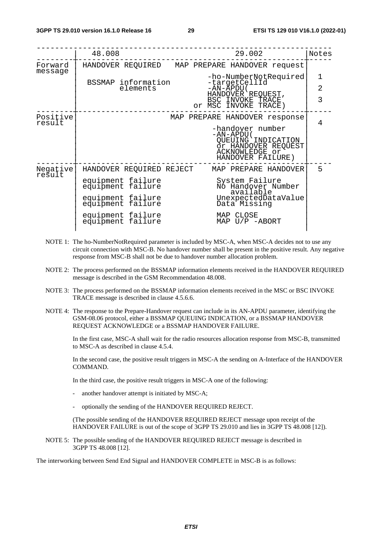|                    | 48.008                                 | 29.002                                                                                                             | Notes          |
|--------------------|----------------------------------------|--------------------------------------------------------------------------------------------------------------------|----------------|
| Forward<br>message |                                        | HANDOVER REQUIRED MAP PREPARE HANDOVER request                                                                     |                |
|                    | BSSMAP information                     | -ho-NumberNotRequired<br>-targetCellId                                                                             | 1              |
|                    | elements                               | -AN-ĂPDU (                                                                                                         | $\overline{2}$ |
|                    |                                        | HANDOVER REQUEST,<br>BSC INVOKE TRACE<br>or MSC INVOKE TRACE)                                                      | 3              |
| Positive<br>result |                                        | MAP PREPARE HANDOVER response                                                                                      | 4              |
|                    |                                        | -handover number<br>$-AN-APDU$<br>QUEUING INDICATION<br>Or HANDOVER REQUEST<br>ACKNOWLEDGE or<br>HANDOVER FAILURE) |                |
| Negative<br>result | HANDOVER REQUIRED REJECT               | MAP PREPARE HANDOVER                                                                                               | 5              |
|                    | equipment failure<br>equipment failure | System Failure<br>No Handover Number<br>available                                                                  |                |
|                    | equipment failure<br>equipment failure | UnexpectedDataValue<br>Data Missing                                                                                |                |
|                    | equipment failure<br>equipment failure | MAP CLOSE<br>MAP $U/P$ -ABORT                                                                                      |                |
|                    |                                        |                                                                                                                    |                |

- NOTE 1: The ho-NumberNotRequired parameter is included by MSC-A, when MSC-A decides not to use any circuit connection with MSC-B. No handover number shall be present in the positive result. Any negative response from MSC-B shall not be due to handover number allocation problem.
- NOTE 2: The process performed on the BSSMAP information elements received in the HANDOVER REQUIRED message is described in the GSM Recommendation 48.008.
- NOTE 3: The process performed on the BSSMAP information elements received in the MSC or BSC INVOKE TRACE message is described in clause 4.5.6.6.
- NOTE 4: The response to the Prepare-Handover request can include in its AN-APDU parameter, identifying the GSM-08.06 protocol, either a BSSMAP QUEUING INDICATION, or a BSSMAP HANDOVER REQUEST ACKNOWLEDGE or a BSSMAP HANDOVER FAILURE.

 In the first case, MSC-A shall wait for the radio resources allocation response from MSC-B, transmitted to MSC-A as described in clause 4.5.4.

 In the second case, the positive result triggers in MSC-A the sending on A-Interface of the HANDOVER COMMAND.

In the third case, the positive result triggers in MSC-A one of the following:

- another handover attempt is initiated by MSC-A;
- optionally the sending of the HANDOVER REQUIRED REJECT.

 (The possible sending of the HANDOVER REQUIRED REJECT message upon receipt of the HANDOVER FAILURE is out of the scope of 3GPP TS 29.010 and lies in 3GPP TS 48.008 [12]).

NOTE 5: The possible sending of the HANDOVER REQUIRED REJECT message is described in 3GPP TS 48.008 [12].

The interworking between Send End Signal and HANDOVER COMPLETE in MSC-B is as follows: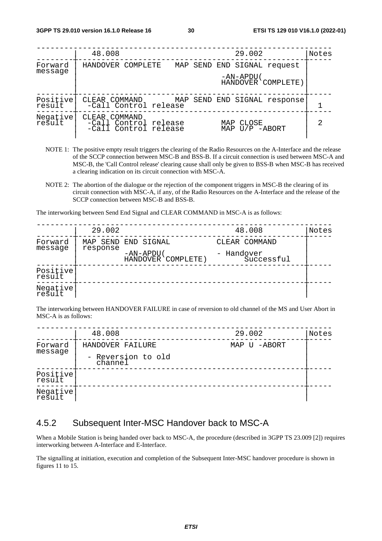|                    | 48.008<br>29.002                                                                                     | Notes |
|--------------------|------------------------------------------------------------------------------------------------------|-------|
| Forward            | HANDOVER COMPLETE<br>MAP SEND END SIGNAL request                                                     |       |
| message            | -AN-APDU (<br>HANDOVER COMPLETE)                                                                     |       |
| Positive<br>result | CLEAR COMMAND MAP SEND END SIGNAL response<br>-Call Control release                                  |       |
| Negative           | COMMAND<br>CLEAR<br>-Call Control release<br>CLOSE<br>MAP<br>-Call Control release<br>MAP U/P -ABORT | 2     |

- NOTE 1: The positive empty result triggers the clearing of the Radio Resources on the A-Interface and the release of the SCCP connection between MSC-B and BSS-B. If a circuit connection is used between MSC-A and MSC-B, the 'Call Control release' clearing cause shall only be given to BSS-B when MSC-B has received a clearing indication on its circuit connection with MSC-A.
- NOTE 2: The abortion of the dialogue or the rejection of the component triggers in MSC-B the clearing of its circuit connection with MSC-A, if any, of the Radio Resources on the A-Interface and the release of the SCCP connection between MSC-B and BSS-B.

The interworking between Send End Signal and CLEAR COMMAND in MSC-A is as follows:

|                    | 29.002   |                                  | 48.008                   | Notes |
|--------------------|----------|----------------------------------|--------------------------|-------|
| Forward<br>message |          | MAP SEND END SIGNAL              | CLEAR COMMAND            |       |
|                    | response | -AN-APDU (<br>HANDOVER COMPLETE) | - Handover<br>Successful |       |
| Positive<br>result |          |                                  |                          |       |
| Negative<br>result |          |                                  |                          |       |

The interworking between HANDOVER FAILURE in case of reversion to old channel of the MS and User Abort in MSC-A is as follows:

|                    | 48.008                        | 29.002       | Notes |
|--------------------|-------------------------------|--------------|-------|
| Forward<br>message | HANDOVER FAILURE              | MAP U -ABORT |       |
|                    | - Reversion to old<br>channel |              |       |
| Positive<br>result |                               |              |       |
| Negative           |                               |              |       |

### 4.5.2 Subsequent Inter-MSC Handover back to MSC-A

When a Mobile Station is being handed over back to MSC-A, the procedure (described in 3GPP TS 23.009 [2]) requires interworking between A-Interface and E-Interface.

The signalling at initiation, execution and completion of the Subsequent Inter-MSC handover procedure is shown in figures 11 to 15.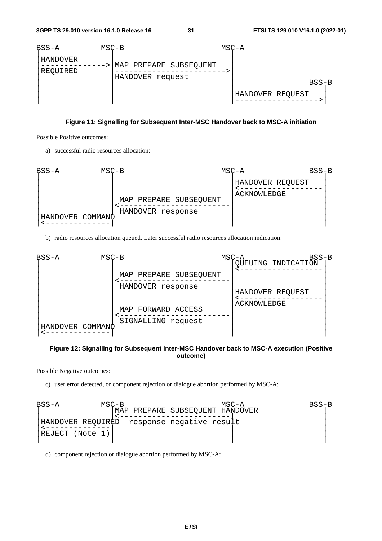

#### **Figure 11: Signalling for Subsequent Inter-MSC Handover back to MSC-A initiation**

Possible Positive outcomes:

a) successful radio resources allocation:



b) radio resources allocation queued. Later successful radio resources allocation indication:



#### **Figure 12: Signalling for Subsequent Inter-MSC Handover back to MSC-A execution (Positive outcome)**

Possible Negative outcomes:

c) user error detected, or component rejection or dialogue abortion performed by MSC-A:

BSS-A MSC-B MSC-A BSS-B | |MAP PREPARE SUBSEQUENT HANDOVER | | |<------------------------| | |HANDOVER REQUIRED response negative result | |<--------------| | | |REJECT (Note 1)| | | | | | |

d) component rejection or dialogue abortion performed by MSC-A: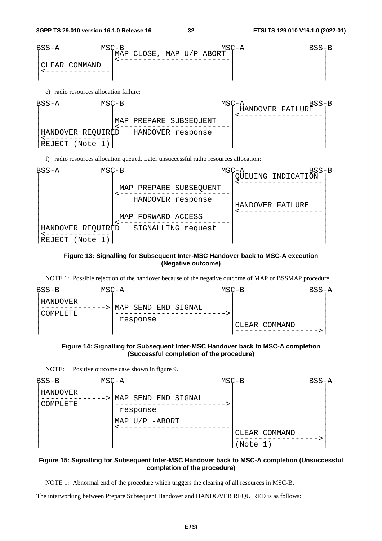

e) radio resources allocation failure:



f) radio resources allocation queued. Later unsuccessful radio resources allocation:



#### **Figure 13: Signalling for Subsequent Inter-MSC Handover back to MSC-A execution (Negative outcome)**

NOTE 1: Possible rejection of the handover because of the negative outcome of MAP or BSSMAP procedure.





NOTE: Positive outcome case shown in figure 9.



#### **Figure 15: Signalling for Subsequent Inter-MSC Handover back to MSC-A completion (Unsuccessful completion of the procedure)**

NOTE 1: Abnormal end of the procedure which triggers the clearing of all resources in MSC-B.

The interworking between Prepare Subsequent Handover and HANDOVER REQUIRED is as follows: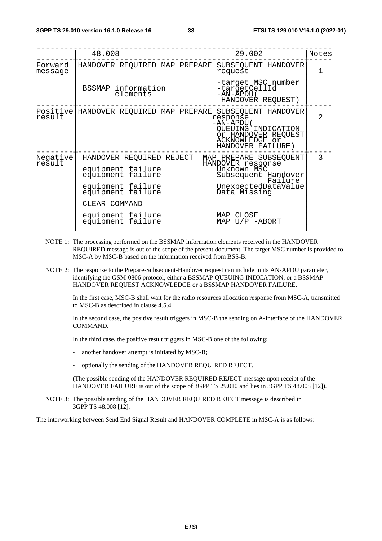|                    | 48.008                                                                                                                                                                  | 29.002                                                                                                                                                               | Notes         |
|--------------------|-------------------------------------------------------------------------------------------------------------------------------------------------------------------------|----------------------------------------------------------------------------------------------------------------------------------------------------------------------|---------------|
| Forward<br>message | HANDOVER REQUIRED MAP PREPARE SUBSEQUENT HANDOVER                                                                                                                       | request                                                                                                                                                              | 1             |
|                    | BSSMAP information<br>elements                                                                                                                                          | -target MSC number<br>-targetCellId<br>-AN-APDU(<br>HANDOVER REQUEST)                                                                                                |               |
| result             | Positive HANDOVER REQUIRED MAP PREPARE SUBSEQUENT HANDOVER                                                                                                              | response<br>-AN-APDU (<br>QUEUING INDICATION<br>Or HANDOVER REQUEST<br>ACKNOWLEDGE or<br>HANDOVER FAILURE)                                                           | $\mathcal{L}$ |
| Negative<br>rešult | HANDOVER REQUIRED REJECT<br>equipment failure<br>equipment failure<br>equipment failure<br>equipment failure<br>CLEAR COMMAND<br>equipment failure<br>equipment failure | MAP PREPARE SUBSEQUENT<br>HANDOVER response<br>Unknown MSC<br>Subsequent Handover<br>Failure<br>UnexpectedDataValue<br>Data Missing<br>MAP CLOSE<br>MAP $U/P$ -ABORT | 3             |

- NOTE 1: The processing performed on the BSSMAP information elements received in the HANDOVER REQUIRED message is out of the scope of the present document. The target MSC number is provided to MSC-A by MSC-B based on the information received from BSS-B.
- NOTE 2: The response to the Prepare-Subsequent-Handover request can include in its AN-APDU parameter, identifying the GSM-0806 protocol, either a BSSMAP QUEUING INDICATION, or a BSSMAP HANDOVER REQUEST ACKNOWLEDGE or a BSSMAP HANDOVER FAILURE.

 In the first case, MSC-B shall wait for the radio resources allocation response from MSC-A, transmitted to MSC-B as described in clause 4.5.4.

 In the second case, the positive result triggers in MSC-B the sending on A-Interface of the HANDOVER COMMAND.

In the third case, the positive result triggers in MSC-B one of the following:

- another handover attempt is initiated by MSC-B;
- optionally the sending of the HANDOVER REQUIRED REJECT.

 (The possible sending of the HANDOVER REQUIRED REJECT message upon receipt of the HANDOVER FAILURE is out of the scope of 3GPP TS 29.010 and lies in 3GPP TS 48.008 [12]).

NOTE 3: The possible sending of the HANDOVER REQUIRED REJECT message is described in 3GPP TS 48.008 [12].

The interworking between Send End Signal Result and HANDOVER COMPLETE in MSC-A is as follows: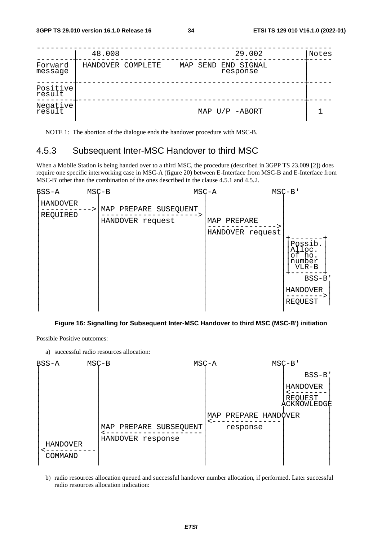|                    | 48.008            |  | 29.002                          | Notes |
|--------------------|-------------------|--|---------------------------------|-------|
| Forward<br>message | HANDOVER COMPLETE |  | MAP SEND END SIGNAL<br>response |       |
| Positive<br>result |                   |  |                                 |       |
| Negative<br>result |                   |  | MAP $U/P$ -ABORT                |       |

NOTE 1: The abortion of the dialogue ends the handover procedure with MSC-B.

### 4.5.3 Subsequent Inter-MSC Handover to third MSC

When a Mobile Station is being handed over to a third MSC, the procedure (described in 3GPP TS 23.009 [2]) does require one specific interworking case in MSC-A (figure 20) between E-Interface from MSC-B and E-Interface from MSC-B' other than the combination of the ones described in the clause 4.5.1 and 4.5.2.

| BSS-A                | $MSC-B$                                                                                    | $MSC - A$                       | $MSC-B$                                                                                   |
|----------------------|--------------------------------------------------------------------------------------------|---------------------------------|-------------------------------------------------------------------------------------------|
| HANDOVER<br>REQUIRED | MAP PREPARE SUSEQUENT<br>$\mathord{\hspace{1pt}\text{--}\hspace{1pt}}$<br>HANDOVER request | MAP PREPARE<br>HANDOVER request | Possib.<br>Alloc.<br>of ho.<br>number<br>$VLR-B$<br>$BSS-B$<br><b>HANDOVER</b><br>REQUEST |

#### **Figure 16: Signalling for Subsequent Inter-MSC Handover to third MSC (MSC-B') initiation**

Possible Positive outcomes:

a) successful radio resources allocation:

| BSS-A               | $MSC-B$ |                                             | $MSC - A$ |                      | $MSC-B$                            |
|---------------------|---------|---------------------------------------------|-----------|----------------------|------------------------------------|
|                     |         |                                             |           |                      | $BSS-B$                            |
|                     |         |                                             |           |                      | HANDOVER<br>REQUEST<br>ACKNOWLEDGE |
|                     |         |                                             |           | MAP PREPARE HANDOVER |                                    |
| HANDOVER<br>COMMAND |         | MAP PREPARE SUBSEQUENT<br>HANDOVER response |           | response             |                                    |

b) radio resources allocation queued and successful handover number allocation, if performed. Later successful radio resources allocation indication: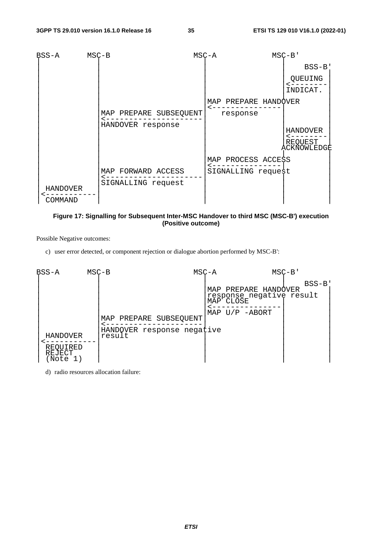

#### **Figure 17: Signalling for Subsequent Inter-MSC Handover to third MSC (MSC-B') execution (Positive outcome)**

Possible Negative outcomes:

c) user error detected, or component rejection or dialogue abortion performed by MSC-B':



d) radio resources allocation failure: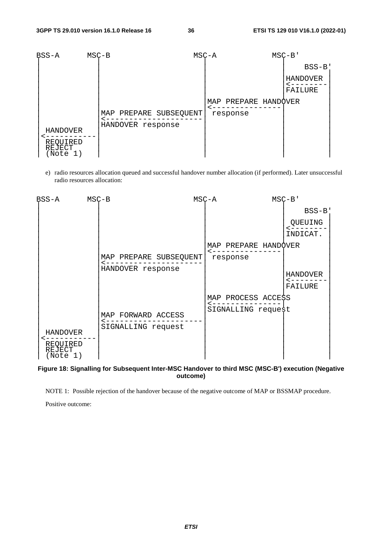

e) radio resources allocation queued and successful handover number allocation (if performed). Later unsuccessful radio resources allocation:



#### **Figure 18: Signalling for Subsequent Inter-MSC Handover to third MSC (MSC-B') execution (Negative outcome)**

NOTE 1: Possible rejection of the handover because of the negative outcome of MAP or BSSMAP procedure.

Positive outcome: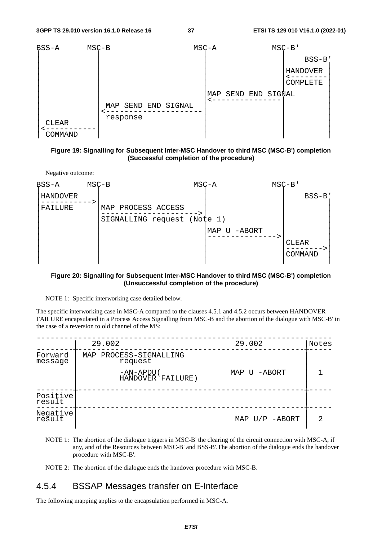

**Figure 19: Signalling for Subsequent Inter-MSC Handover to third MSC (MSC-B') completion (Successful completion of the procedure)** 



#### **Figure 20: Signalling for Subsequent Inter-MSC Handover to third MSC (MSC-B') completion (Unsuccessful completion of the procedure)**

NOTE 1: Specific interworking case detailed below.

The specific interworking case in MSC-A compared to the clauses 4.5.1 and 4.5.2 occurs between HANDOVER FAILURE encapsulated in a Process Access Signalling from MSC-B and the abortion of the dialogue with MSC-B' in the case of a reversion to old channel of the MS:

|                    | 29.002                            | 29.002           | Notes |
|--------------------|-----------------------------------|------------------|-------|
| Forward<br>message | MAP PROCESS-SIGNALLING<br>request |                  |       |
|                    | -AN-APDU (<br>HANDOVER FAILURE)   | MAP U -ABORT     |       |
| Positive<br>result |                                   |                  |       |
| Negative           |                                   | MAP $U/P$ -ABORT | 2     |

- NOTE 1: The abortion of the dialogue triggers in MSC-B' the clearing of the circuit connection with MSC-A, if any, and of the Resources between MSC-B' and BSS-B'.The abortion of the dialogue ends the handover procedure with MSC-B'.
- NOTE 2: The abortion of the dialogue ends the handover procedure with MSC-B.

## 4.5.4 BSSAP Messages transfer on E-Interface

The following mapping applies to the encapsulation performed in MSC-A.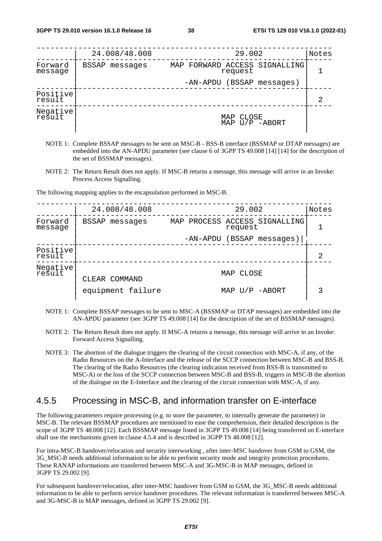|                    | 24.008/48.008     | 29.002                                   | Notes |
|--------------------|-------------------|------------------------------------------|-------|
| Forward<br>message | BSSAP<br>messages | MAP FORWARD ACCESS SIGNALLING<br>request |       |
|                    |                   | -AN-APDU (BSSAP messages)                |       |
| Positive<br>result |                   |                                          | 2     |
| Negative<br>result |                   | CLOSE<br>MAP<br>$U/P$ -ABORT<br>MAP      |       |

- NOTE 1: Complete BSSAP messages to be sent on MSC-B BSS-B interface (BSSMAP or DTAP messages) are embedded into the AN-APDU parameter (see clause 6 of 3GPP TS 49.008 [14] [14] for the description of the set of BSSMAP messages).
- NOTE 2: The Return Result does not apply. If MSC-B returns a message, this message will arrive in an Invoke: Process Access Signalling.

The following mapping applies to the encapsulation performed in MSC-B.

|                    | 24.008/48.008     | 29.002                                   | Notes |
|--------------------|-------------------|------------------------------------------|-------|
| Forward<br>message | BSSAP messages    | MAP PROCESS ACCESS SIGNALLING<br>request |       |
|                    |                   | (BSSAP messages)<br>-AN-APDU             |       |
| Positive<br>result |                   |                                          | 2     |
| Negative<br>result | CLEAR COMMAND     | MAP CLOSE                                |       |
|                    | equipment failure | MAP U/P -ABORT                           |       |

- NOTE 1: Complete BSSAP messages to be sent to MSC-A (BSSMAP or DTAP messages) are embedded into the AN-APDU parameter (see 3GPP TS 49.008 [14] for the description of the set of BSSMAP messages).
- NOTE 2: The Return Result does not apply. If MSC-A returns a message, this message will arrive in an Invoke: Forward Access Signalling.
- NOTE 3: The abortion of the dialogue triggers the clearing of the circuit connection with MSC-A, if any, of the Radio Resources on the A-Interface and the release of the SCCP connection between MSC-B and BSS-B. The clearing of the Radio Resources (the clearing indication received from BSS-B is transmitted to MSC-A) or the loss of the SCCP connection between MSC-B and BSS-B, triggers in MSC-B the abortion of the dialogue on the E-Interface and the clearing of the circuit connection with MSC-A, if any.

## 4.5.5 Processing in MSC-B, and information transfer on E-interface

The following parameters require processing (e.g. to store the parameter, to internally generate the parameter) in MSC-B. The relevant BSSMAP procedures are mentioned to ease the comprehension, their detailed description is the scope of 3GPP TS 48.008 [12]. Each BSSMAP message listed in 3GPP TS 49.008 [14] being transferred on E-interface shall use the mechanisms given in clause 4.5.4 and is described in 3GPP TS 48.008 [12].

For intra-MSC-B handover/relocation and security interworking , after inter-MSC handover from GSM to GSM, the 3G\_MSC-B needs additional information to be able to perform security mode and integrity protection procedures. These RANAP informations are transferred between MSC-A and 3G-MSC-B in MAP messages, defined in 3GPP TS 29.002 [9].

For subsequent handover/relocation, after inter-MSC handover from GSM to GSM, the 3G\_MSC-B needs additional information to be able to perform service handover procedures. The relevant information is transferred between MSC-A and 3G-MSC-B in MAP messages, defined in 3GPP TS 29.002 [9].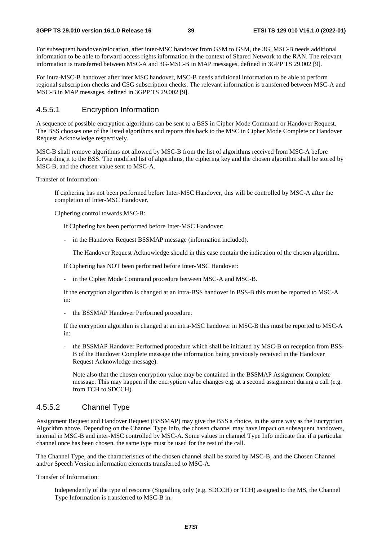For subsequent handover/relocation, after inter-MSC handover from GSM to GSM, the 3G\_MSC-B needs additional information to be able to forward access rights information in the context of Shared Network to the RAN. The relevant information is transferred between MSC-A and 3G-MSC-B in MAP messages, defined in 3GPP TS 29.002 [9].

For intra-MSC-B handover after inter MSC handover, MSC-B needs additional information to be able to perform regional subscription checks and CSG subscription checks. The relevant information is transferred between MSC-A and MSC-B in MAP messages, defined in 3GPP TS 29.002 [9].

## 4.5.5.1 Encryption Information

A sequence of possible encryption algorithms can be sent to a BSS in Cipher Mode Command or Handover Request. The BSS chooses one of the listed algorithms and reports this back to the MSC in Cipher Mode Complete or Handover Request Acknowledge respectively.

MSC-B shall remove algorithms not allowed by MSC-B from the list of algorithms received from MSC-A before forwarding it to the BSS. The modified list of algorithms, the ciphering key and the chosen algorithm shall be stored by MSC-B, and the chosen value sent to MSC-A.

Transfer of Information:

 If ciphering has not been performed before Inter-MSC Handover, this will be controlled by MSC-A after the completion of Inter-MSC Handover.

Ciphering control towards MSC-B:

If Ciphering has been performed before Inter-MSC Handover:

- in the Handover Request BSSMAP message (information included).

The Handover Request Acknowledge should in this case contain the indication of the chosen algorithm.

If Ciphering has NOT been performed before Inter-MSC Handover:

- in the Cipher Mode Command procedure between MSC-A and MSC-B.

 If the encryption algorithm is changed at an intra-BSS handover in BSS-B this must be reported to MSC-A in:

- the BSSMAP Handover Performed procedure.

 If the encryption algorithm is changed at an intra-MSC handover in MSC-B this must be reported to MSC-A in:

- the BSSMAP Handover Performed procedure which shall be initiated by MSC-B on reception from BSS-B of the Handover Complete message (the information being previously received in the Handover Request Acknowledge message).

 Note also that the chosen encryption value may be contained in the BSSMAP Assignment Complete message. This may happen if the encryption value changes e.g. at a second assignment during a call (e.g. from TCH to SDCCH).

## 4.5.5.2 Channel Type

Assignment Request and Handover Request (BSSMAP) may give the BSS a choice, in the same way as the Encryption Algorithm above. Depending on the Channel Type Info, the chosen channel may have impact on subsequent handovers, internal in MSC-B and inter-MSC controlled by MSC-A. Some values in channel Type Info indicate that if a particular channel once has been chosen, the same type must be used for the rest of the call.

The Channel Type, and the characteristics of the chosen channel shall be stored by MSC-B, and the Chosen Channel and/or Speech Version information elements transferred to MSC-A.

Transfer of Information:

 Independently of the type of resource (Signalling only (e.g. SDCCH) or TCH) assigned to the MS, the Channel Type Information is transferred to MSC-B in: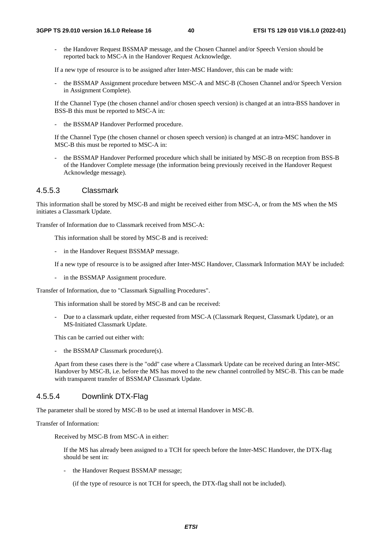the Handover Request BSSMAP message, and the Chosen Channel and/or Speech Version should be reported back to MSC-A in the Handover Request Acknowledge.

If a new type of resource is to be assigned after Inter-MSC Handover, this can be made with:

the BSSMAP Assignment procedure between MSC-A and MSC-B (Chosen Channel and/or Speech Version in Assignment Complete).

 If the Channel Type (the chosen channel and/or chosen speech version) is changed at an intra-BSS handover in BSS-B this must be reported to MSC-A in:

the BSSMAP Handover Performed procedure.

 If the Channel Type (the chosen channel or chosen speech version) is changed at an intra-MSC handover in MSC-B this must be reported to MSC-A in:

the BSSMAP Handover Performed procedure which shall be initiated by MSC-B on reception from BSS-B of the Handover Complete message (the information being previously received in the Handover Request Acknowledge message).

## 4.5.5.3 Classmark

This information shall be stored by MSC-B and might be received either from MSC-A, or from the MS when the MS initiates a Classmark Update.

Transfer of Information due to Classmark received from MSC-A:

This information shall be stored by MSC-B and is received:

- in the Handover Request BSSMAP message.

If a new type of resource is to be assigned after Inter-MSC Handover, Classmark Information MAY be included:

- in the BSSMAP Assignment procedure.

Transfer of Information, due to "Classmark Signalling Procedures".

This information shall be stored by MSC-B and can be received:

- Due to a classmark update, either requested from MSC-A (Classmark Request, Classmark Update), or an MS-Initiated Classmark Update.

This can be carried out either with:

the BSSMAP Classmark procedure(s).

 Apart from these cases there is the "odd" case where a Classmark Update can be received during an Inter-MSC Handover by MSC-B, i.e. before the MS has moved to the new channel controlled by MSC-B. This can be made with transparent transfer of BSSMAP Classmark Update.

## 4.5.5.4 Downlink DTX-Flag

The parameter shall be stored by MSC-B to be used at internal Handover in MSC-B.

Transfer of Information:

Received by MSC-B from MSC-A in either:

 If the MS has already been assigned to a TCH for speech before the Inter-MSC Handover, the DTX-flag should be sent in:

- the Handover Request BSSMAP message;

(if the type of resource is not TCH for speech, the DTX-flag shall not be included).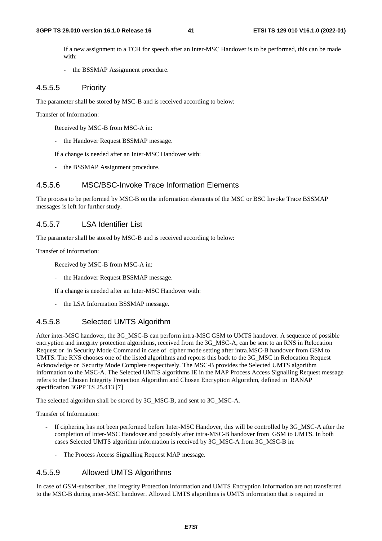If a new assignment to a TCH for speech after an Inter-MSC Handover is to be performed, this can be made with:

- the BSSMAP Assignment procedure.

### 4.5.5.5 Priority

The parameter shall be stored by MSC-B and is received according to below:

Transfer of Information:

Received by MSC-B from MSC-A in:

- the Handover Request BSSMAP message.

If a change is needed after an Inter-MSC Handover with:

the BSSMAP Assignment procedure.

### 4.5.5.6 MSC/BSC-Invoke Trace Information Elements

The process to be performed by MSC-B on the information elements of the MSC or BSC Invoke Trace BSSMAP messages is left for further study.

### 4.5.5.7 LSA Identifier List

The parameter shall be stored by MSC-B and is received according to below:

Transfer of Information:

Received by MSC-B from MSC-A in:

the Handover Request BSSMAP message.

If a change is needed after an Inter-MSC Handover with:

- the LSA Information BSSMAP message.

## 4.5.5.8 Selected UMTS Algorithm

After inter-MSC handover, the 3G\_MSC-B can perform intra-MSC GSM to UMTS handover. A sequence of possible encryption and integrity protection algorithms, received from the 3G\_MSC-A, can be sent to an RNS in Relocation Request or in Security Mode Command in case of cipher mode setting after intra.MSC-B handover from GSM to UMTS. The RNS chooses one of the listed algorithms and reports this back to the 3G\_MSC in Relocation Request Acknowledge or Security Mode Complete respectively. The MSC-B provides the Selected UMTS algorithm information to the MSC-A. The Selected UMTS algorithms IE in the MAP Process Access Signalling Request message refers to the Chosen Integrity Protection Algorithm and Chosen Encryption Algorithm, defined in RANAP specification 3GPP TS 25.413 [7]

The selected algorithm shall be stored by 3G\_MSC-B, and sent to 3G\_MSC-A.

Transfer of Information:

- If ciphering has not been performed before Inter-MSC Handover, this will be controlled by 3G\_MSC-A after the completion of Inter-MSC Handover and possibly after intra-MSC-B handover from GSM to UMTS. In both cases Selected UMTS algorithm information is received by 3G\_MSC-A from 3G\_MSC-B in:
	- The Process Access Signalling Request MAP message.

#### 4.5.5.9 Allowed UMTS Algorithms

In case of GSM-subscriber, the Integrity Protection Information and UMTS Encryption Information are not transferred to the MSC-B during inter-MSC handover. Allowed UMTS algorithms is UMTS information that is required in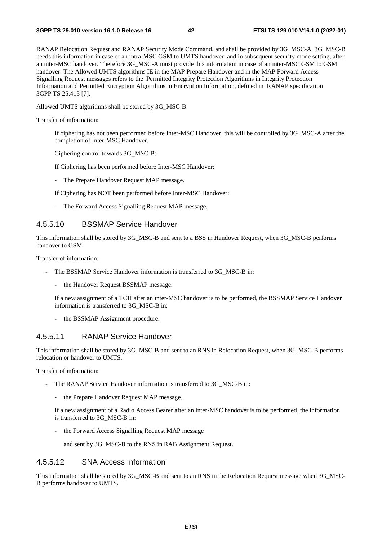RANAP Relocation Request and RANAP Security Mode Command, and shall be provided by 3G\_MSC-A. 3G\_MSC-B needs this information in case of an intra-MSC GSM to UMTS handover and in subsequent security mode setting, after an inter-MSC handover. Therefore 3G\_MSC-A must provide this information in case of an inter-MSC GSM to GSM handover. The Allowed UMTS algorithms IE in the MAP Prepare Handover and in the MAP Forward Access Signalling Request messages refers to the Permitted Integrity Protection Algorithms in Integrity Protection Information and Permitted Encryption Algorithms in Encryption Information, defined in RANAP specification 3GPP TS 25.413 [7].

Allowed UMTS algorithms shall be stored by 3G\_MSC-B.

Transfer of information:

 If ciphering has not been performed before Inter-MSC Handover, this will be controlled by 3G\_MSC-A after the completion of Inter-MSC Handover.

Ciphering control towards 3G\_MSC-B:

If Ciphering has been performed before Inter-MSC Handover:

- The Prepare Handover Request MAP message.

If Ciphering has NOT been performed before Inter-MSC Handover:

- The Forward Access Signalling Request MAP message.

### 4.5.5.10 BSSMAP Service Handover

This information shall be stored by 3G\_MSC-B and sent to a BSS in Handover Request, when 3G\_MSC-B performs handover to GSM.

Transfer of information:

- The BSSMAP Service Handover information is transferred to 3G\_MSC-B in:
	- the Handover Request BSSMAP message.

 If a new assignment of a TCH after an inter-MSC handover is to be performed, the BSSMAP Service Handover information is transferred to 3G\_MSC-B in:

the BSSMAP Assignment procedure.

## 4.5.5.11 RANAP Service Handover

This information shall be stored by 3G\_MSC-B and sent to an RNS in Relocation Request, when 3G\_MSC-B performs relocation or handover to UMTS.

Transfer of information:

- The RANAP Service Handover information is transferred to 3G\_MSC-B in:
	- the Prepare Handover Request MAP message.

 If a new assignment of a Radio Access Bearer after an inter-MSC handover is to be performed, the information is transferred to 3G\_MSC-B in:

the Forward Access Signalling Request MAP message

and sent by 3G\_MSC-B to the RNS in RAB Assignment Request.

## 4.5.5.12 SNA Access Information

This information shall be stored by 3G\_MSC-B and sent to an RNS in the Relocation Request message when 3G\_MSC-B performs handover to UMTS.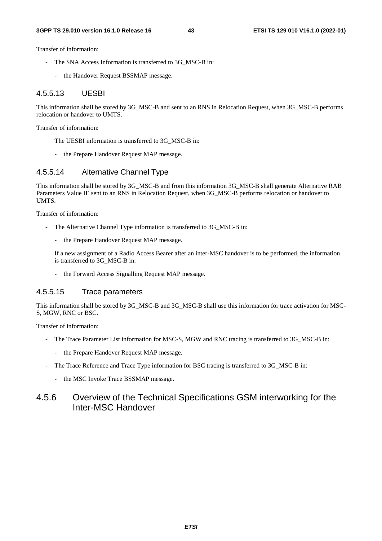Transfer of information:

- The SNA Access Information is transferred to 3G\_MSC-B in:
	- the Handover Request BSSMAP message.

### 4.5.5.13 UESBI

This information shall be stored by 3G\_MSC-B and sent to an RNS in Relocation Request, when 3G\_MSC-B performs relocation or handover to UMTS.

Transfer of information:

The UESBI information is transferred to 3G\_MSC-B in:

- the Prepare Handover Request MAP message.

## 4.5.5.14 Alternative Channel Type

This information shall be stored by 3G\_MSC-B and from this information 3G\_MSC-B shall generate Alternative RAB Parameters Value IE sent to an RNS in Relocation Request, when 3G\_MSC-B performs relocation or handover to UMTS.

Transfer of information:

- The Alternative Channel Type information is transferred to 3G\_MSC-B in:
	- the Prepare Handover Request MAP message.

 If a new assignment of a Radio Access Bearer after an inter-MSC handover is to be performed, the information is transferred to 3G\_MSC-B in:

the Forward Access Signalling Request MAP message.

## 4.5.5.15 Trace parameters

This information shall be stored by 3G\_MSC-B and 3G\_MSC-B shall use this information for trace activation for MSC-S, MGW, RNC or BSC.

Transfer of information:

- The Trace Parameter List information for MSC-S, MGW and RNC tracing is transferred to 3G\_MSC-B in:
	- the Prepare Handover Request MAP message.
- The Trace Reference and Trace Type information for BSC tracing is transferred to 3G\_MSC-B in:
	- the MSC Invoke Trace BSSMAP message.

## 4.5.6 Overview of the Technical Specifications GSM interworking for the Inter-MSC Handover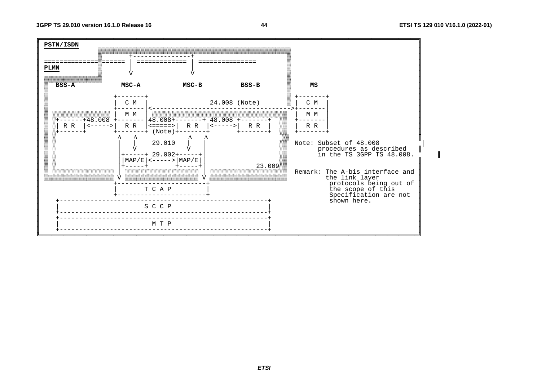

44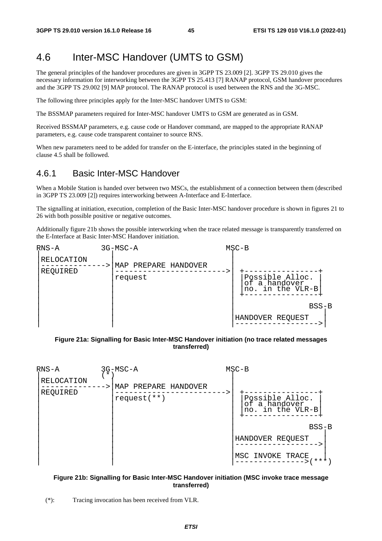# 4.6 Inter-MSC Handover (UMTS to GSM)

The general principles of the handover procedures are given in 3GPP TS 23.009 [2]. 3GPP TS 29.010 gives the necessary information for interworking between the 3GPP TS 25.413 [7] RANAP protocol, GSM handover procedures and the 3GPP TS 29.002 [9] MAP protocol. The RANAP protocol is used between the RNS and the 3G-MSC.

The following three principles apply for the Inter-MSC handover UMTS to GSM:

The BSSMAP parameters required for Inter-MSC handover UMTS to GSM are generated as in GSM.

Received BSSMAP parameters, e.g. cause code or Handover command, are mapped to the appropriate RANAP parameters, e.g. cause code transparent container to source RNS.

When new parameters need to be added for transfer on the E-interface, the principles stated in the beginning of clause 4.5 shall be followed.

## 4.6.1 Basic Inter-MSC Handover

When a Mobile Station is handed over between two MSCs, the establishment of a connection between them (described in 3GPP TS 23.009 [2]) requires interworking between A-Interface and E-Interface.

The signalling at initiation, execution, completion of the Basic Inter-MSC handover procedure is shown in figures 21 to 26 with both possible positive or negative outcomes.

Additionally figure 21b shows the possible interworking when the trace related message is transparently transferred on the E-Interface at Basic Inter-MSC Handover initiation.

| $RNS-A$                | 3G-MSC-A                           | $MSC-B$ |                                                         |
|------------------------|------------------------------------|---------|---------------------------------------------------------|
| RELOCATION<br>REQUIRED | PREPARE HANDOVER<br>MAP<br>request |         | Possible Alloc.<br>of a handover<br>in the VLR-B<br>no. |
|                        |                                    |         | $BSS-B$                                                 |
|                        |                                    |         | HANDOVER REQUEST                                        |

#### **Figure 21a: Signalling for Basic Inter-MSC Handover initiation (no trace related messages transferred)**



#### **Figure 21b: Signalling for Basic Inter-MSC Handover initiation (MSC invoke trace message transferred)**

(\*): Tracing invocation has been received from VLR.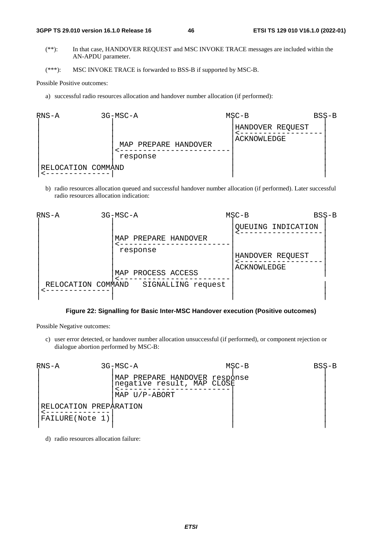#### **3GPP TS 29.010 version 16.1.0 Release 16 46 ETSI TS 129 010 V16.1.0 (2022-01)**

- (\*\*): In that case, HANDOVER REQUEST and MSC INVOKE TRACE messages are included within the AN-APDU parameter.
- (\*\*\*): MSC INVOKE TRACE is forwarded to BSS-B if supported by MSC-B.

#### Possible Positive outcomes:

a) successful radio resources allocation and handover number allocation (if performed):



b) radio resources allocation queued and successful handover number allocation (if performed). Later successful radio resources allocation indication:



## **Figure 22: Signalling for Basic Inter-MSC Handover execution (Positive outcomes)**

Possible Negative outcomes:

c) user error detected, or handover number allocation unsuccessful (if performed), or component rejection or dialogue abortion performed by MSC-B:



d) radio resources allocation failure: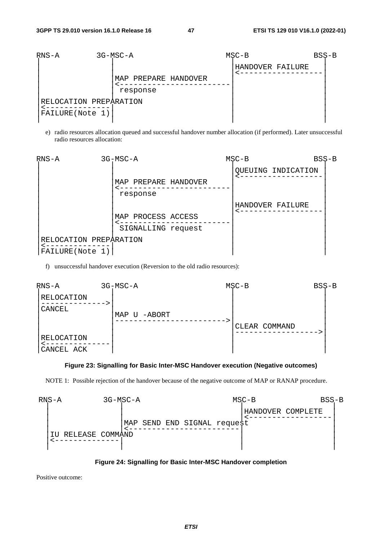

e) radio resources allocation queued and successful handover number allocation (if performed). Later unsuccessful radio resources allocation:



f) unsuccessful handover execution (Reversion to the old radio resources):



#### **Figure 23: Signalling for Basic Inter-MSC Handover execution (Negative outcomes)**

NOTE 1: Possible rejection of the handover because of the negative outcome of MAP or RANAP procedure.





Positive outcome: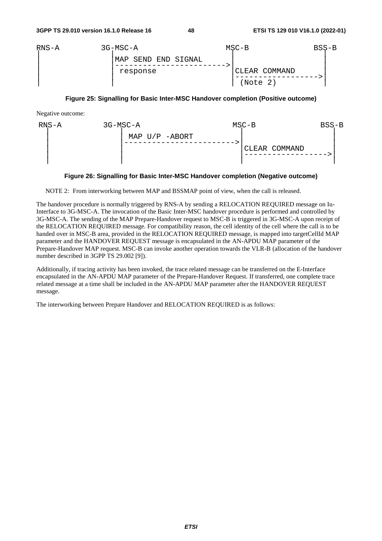| $RNS-A$ | 3G-MSC-A             | $MSC-B$       | BSS-B |
|---------|----------------------|---------------|-------|
|         | 'MAP SEND END SIGNAL |               |       |
|         | response             | CLEAR COMMAND |       |
|         |                      | (Note 2)      |       |

#### **Figure 25: Signalling for Basic Inter-MSC Handover completion (Positive outcome)**

Negative outcome:

| RNS-A | 3G-MSC-A         | $MSC-B$       | $BSS-B$ |
|-------|------------------|---------------|---------|
|       | MAP $U/P$ -ABORT | CLEAR COMMAND |         |

#### **Figure 26: Signalling for Basic Inter-MSC Handover completion (Negative outcome)**

NOTE 2: From interworking between MAP and BSSMAP point of view, when the call is released.

The handover procedure is normally triggered by RNS-A by sending a RELOCATION REQUIRED message on Iu-Interface to 3G-MSC-A. The invocation of the Basic Inter-MSC handover procedure is performed and controlled by 3G-MSC-A. The sending of the MAP Prepare-Handover request to MSC-B is triggered in 3G-MSC-A upon receipt of the RELOCATION REQUIRED message. For compatibility reason, the cell identity of the cell where the call is to be handed over in MSC-B area, provided in the RELOCATION REQUIRED message, is mapped into targetCellId MAP parameter and the HANDOVER REQUEST message is encapsulated in the AN-APDU MAP parameter of the Prepare-Handover MAP request. MSC-B can invoke another operation towards the VLR-B (allocation of the handover number described in 3GPP TS 29.002 [9]).

Additionally, if tracing activity has been invoked, the trace related message can be transferred on the E-Interface encapsulated in the AN-APDU MAP parameter of the Prepare-Handover Request. If transferred, one complete trace related message at a time shall be included in the AN-APDU MAP parameter after the HANDOVER REQUEST message.

The interworking between Prepare Handover and RELOCATION REQUIRED is as follows: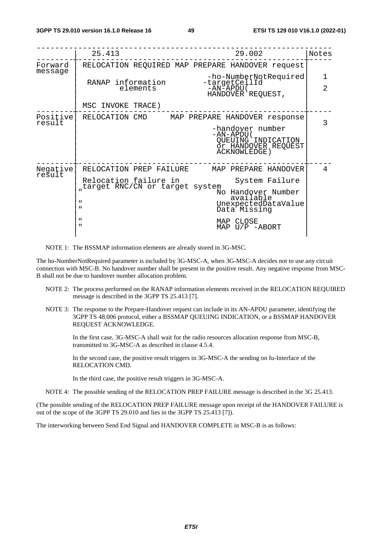|                    | 29.002<br>25.413                                                                                   | Notes          |
|--------------------|----------------------------------------------------------------------------------------------------|----------------|
| Forward<br>message | RELOCATION REQUIRED MAP PREPARE HANDOVER request                                                   |                |
|                    | -ho-NumberNotRequired<br>-targetCellId<br>RANAP information                                        | 1              |
|                    | $-AN-APDU($<br>elements<br>HANDOVER REQUEST,                                                       | $\overline{2}$ |
|                    | MSC INVOKE TRACE)                                                                                  |                |
| Positive<br>result | RELOCATION CMD MAP PREPARE HANDOVER response                                                       | 3              |
|                    | -handover number<br>-AN-APDU (<br>QUEUING INDICATION<br>Õr HANDOVER REQUEST<br><b>ACKNOWLEDGE)</b> |                |
| Negative           | RELOCATION PREP FAILURE<br>MAP PREPARE HANDOVER                                                    | 4              |
| result             | Relocation failure in<br>System Failure                                                            |                |
|                    | target RNC/CN or target system<br>No Handover Number                                               |                |
|                    | available<br>$\mathbf{u}$<br>UnexpectedDataValue<br>$\mathbf{H}$<br>Data Missing                   |                |
|                    | $\mathbf{u}$<br>MAP CLOSE<br>$\mathbf{u}$<br>MAP U/P -ABORT                                        |                |
|                    |                                                                                                    |                |

NOTE 1: The BSSMAP information elements are already stored in 3G-MSC.

The ho-NumberNotRequired parameter is included by 3G-MSC-A, when 3G-MSC-A decides not to use any circuit connection with MSC-B. No handover number shall be present in the positive result. Any negative response from MSC-B shall not be due to handover number allocation problem.

- NOTE 2: The process performed on the RANAP information elements received in the RELOCATION REQUIRED message is described in the 3GPP TS 25.413 [7].
- NOTE 3: The response to the Prepare-Handover request can include in its AN-APDU parameter, identifying the 3GPP TS 48.006 protocol, either a BSSMAP QUEUING INDICATION, or a BSSMAP HANDOVER REQUEST ACKNOWLEDGE.

 In the first case, 3G-MSC-A shall wait for the radio resources allocation response from MSC-B, transmitted to 3G-MSC-A as described in clause 4.5.4.

 In the second case, the positive result triggers in 3G-MSC-A the sending on Iu-Interface of the RELOCATION CMD.

In the third case, the positive result triggers in 3G-MSC-A.

NOTE 4: The possible sending of the RELOCATION PREP FAILURE message is described in the 3G 25.413.

(The possible sending of the RELOCATION PREP FAILURE message upon receipt of the HANDOVER FAILURE is out of the scope of the 3GPP TS 29.010 and lies in the 3GPP TS 25.413 [7]).

The interworking between Send End Signal and HANDOVER COMPLETE in MSC-B is as follows: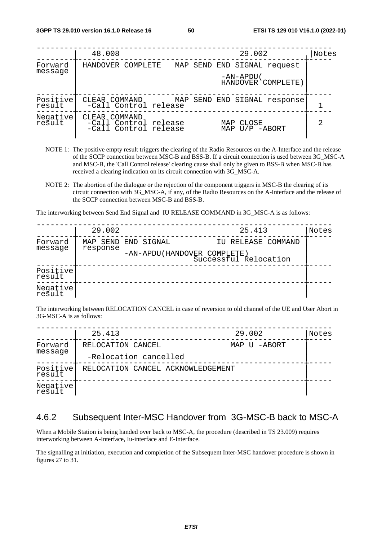|                    | 48.008<br>29.002                                                                                  | Notes |
|--------------------|---------------------------------------------------------------------------------------------------|-------|
| Forward<br>message | HANDOVER COMPLETE<br>MAP SEND END SIGNAL request                                                  |       |
|                    | -AN-APDU (<br>HANDOVER COMPLETE)                                                                  |       |
| Positive<br>result | CLEAR COMMAND<br>MAP SEND END SIGNAL response<br>-Call Control release                            |       |
| Negative<br>result | COMMAND<br>CLEAR<br>-Call Control release<br>MAP CLOSE<br>-Call Control release<br>MAP U/P -ABORT | 2     |

- NOTE 1: The positive empty result triggers the clearing of the Radio Resources on the A-Interface and the release of the SCCP connection between MSC-B and BSS-B. If a circuit connection is used between 3G\_MSC-A and MSC-B, the 'Call Control release' clearing cause shall only be given to BSS-B when MSC-B has received a clearing indication on its circuit connection with 3G\_MSC-A.
- NOTE 2: The abortion of the dialogue or the rejection of the component triggers in MSC-B the clearing of its circuit connection with 3G\_MSC-A, if any, of the Radio Resources on the A-Interface and the release of the SCCP connection between MSC-B and BSS-B.

The interworking between Send End Signal and IU RELEASE COMMAND in 3G\_MSC-A is as follows:

|                    | 29.002              |  | 25.413                                               | Notes |
|--------------------|---------------------|--|------------------------------------------------------|-------|
| Forward            | MAP SEND END SIGNAL |  | IU RELEASE COMMAND                                   |       |
| message            | response            |  | -AN-APDU(HANDOVER COMPLETE)<br>Successful Relocation |       |
| Positive<br>result |                     |  |                                                      |       |
| Negative<br>result |                     |  |                                                      |       |

The interworking between RELOCATION CANCEL in case of reversion to old channel of the UE and User Abort in 3G-MSC-A is as follows:

|                    | 25.413                            | 29.002       | Notes |
|--------------------|-----------------------------------|--------------|-------|
| Forward            | RELOCATION CANCEL                 | MAP U -ABORT |       |
| message            | -Relocation cancelled             |              |       |
| Positive<br>result | RELOCATION CANCEL ACKNOWLEDGEMENT |              |       |
| Negative           |                                   |              |       |

## 4.6.2 Subsequent Inter-MSC Handover from 3G-MSC-B back to MSC-A

When a Mobile Station is being handed over back to MSC-A, the procedure (described in TS 23.009) requires interworking between A-Interface, Iu-interface and E-Interface.

The signalling at initiation, execution and completion of the Subsequent Inter-MSC handover procedure is shown in figures 27 to 31.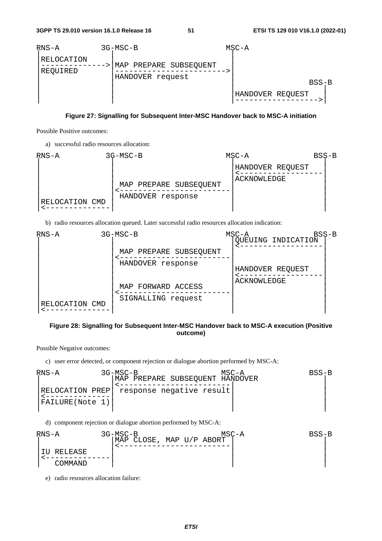

#### **Figure 27: Signalling for Subsequent Inter-MSC Handover back to MSC-A initiation**

Possible Positive outcomes:

a) successful radio resources allocation:



b) radio resources allocation queued. Later successful radio resources allocation indication:



#### **Figure 28: Signalling for Subsequent Inter-MSC Handover back to MSC-A execution (Positive outcome)**

Possible Negative outcomes:

c) user error detected, or component rejection or dialogue abortion performed by MSC-A:

| RNS-A                               | $3G-MSC-B$<br>MAP PREPARE SUBSEQUENT HANDOVER | MSC-A | BSS-B |
|-------------------------------------|-----------------------------------------------|-------|-------|
| RELOCATION PREP!<br>FAILURE(Note 1) | response negative result                      |       |       |

d) component rejection or dialogue abortion performed by MSC-A:

$$
\begin{array}{|l|l|}\n\hline\n\text{RNS-A} & 3G-\text{MSC-B} & \text{MSC-A} & \text{BSS-B} \\
\hline\n\text{IU RELEASE} & & & & \\
\text{COMMAND} & & & & \\
\hline\n\end{array}
$$

e) radio resources allocation failure: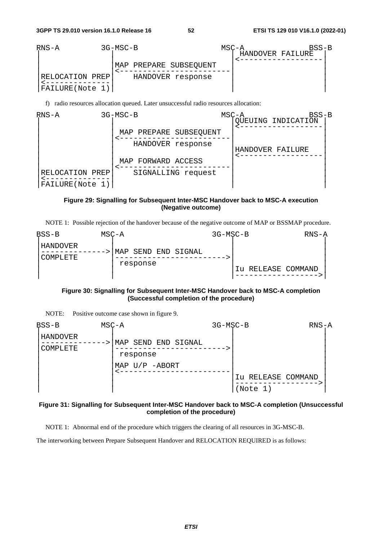**3GPP TS 29.010 version 16.1.0 Release 16 52 ETSI TS 129 010 V16.1.0 (2022-01)**



f) radio resources allocation queued. Later unsuccessful radio resources allocation:



### **Figure 29: Signalling for Subsequent Inter-MSC Handover back to MSC-A execution (Negative outcome)**

|  |  | NOTE 1: Possible rejection of the handover because of the negative outcome of MAP or BSSMAP procedure. |  |
|--|--|--------------------------------------------------------------------------------------------------------|--|
|  |  |                                                                                                        |  |

| $BSS-B$                | MSC-A |                                 | 3G-MSC-B |                    | $RNS-A$ |
|------------------------|-------|---------------------------------|----------|--------------------|---------|
| ' HANDOVER<br>COMPLETE |       | MAP SEND END SIGNAL<br>response |          | Iu RELEASE COMMAND |         |

#### **Figure 30: Signalling for Subsequent Inter-MSC Handover back to MSC-A completion (Successful completion of the procedure)**

NOTE: Positive outcome case shown in figure 9.

| $BSS-B$              | $MSC - A$                          | 3G-MSC-B |                                | $RNS-A$ |
|----------------------|------------------------------------|----------|--------------------------------|---------|
| HANDOVER<br>COMPLETE | SEND END SIGNAL<br>MAP<br>response |          |                                |         |
|                      | MAP $U/P$ -ABORT                   |          | Iu RELEASE COMMAND<br>(Note 1) |         |

#### **Figure 31: Signalling for Subsequent Inter-MSC Handover back to MSC-A completion (Unsuccessful completion of the procedure)**

NOTE 1: Abnormal end of the procedure which triggers the clearing of all resources in 3G-MSC-B.

The interworking between Prepare Subsequent Handover and RELOCATION REQUIRED is as follows: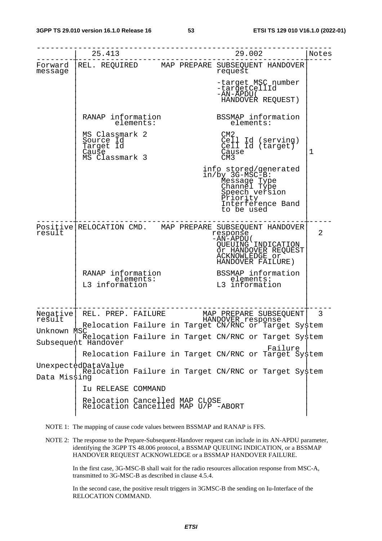|                    | 25.413                                                              | ------------------------------<br>29.002<br>-------------------                                                                                                         | Notes |
|--------------------|---------------------------------------------------------------------|-------------------------------------------------------------------------------------------------------------------------------------------------------------------------|-------|
| Forward<br>message |                                                                     | REL. REQUIRED MAP PREPARE SUBSEQUENT HANDOVER<br>request                                                                                                                |       |
|                    |                                                                     | -target MSC number<br>-targetCellId<br>-AN-ĂPDU (<br>HANDOVER REQUEST)                                                                                                  |       |
|                    | RANAP information<br>elements:                                      | BSSMAP information<br>elements:                                                                                                                                         |       |
|                    | MS Classmark 2<br>Source Id<br>Target Id<br>Cause<br>MS Classmark 3 | CM <sub>2</sub><br>Cell Id (serving)<br>Cell Id (target)<br>Cause<br>CM3                                                                                                | 1     |
|                    |                                                                     | info stored/generated<br>in/by 3G-MSC-B:<br>Message Type<br>Channel Type<br>Speech version<br>Priority<br>Interference Band<br>to be used                               |       |
| result             |                                                                     | Positive RELOCATION CMD. MAP PREPARE SUBSEQUENT HANDOVER<br>response<br>$-AN+APDU($<br>QUEUING INDICATION<br>Õr HANDOVER REQUEST<br>ACKNOWLEDGE or<br>HANDOVER FAILURE) | 2     |
|                    | RANAP information<br>elements:<br>L3 information                    | BSSMAP information<br>elements:<br>elements:<br>L3 information                                                                                                          |       |
| Negative<br>result |                                                                     | REL. PREP. FAILURE MAP PREPARE SUBSEQUENT 3<br>HANDOVER response<br>Relocation Failure in Target CN/RNC or Target System                                                |       |
| Unknown MSC        |                                                                     | Relocation Failure in Target CN/RNC or Target System                                                                                                                    |       |
|                    | Subsequent Handover                                                 | Failure<br>Relocation Failure in Target CN/RNC or Target System                                                                                                         |       |
| Data Missing       | UnexpectedDataValue                                                 | Relocation Failure in Target CN/RNC or Target System                                                                                                                    |       |
|                    | Iu RELEASE COMMAND                                                  |                                                                                                                                                                         |       |
|                    | Relocation Cancelled MAP CLOSE                                      | Relocation Cancelled MAP U/P -ABORT                                                                                                                                     |       |



NOTE 2: The response to the Prepare-Subsequent-Handover request can include in its AN-APDU parameter, identifying the 3GPP TS 48.006 protocol, a BSSMAP QUEUING INDICATION, or a BSSMAP HANDOVER REQUEST ACKNOWLEDGE or a BSSMAP HANDOVER FAILURE.

 In the first case, 3G-MSC-B shall wait for the radio resources allocation response from MSC-A, transmitted to 3G-MSC-B as described in clause 4.5.4.

 In the second case, the positive result triggers in 3GMSC-B the sending on Iu-Interface of the RELOCATION COMMAND.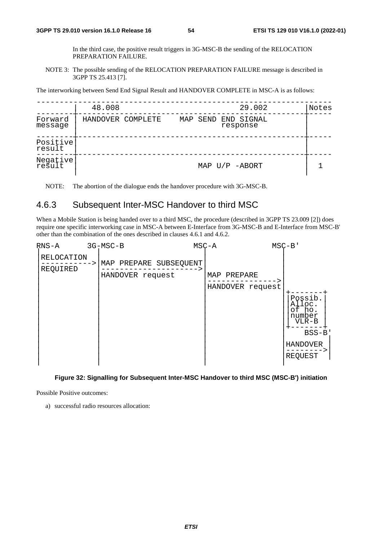In the third case, the positive result triggers in 3G-MSC-B the sending of the RELOCATION PREPARATION FAILURE.

NOTE 3: The possible sending of the RELOCATION PREPARATION FAILURE message is described in 3GPP TS 25.413 [7].

The interworking between Send End Signal Result and HANDOVER COMPLETE in MSC-A is as follows:

|                    | 48.008            |  | 29.002                          | Notes |
|--------------------|-------------------|--|---------------------------------|-------|
| Forward<br>message | HANDOVER COMPLETE |  | MAP SEND END SIGNAL<br>response |       |
| Positive<br>result |                   |  |                                 |       |
| Negative           |                   |  | MAP $U/P$ -ABORT                |       |

NOTE: The abortion of the dialogue ends the handover procedure with 3G-MSC-B.

## 4.6.3 Subsequent Inter-MSC Handover to third MSC

When a Mobile Station is being handed over to a third MSC, the procedure (described in 3GPP TS 23.009 [2]) does require one specific interworking case in MSC-A between E-Interface from 3G-MSC-B and E-Interface from MSC-B' other than the combination of the ones described in clauses 4.6.1 and 4.6.2.



#### **Figure 32: Signalling for Subsequent Inter-MSC Handover to third MSC (MSC-B') initiation**

Possible Positive outcomes:

a) successful radio resources allocation: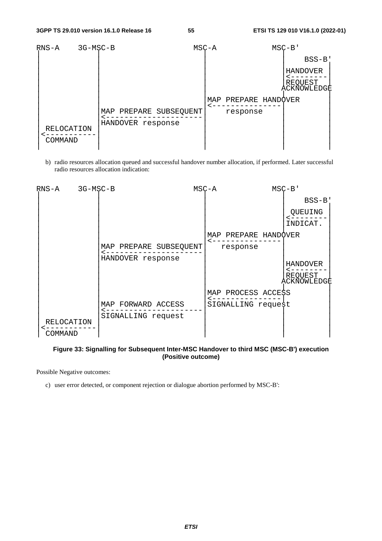| RNS-A<br>3G-MSC-B     |                                             | $MSC - A$ |                      | $MSC-B$                            |
|-----------------------|---------------------------------------------|-----------|----------------------|------------------------------------|
|                       |                                             |           |                      | $BSS-B$                            |
|                       |                                             |           |                      | HANDOVER<br>REQUEST<br>ACKÑOWLEDGE |
|                       |                                             |           | MAP PREPARE HANDOVER |                                    |
| RELOCATION<br>COMMAND | MAP PREPARE SUBSEQUENT<br>HANDOVER response |           | response             |                                    |

b) radio resources allocation queued and successful handover number allocation, if performed. Later successful radio resources allocation indication:

| RNS-A             | 3G-MSC-B |                        | $MSC - A$            | $MSC-B'$               |
|-------------------|----------|------------------------|----------------------|------------------------|
|                   |          |                        |                      | $BSS-B$                |
|                   |          |                        |                      | QUEUING                |
|                   |          |                        |                      | INDICAT.               |
|                   |          |                        | MAP PREPARE HANDQVER |                        |
|                   |          | MAP PREPARE SUBSEQUENT | response             |                        |
|                   |          | HANDOVER response      |                      |                        |
|                   |          |                        |                      | HANDOVER               |
|                   |          |                        |                      | REQUEST<br>ACKÑOWLEDGĖ |
|                   |          |                        | MAP PROCESS ACCESS   |                        |
|                   |          | MAP FORWARD ACCESS     | SIGNALLING request   |                        |
|                   |          | SIGNALLING request     |                      |                        |
| <b>RELOCATION</b> |          |                        |                      |                        |
| COMMAND           |          |                        |                      |                        |

#### **Figure 33: Signalling for Subsequent Inter-MSC Handover to third MSC (MSC-B') execution (Positive outcome)**

Possible Negative outcomes:

c) user error detected, or component rejection or dialogue abortion performed by MSC-B':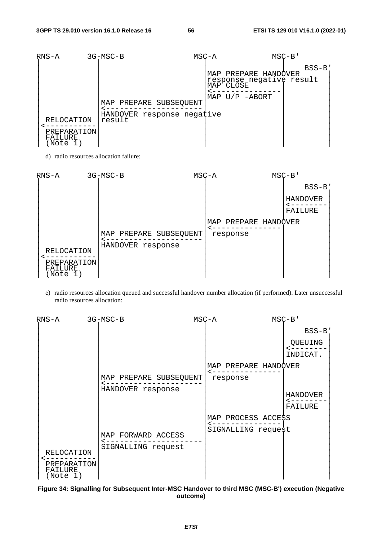| $RNS-A$                        | $3G-MSC-B$                                                     | $MSC - A$ |           |                                                                      | $MSC-B$ |         |  |
|--------------------------------|----------------------------------------------------------------|-----------|-----------|----------------------------------------------------------------------|---------|---------|--|
| RELOCATION                     | MAP PREPARE SUBSEQUENT<br>HANDOVER response negative<br>result |           | MAP CLOSE | MAP PREPARE HANDOVER<br>response negative result<br>MAP $U/P$ -ABORT |         | $BSS-B$ |  |
| PREPARATION<br>FAILURE<br>Note |                                                                |           |           |                                                                      |         |         |  |

d) radio resources allocation failure:



e) radio resources allocation queued and successful handover number allocation (if performed). Later unsuccessful radio resources allocation:

| RNS-A                              | 3G-MSC-B                                    | $MSC - A$            | $MSC-B$                    |
|------------------------------------|---------------------------------------------|----------------------|----------------------------|
|                                    |                                             |                      | $BSS-B$                    |
|                                    |                                             |                      | QUEUING<br>INDICAT.        |
|                                    |                                             | MAP PREPARE HANDQVER |                            |
|                                    | MAP PREPARE SUBSEQUENT<br>HANDOVER response | response             |                            |
|                                    |                                             |                      | <b>HANDOVER</b><br>FAILURE |
|                                    |                                             | MAP PROCESS ACCESS   |                            |
| <b>RELOCATION</b>                  | MAP FORWARD ACCESS<br>SIGNALLING request    | SIGNALLING request   |                            |
| PREPARATION<br>FAILURE<br>(Note 1) |                                             |                      |                            |

**Figure 34: Signalling for Subsequent Inter-MSC Handover to third MSC (MSC-B') execution (Negative outcome)**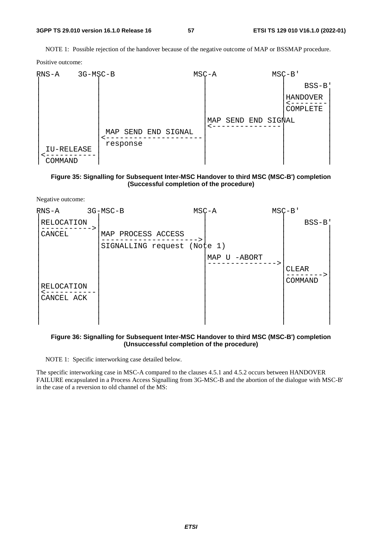#### **3GPP TS 29.010 version 16.1.0 Release 16 57 ETSI TS 129 010 V16.1.0 (2022-01)**

NOTE 1: Possible rejection of the handover because of the negative outcome of MAP or BSSMAP procedure.

Positive outcome:



#### **Figure 35: Signalling for Subsequent Inter-MSC Handover to third MSC (MSC-B') completion (Successful completion of the procedure)**

Negative outcome:



#### **Figure 36: Signalling for Subsequent Inter-MSC Handover to third MSC (MSC-B') completion (Unsuccessful completion of the procedure)**

NOTE 1: Specific interworking case detailed below.

The specific interworking case in MSC-A compared to the clauses 4.5.1 and 4.5.2 occurs between HANDOVER FAILURE encapsulated in a Process Access Signalling from 3G-MSC-B and the abortion of the dialogue with MSC-B' in the case of a reversion to old channel of the MS: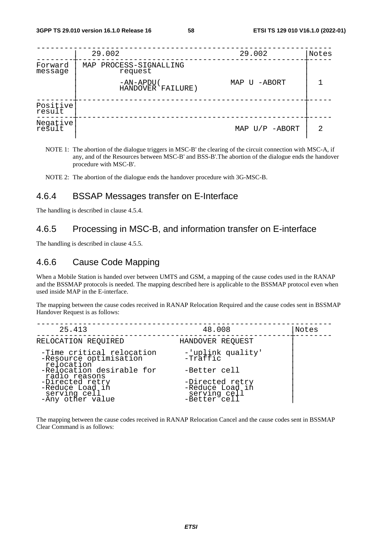|                    | 29.002                            | 29.002           | Notes |
|--------------------|-----------------------------------|------------------|-------|
| Forward<br>message | MAP PROCESS-SIGNALLING<br>request |                  |       |
|                    | -AN-APDU(<br>HANDOVER FAILURE)    | MAP U -ABORT     |       |
| Positive<br>result |                                   |                  |       |
| Negative           |                                   | MAP $U/P$ -ABORT | 2     |

NOTE 1: The abortion of the dialogue triggers in MSC-B' the clearing of the circuit connection with MSC-A, if any, and of the Resources between MSC-B' and BSS-B'.The abortion of the dialogue ends the handover procedure with MSC-B'.

NOTE 2: The abortion of the dialogue ends the handover procedure with 3G-MSC-B.

## 4.6.4 BSSAP Messages transfer on E-Interface

The handling is described in clause 4.5.4.

## 4.6.5 Processing in MSC-B, and information transfer on E-interface

The handling is described in clause 4.5.5.

## 4.6.6 Cause Code Mapping

When a Mobile Station is handed over between UMTS and GSM, a mapping of the cause codes used in the RANAP and the BSSMAP protocols is needed. The mapping described here is applicable to the BSSMAP protocol even when used inside MAP in the E-interface.

The mapping between the cause codes received in RANAP Relocation Required and the cause codes sent in BSSMAP Handover Request is as follows:

| 25.413                                                                 | 48.008                                                             | Notes |
|------------------------------------------------------------------------|--------------------------------------------------------------------|-------|
| RELOCATION REQUIRED                                                    | HANDOVER REQUEST                                                   |       |
| -Time critical relocation<br>-Resource optimisation<br>relocation      | -'uplink quality'<br>$-Traffic$                                    |       |
| -Relocation desirable for<br>radio reasons                             | -Better cell                                                       |       |
| -Directed retry<br>-Reduce Load in<br>serving cell<br>-Any other value | -Directed retry<br>-Reduce Load in<br>serving cell<br>-Better cell |       |

The mapping between the cause codes received in RANAP Relocation Cancel and the cause codes sent in BSSMAP Clear Command is as follows: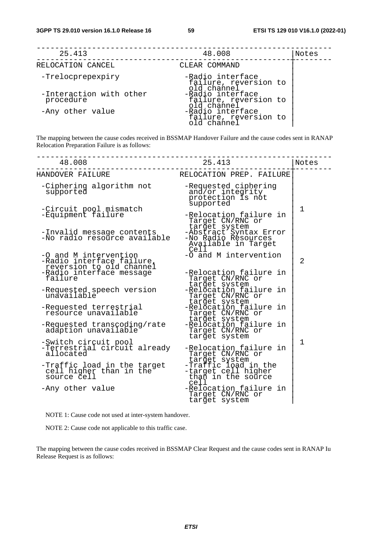| 25.413                               | 48.008                                                   | Notes |
|--------------------------------------|----------------------------------------------------------|-------|
| RELOCATION CANCEL                    | CLEAR COMMAND                                            |       |
| -Trelocprepexpiry                    | -Radio interface<br>failure, reversion to<br>old channel |       |
| -Interaction with other<br>procedure | -Radio interface<br>failure, reversion to<br>old channel |       |
| -Any other value                     | -Radio interface<br>failure, reversion to<br>old channel |       |

The mapping between the cause codes received in BSSMAP Handover Failure and the cause codes sent in RANAP Relocation Preparation Failure is as follows:

| 48.008                                                                                                     | 25.413                                                                             | Notes          |
|------------------------------------------------------------------------------------------------------------|------------------------------------------------------------------------------------|----------------|
| HANDOVER FAILURE                                                                                           | RELOCATION PREP. FAILURE                                                           |                |
| -Ciphering algorithm not<br>supported                                                                      | -Requested ciphering<br>and/or integrity<br>protection is not<br>supported         |                |
| -Circuit pool mismatch<br>-Equipment failure                                                               | -Relocation failure in<br>Target CN/RNC or<br>target system                        | 1              |
| -Invalid message contents<br>-No radio resource available                                                  | -Abstract Syntax Error<br>-No Radio Resources<br>Available in Target<br>Cell       |                |
| -O and M intervention<br>-Radio interface failure,<br>reversion to old channel<br>-Radio interface message | -O and M intervention<br>-Relocation failure in                                    | $\overline{2}$ |
| failure                                                                                                    | Target CN/RNC or<br>target system<br>-Relocation failure in                        |                |
| -Requested speech version<br>unavailable                                                                   | Target CN/RNC or                                                                   |                |
| -Requested terrestrial<br>resource unavailable                                                             | target system<br>-Relocation failure in<br>Target CN/RNC or                        |                |
| -Requested transcoding/rate<br>adaption unavailable                                                        | target system<br>-Relocation failure in<br>Target CN/RNC or<br>target system       |                |
| -Switch circuit pool<br>-Terrestrial circuit already<br>allocated                                          | -Relocation failure in<br>Target CN/RNC or                                         | 1              |
| -Traffic load in the target<br>cell higher than in the<br>source cell                                      | target system<br>-Traffic load in the<br>-target cell higher<br>than in the source |                |
| -Any other value                                                                                           | cell<br>-Relocation failure in<br>Target CN/RNC or<br>target system                |                |

NOTE 1: Cause code not used at inter-system handover.

NOTE 2: Cause code not applicable to this traffic case.

The mapping between the cause codes received in BSSMAP Clear Request and the cause codes sent in RANAP Iu Release Request is as follows: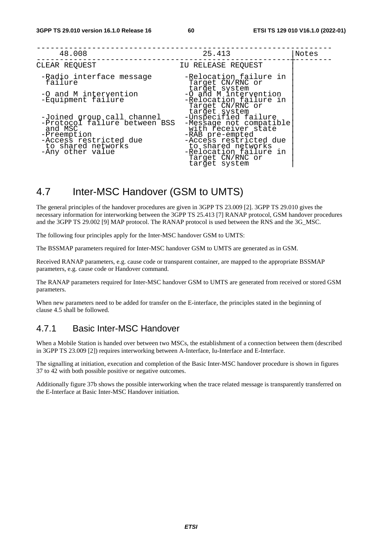| 48.008                                                                                                                                                    | 25.413                                                                                                                                                                                                                    | Notes |
|-----------------------------------------------------------------------------------------------------------------------------------------------------------|---------------------------------------------------------------------------------------------------------------------------------------------------------------------------------------------------------------------------|-------|
| CLEAR REQUEST                                                                                                                                             | IU RELEASE REQUEST                                                                                                                                                                                                        |       |
| -Radio interface message<br>failure                                                                                                                       | -Relocation failure in<br>Target CN/RNC or<br>target system                                                                                                                                                               |       |
| -O and M intervention<br>-Equipment failure                                                                                                               | -O and M intervention<br>-Relocation failure in<br>Target CN/RNC or                                                                                                                                                       |       |
| -Joined group call channel<br>-Protocol failure between BSS<br>and MSC<br>-Preemption<br>-Access restricted due<br>to shared networks<br>-Any other value | target system<br>-Unspecified failure<br>-Message not compatible<br>with receiver state<br>-RAB pre-empted<br>-Access restricted due<br>to shared networks<br>-Relocation failure in<br>Target CN/RNC or<br>target system |       |

# 4.7 Inter-MSC Handover (GSM to UMTS)

The general principles of the handover procedures are given in 3GPP TS 23.009 [2]. 3GPP TS 29.010 gives the necessary information for interworking between the 3GPP TS 25.413 [7] RANAP protocol, GSM handover procedures and the 3GPP TS 29.002 [9] MAP protocol. The RANAP protocol is used between the RNS and the 3G\_MSC.

The following four principles apply for the Inter-MSC handover GSM to UMTS:

The BSSMAP parameters required for Inter-MSC handover GSM to UMTS are generated as in GSM.

Received RANAP parameters, e.g. cause code or transparent container, are mapped to the appropriate BSSMAP parameters, e.g. cause code or Handover command.

The RANAP parameters required for Inter-MSC handover GSM to UMTS are generated from received or stored GSM parameters.

When new parameters need to be added for transfer on the E-interface, the principles stated in the beginning of clause 4.5 shall be followed.

## 4.7.1 Basic Inter-MSC Handover

When a Mobile Station is handed over between two MSCs, the establishment of a connection between them (described in 3GPP TS 23.009 [2]) requires interworking between A-Interface, Iu-Interface and E-Interface.

The signalling at initiation, execution and completion of the Basic Inter-MSC handover procedure is shown in figures 37 to 42 with both possible positive or negative outcomes.

Additionally figure 37b shows the possible interworking when the trace related message is transparently transferred on the E-Interface at Basic Inter-MSC Handover initiation.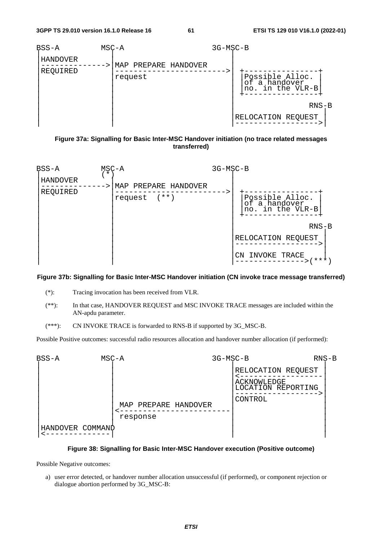

**Figure 37a: Signalling for Basic Inter-MSC Handover initiation (no trace related messages transferred)** 



#### **Figure 37b: Signalling for Basic Inter-MSC Handover initiation (CN invoke trace message transferred)**

- (\*): Tracing invocation has been received from VLR.
- (\*\*): In that case, HANDOVER REQUEST and MSC INVOKE TRACE messages are included within the AN-apdu parameter.
- (\*\*\*): CN INVOKE TRACE is forwarded to RNS-B if supported by 3G\_MSC-B.

Possible Positive outcomes: successful radio resources allocation and handover number allocation (if performed):



#### **Figure 38: Signalling for Basic Inter-MSC Handover execution (Positive outcome)**

Possible Negative outcomes:

a) user error detected, or handover number allocation unsuccessful (if performed), or component rejection or dialogue abortion performed by 3G\_MSC-B: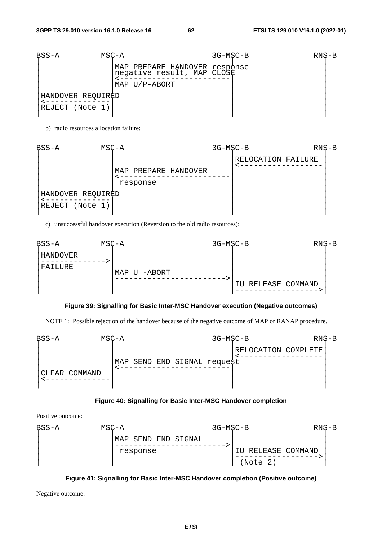| BSS-A             | MSC-A                                                       | $3G-MSC-B$ | $RNS-B$ |  |
|-------------------|-------------------------------------------------------------|------------|---------|--|
|                   | MAP PREPARE HANDOVER response<br>negative result, MAP CLOSE |            |         |  |
|                   | MAP U/P-ABORT                                               |            |         |  |
| HANDOVER REQUIRED |                                                             |            |         |  |
| REJECT (Note 1)   |                                                             |            |         |  |
|                   |                                                             |            |         |  |

b) radio resources allocation failure:

| BSS-A             | $MSC - A$ |          |                      | 3G-MSC-B |                    | $RNS-B$ |  |
|-------------------|-----------|----------|----------------------|----------|--------------------|---------|--|
|                   |           |          |                      |          | RELOCATION FAILURE |         |  |
|                   |           |          | MAP PREPARE HANDOVER |          |                    |         |  |
|                   |           | response |                      |          |                    |         |  |
| HANDOVER REQUIRED |           |          |                      |          |                    |         |  |
| REJECT (Note 1)   |           |          |                      |          |                    |         |  |

c) unsuccessful handover execution (Reversion to the old radio resources):



#### **Figure 39: Signalling for Basic Inter-MSC Handover execution (Negative outcomes)**

NOTE 1: Possible rejection of the handover because of the negative outcome of MAP or RANAP procedure.



### **Figure 40: Signalling for Basic Inter-MSC Handover completion**

Positive outcome:

| $BSS-A$ | MSC-A |                        | 3G-MSC-B |                    | $RNS-B$ |  |
|---------|-------|------------------------|----------|--------------------|---------|--|
|         |       | SEND END SIGNAL<br>MAP |          |                    |         |  |
|         |       | response               |          | IU RELEASE COMMAND |         |  |
|         |       |                        |          | (Note 2)           |         |  |



Negative outcome: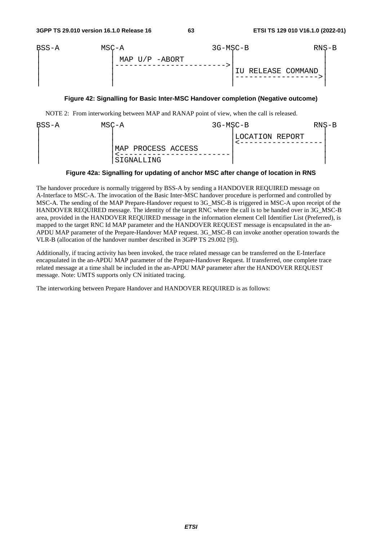

#### **Figure 42: Signalling for Basic Inter-MSC Handover completion (Negative outcome)**

NOTE 2: From interworking between MAP and RANAP point of view, when the call is released.

| BSS-A | MSC-A                              | 3G-MSC-B |                 | $RNS-B$ |  |
|-------|------------------------------------|----------|-----------------|---------|--|
|       | MAP PROCESS ACCESS<br>  SIGNALLING |          | LOCATION REPORT |         |  |

### **Figure 42a: Signalling for updating of anchor MSC after change of location in RNS**

The handover procedure is normally triggered by BSS-A by sending a HANDOVER REQUIRED message on A-Interface to MSC-A. The invocation of the Basic Inter-MSC handover procedure is performed and controlled by MSC-A. The sending of the MAP Prepare-Handover request to 3G\_MSC-B is triggered in MSC-A upon receipt of the HANDOVER REQUIRED message. The identity of the target RNC where the call is to be handed over in 3G\_MSC-B area, provided in the HANDOVER REQUIRED message in the information element Cell Identifier List (Preferred), is mapped to the target RNC Id MAP parameter and the HANDOVER REQUEST message is encapsulated in the an-APDU MAP parameter of the Prepare-Handover MAP request. 3G\_MSC-B can invoke another operation towards the VLR-B (allocation of the handover number described in 3GPP TS 29.002 [9]).

Additionally, if tracing activity has been invoked, the trace related message can be transferred on the E-Interface encapsulated in the an-APDU MAP parameter of the Prepare-Handover Request. If transferred, one complete trace related message at a time shall be included in the an-APDU MAP parameter after the HANDOVER REQUEST message. Note: UMTS supports only CN initiated tracing.

The interworking between Prepare Handover and HANDOVER REQUIRED is as follows: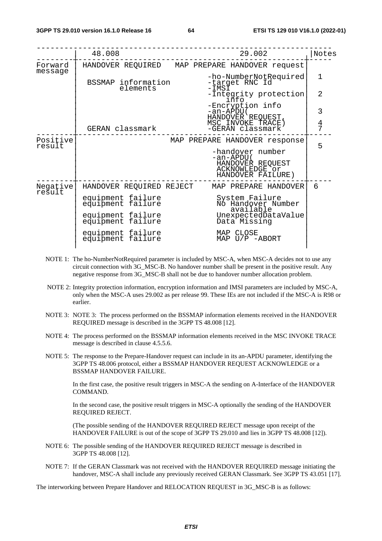|                    | 48.008                                 | 29.002                                                                                   | Notes          |
|--------------------|----------------------------------------|------------------------------------------------------------------------------------------|----------------|
| Forward<br>message |                                        | HANDOVER REQUIRED MAP PREPARE HANDOVER request                                           |                |
|                    | BSSMAP information<br>elements         | -ho-NumberNotRequired<br>-target RNC Id<br>-IMSĪ                                         | 1              |
|                    |                                        | -Integrity protection<br>info                                                            | $\overline{2}$ |
|                    |                                        | -Encryption info<br>-an-APDU (                                                           | 3              |
|                    | GERAN classmark                        | HANDOVER REQUEST,<br>MSC INVOKE TRACE )<br>-GERAN classmark                              | $\frac{4}{7}$  |
| Positive<br>result |                                        | MAP PREPARE HANDOVER response                                                            | 5              |
|                    |                                        | -handover number<br>-an-APDU(<br>HANDOVER REQUEST<br>ACKNOWLEDGE or<br>HANDOVER FAILURE) |                |
| Negative<br>result | HANDOVER REQUIRED REJECT               | MAP PREPARE HANDOVER                                                                     | 6              |
|                    | equipment failure<br>equipment failure | System Failure<br>No Handover Number<br>available                                        |                |
|                    | equipment failure<br>equipment failure | UnexpectedDataValue<br>Data Missing                                                      |                |
|                    | equipment failure<br>equipment failure | MAP CLOSE<br>MAP $U/P$ -ABORT                                                            |                |
|                    |                                        |                                                                                          |                |

- NOTE 1: The ho-NumberNotRequired parameter is included by MSC-A, when MSC-A decides not to use any circuit connection with 3G\_MSC-B. No handover number shall be present in the positive result. Any negative response from 3G\_MSC-B shall not be due to handover number allocation problem.
- NOTE 2: Integrity protection information, encryption information and IMSI parameters are included by MSC-A, only when the MSC-A uses 29.002 as per release 99. These IEs are not included if the MSC-A is R98 or earlier.
- NOTE 3: NOTE 3: The process performed on the BSSMAP information elements received in the HANDOVER REQUIRED message is described in the 3GPP TS 48.008 [12].
- NOTE 4: The process performed on the BSSMAP information elements received in the MSC INVOKE TRACE message is described in clause 4.5.5.6.
- NOTE 5: The response to the Prepare-Handover request can include in its an-APDU parameter, identifying the 3GPP TS 48.006 protocol, either a BSSMAP HANDOVER REQUEST ACKNOWLEDGE or a BSSMAP HANDOVER FAILURE.

 In the first case, the positive result triggers in MSC-A the sending on A-Interface of the HANDOVER COMMAND.

 In the second case, the positive result triggers in MSC-A optionally the sending of the HANDOVER REQUIRED REJECT.

 (The possible sending of the HANDOVER REQUIRED REJECT message upon receipt of the HANDOVER FAILURE is out of the scope of 3GPP TS 29.010 and lies in 3GPP TS 48.008 [12]).

- NOTE 6: The possible sending of the HANDOVER REQUIRED REJECT message is described in 3GPP TS 48.008 [12].
- NOTE 7: If the GERAN Classmark was not received with the HANDOVER REQUIRED message initiating the handover, MSC-A shall include any previously received GERAN Classmark. See 3GPP TS 43.051 [17].

The interworking between Prepare Handover and RELOCATION REQUEST in 3G\_MSC-B is as follows: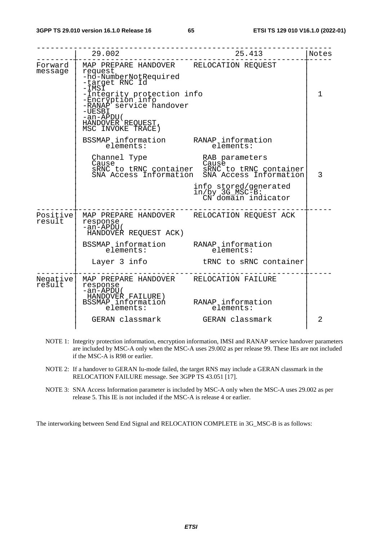|                    | 29.002                                                                                                                                                                                                                                                  | 25.413                                                                                                                    | Notes |
|--------------------|---------------------------------------------------------------------------------------------------------------------------------------------------------------------------------------------------------------------------------------------------------|---------------------------------------------------------------------------------------------------------------------------|-------|
| Forward<br>message | MAP PREPARE HANDOVER RELOCATION REQUEST<br>request<br>-ho-NumberNotRequired<br>-target RNC Id<br>-IMSĬ<br>-Integrity protection info<br>-Encryption info<br>-RANAP service handover<br>$-UESBI$<br>-an-APDU(<br>HANDOVER REQUEST,<br>MSC INVOKE TRACE ) |                                                                                                                           | 1     |
|                    | BSSMAP <sub>_</sub> information RANAP <sub>_</sub> information<br>elements:                                                                                                                                                                             | elements:                                                                                                                 |       |
|                    | Channel Type<br>Cause                                                                                                                                                                                                                                   | RAB parameters<br>Cause<br>SRNC to tRNC container SRNC to tRNC container<br>SNA Access Information SNA Access Information | 3     |
|                    |                                                                                                                                                                                                                                                         | info stored/generated<br>in/by 3G_MSC-B:<br>CN domain indicator                                                           |       |
| Positive<br>result | MAP PREPARE HANDOVER RELOCATION REQUEST ACK<br>response<br>-an-APDU(<br>HANDOVER REQUEST ACK)                                                                                                                                                           |                                                                                                                           |       |
|                    | BSSMAP information RANAP information<br>elements: elements:                                                                                                                                                                                             |                                                                                                                           |       |
|                    | Layer 3 info                                                                                                                                                                                                                                            | tRNC to sRNC container                                                                                                    |       |
| Negative<br>result | MAP PREPARE HANDOVER RELOCATION FAILURE<br>response<br>$-an-APDU($<br>HANDOVER FAILURE)<br>BSSMAP information RANAP information                                                                                                                         |                                                                                                                           |       |
|                    | elements:                                                                                                                                                                                                                                               | elements:                                                                                                                 |       |
|                    | GERAN classmark GERAN classmark                                                                                                                                                                                                                         |                                                                                                                           | 2     |

- NOTE 1: Integrity protection information, encryption information, IMSI and RANAP service handover parameters are included by MSC-A only when the MSC-A uses 29.002 as per release 99. These IEs are not included if the MSC-A is R98 or earlier.
- NOTE 2: If a handover to GERAN Iu-mode failed, the target RNS may include a GERAN classmark in the RELOCATION FAILURE message. See 3GPP TS 43.051 [17].
- NOTE 3: SNA Access Information parameter is included by MSC-A only when the MSC-A uses 29.002 as per release 5. This IE is not included if the MSC-A is release 4 or earlier.

The interworking between Send End Signal and RELOCATION COMPLETE in 3G\_MSC-B is as follows: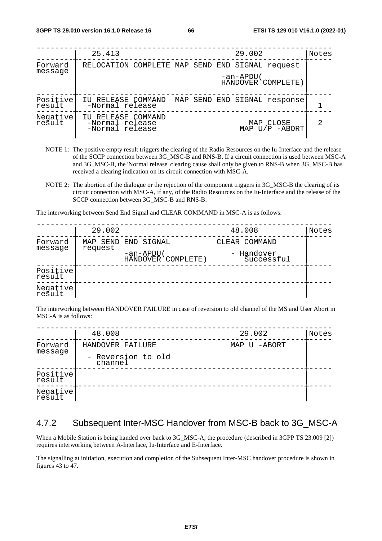|                     | 25.413                                                   |  | 29.002    |                              | Notes |
|---------------------|----------------------------------------------------------|--|-----------|------------------------------|-------|
| Forward             | RELOCATION COMPLETE MAP SEND END SIGNAL request          |  |           |                              |       |
| message             |                                                          |  | -an-APDU( | HANDOVER COMPLETE)           |       |
| Positive<br>result  | IU RELEASE COMMAND<br>-Normal release                    |  |           | MAP SEND END SIGNAL response |       |
| Negative <br>result | IU RELEASE COMMAND<br>-Normal release<br>-Normal release |  |           | MAP CLOSE<br>MAP U/P -ABORT  | 2     |

- NOTE 1: The positive empty result triggers the clearing of the Radio Resources on the Iu-Interface and the release of the SCCP connection between 3G\_MSC-B and RNS-B. If a circuit connection is used between MSC-A and 3G\_MSC-B, the 'Normal release' clearing cause shall only be given to RNS-B when 3G\_MSC-B has received a clearing indication on its circuit connection with MSC-A.
- NOTE 2: The abortion of the dialogue or the rejection of the component triggers in 3G\_MSC-B the clearing of its circuit connection with MSC-A, if any, of the Radio Resources on the Iu-Interface and the release of the SCCP connection between 3G\_MSC-B and RNS-B.

The interworking between Send End Signal and CLEAR COMMAND in MSC-A is as follows:

|                    | 29.002              |                                 | 48.008                   | Notes |
|--------------------|---------------------|---------------------------------|--------------------------|-------|
| Forward            | MAP SEND<br>request | END SIGNAL                      | CLEAR COMMAND            |       |
| message            |                     | -an-APDU(<br>HANDOVER COMPLETE) | - Handover<br>Successful |       |
| Positive<br>result |                     |                                 |                          |       |
| Negative<br>result |                     |                                 |                          |       |

The interworking between HANDOVER FAILURE in case of reversion to old channel of the MS and User Abort in MSC-A is as follows:

|                    | 48.008                        | 29.002       | Notes |
|--------------------|-------------------------------|--------------|-------|
| Forward            | HANDOVER FAILURE              | MAP U -ABORT |       |
| message            | - Reversion to old<br>channel |              |       |
| Positive<br>result |                               |              |       |
| Negative           |                               |              |       |

## 4.7.2 Subsequent Inter-MSC Handover from MSC-B back to 3G\_MSC-A

When a Mobile Station is being handed over back to 3G\_MSC-A, the procedure (described in 3GPP TS 23.009 [2]) requires interworking between A-Interface, Iu-Interface and E-Interface.

The signalling at initiation, execution and completion of the Subsequent Inter-MSC handover procedure is shown in figures 43 to 47.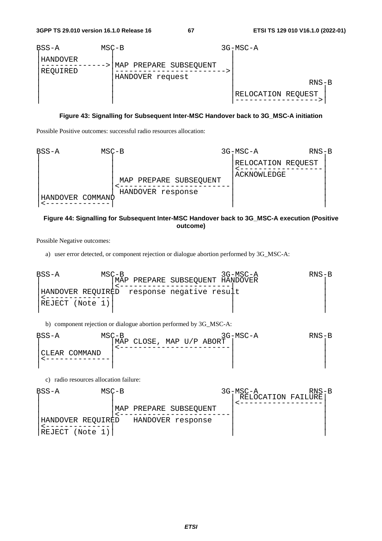

#### **Figure 43: Signalling for Subsequent Inter-MSC Handover back to 3G\_MSC-A initiation**

Possible Positive outcomes: successful radio resources allocation:



#### **Figure 44: Signalling for Subsequent Inter-MSC Handover back to 3G\_MSC-A execution (Positive outcome)**

Possible Negative outcomes:

a) user error detected, or component rejection or dialogue abortion performed by 3G\_MSC-A:

BSS-A MSC-B 3G-MSC-A RNS-B | |MAP PREPARE SUBSEQUENT HANDOVER | | |<------------------------| | |HANDOVER REQUIRED response negative result | |<--------------| | | |REJECT (Note 1)| | | | | | |

b) component rejection or dialogue abortion performed by 3G\_MSC-A:

| BSS-A |                | $MSC-B$ |                          |  | 3G-MSC-A | RNS-B |
|-------|----------------|---------|--------------------------|--|----------|-------|
|       |                |         | MAP CLOSE, MAP U/P ABORT |  |          |       |
|       | ICLEAR COMMAND |         |                          |  |          |       |

c) radio resources allocation failure:

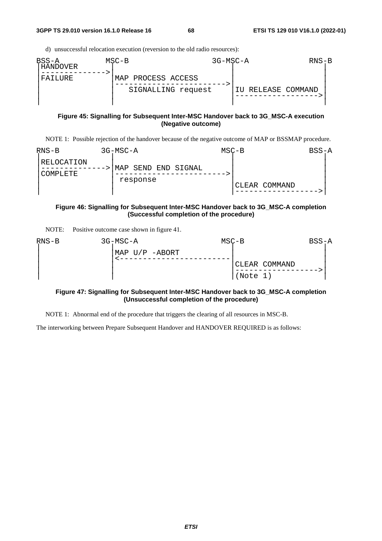d) unsuccessful relocation execution (reversion to the old radio resources):

| $BSS-A$<br>' HANDOVER | $MSC-B$            |                    | 3G-MSC-A           | $RNS-B$ |
|-----------------------|--------------------|--------------------|--------------------|---------|
| FAILURE               | MAP PROCESS ACCESS |                    |                    |         |
|                       |                    | SIGNALLING request | IU RELEASE COMMAND |         |
|                       |                    |                    |                    |         |

#### **Figure 45: Signalling for Subsequent Inter-MSC Handover back to 3G\_MSC-A execution (Negative outcome)**

NOTE 1: Possible rejection of the handover because of the negative outcome of MAP or BSSMAP procedure.

| $RNS-B$                | 3G-MSC-A                           | $MSC-B$ |               | BSS-A |
|------------------------|------------------------------------|---------|---------------|-------|
| RELOCATION<br>COMPLETE | SEND END SIGNAL<br>MAP<br>response |         | CLEAR COMMAND |       |

### **Figure 46: Signalling for Subsequent Inter-MSC Handover back to 3G\_MSC-A completion (Successful completion of the procedure)**

| NOTE: | Positive outcome case shown in figure 41. |  |  |  |
|-------|-------------------------------------------|--|--|--|
|-------|-------------------------------------------|--|--|--|

| RNS-B | 3G-MSC-A       | $MSC-B$ |               | BSS-A |
|-------|----------------|---------|---------------|-------|
|       | MAP U/P -ABORT |         |               |       |
|       |                |         | CLEAR COMMAND |       |
|       |                |         | (Note 1)      |       |

#### **Figure 47: Signalling for Subsequent Inter-MSC Handover back to 3G\_MSC-A completion (Unsuccessful completion of the procedure)**

NOTE 1: Abnormal end of the procedure that triggers the clearing of all resources in MSC-B.

The interworking between Prepare Subsequent Handover and HANDOVER REQUIRED is as follows: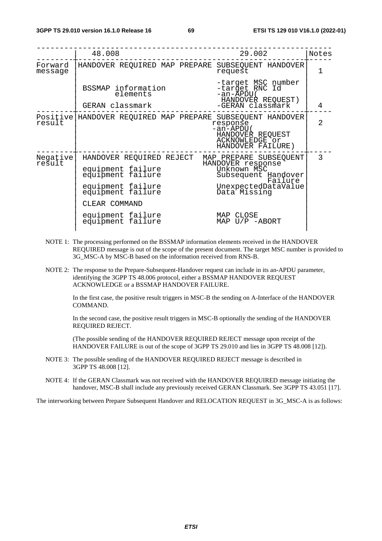|                     | 48.008                                                                                                                                                                  | 29.002                                                                                                                                                               | Notes          |
|---------------------|-------------------------------------------------------------------------------------------------------------------------------------------------------------------------|----------------------------------------------------------------------------------------------------------------------------------------------------------------------|----------------|
| Forward<br>message  |                                                                                                                                                                         | HANDOVER REQUIRED MAP PREPARE SUBSEQUENT HANDOVER<br>request                                                                                                         | 1              |
|                     | BSSMAP information<br>elements<br>GERAN classmark                                                                                                                       | -target MSC number<br>-target RNC Id<br>-an-APDU(<br>HANDOVER REQUEST)<br>-GERAN classmark                                                                           | 4              |
|                     |                                                                                                                                                                         |                                                                                                                                                                      |                |
| Positive <br>result |                                                                                                                                                                         | HANDOVER REQUIRED MAP PREPARE SUBSEQUENT HANDOVER<br>response<br>-an-APDU(<br>HANDOVER REQUEST<br>ACKNOWLEDGE or<br>HANDOVER FAILURE)                                | $\mathfrak{D}$ |
| Negative<br>result  | HANDOVER REQUIRED REJECT<br>equipment failure<br>equipment failure<br>equipment failure<br>equipment failure<br>CLEAR COMMAND<br>equipment failure<br>equipment failure | MAP PREPARE SUBSEQUENT<br>HANDOVER response<br>Unknown MSC<br>Subsequent Handover<br>Failure<br>UnexpectedDataValue<br>Data Missing<br>MAP CLOSE<br>MAP $U/P$ -ABORT | 3              |

- NOTE 1: The processing performed on the BSSMAP information elements received in the HANDOVER REQUIRED message is out of the scope of the present document. The target MSC number is provided to 3G\_MSC-A by MSC-B based on the information received from RNS-B.
- NOTE 2: The response to the Prepare-Subsequent-Handover request can include in its an-APDU parameter, identifying the 3GPP TS 48.006 protocol, either a BSSMAP HANDOVER REQUEST ACKNOWLEDGE or a BSSMAP HANDOVER FAILURE.

 In the first case, the positive result triggers in MSC-B the sending on A-Interface of the HANDOVER COMMAND.

 In the second case, the positive result triggers in MSC-B optionally the sending of the HANDOVER REQUIRED REJECT.

 (The possible sending of the HANDOVER REQUIRED REJECT message upon receipt of the HANDOVER FAILURE is out of the scope of 3GPP TS 29.010 and lies in 3GPP TS 48.008 [12]).

- NOTE 3: The possible sending of the HANDOVER REQUIRED REJECT message is described in 3GPP TS 48.008 [12].
- NOTE 4: If the GERAN Classmark was not received with the HANDOVER REQUIRED message initiating the handover, MSC-B shall include any previously received GERAN Classmark. See 3GPP TS 43.051 [17].

The interworking between Prepare Subsequent Handover and RELOCATION REQUEST in 3G\_MSC-A is as follows: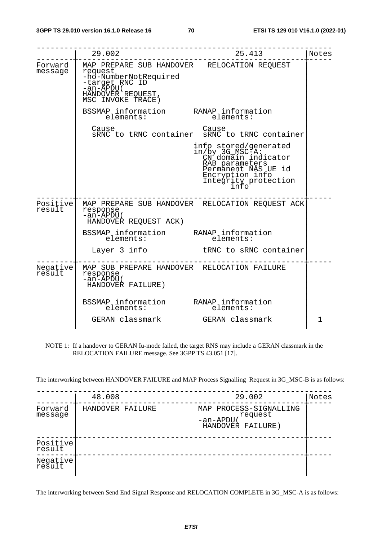|                     | 29.002<br>-----------------                                                                                                                                                     | 25.413                                                                                                                                                      | Notes |
|---------------------|---------------------------------------------------------------------------------------------------------------------------------------------------------------------------------|-------------------------------------------------------------------------------------------------------------------------------------------------------------|-------|
| message             | Forward   MAP PREPARE SUB HANDOVER RELOCATION REQUEST<br>request<br>-ho-NumberNotRequired<br>-target RNC ID<br>$-an \overline{APDU}$ (<br>HANDOVER REQUEST<br>MSC INVOKE TRACE) |                                                                                                                                                             |       |
|                     | BSSMAP information RANAP information<br>elements: elements:<br>elements:                                                                                                        | elements:                                                                                                                                                   |       |
|                     | Cause                                                                                                                                                                           | Cause<br>SRNC to tRNC container SRNC to tRNC container                                                                                                      |       |
|                     |                                                                                                                                                                                 | info stored/generated<br>in/by 3G_MSC-A:<br>CN domain indicator<br>RAB parameters<br>Permanent NAS UE id<br>Encryption info<br>Integrity protection<br>into |       |
| Positivel<br>result | response<br>$-an-APDU($<br>HANDOVER REQUEST ACK)                                                                                                                                | MAP PREPARE SUB HANDOVER RELOCATION REQUEST ACK                                                                                                             |       |
|                     | BSSMAP information RANAP information<br>elements: elements:<br>elements:                                                                                                        | elements:                                                                                                                                                   |       |
|                     |                                                                                                                                                                                 | Layer 3 info b tRNC to sRNC container                                                                                                                       |       |
| Negative <br>result | MAP SUB PREPARE HANDOVER RELOCATION FAILURE<br>response<br>$-an-APDU($<br>HANDOVER FAILURE)                                                                                     |                                                                                                                                                             |       |
|                     | BSSMAP information RANAP information<br>elements:<br>GERAN classmark GERAN classmark                                                                                            | elements:                                                                                                                                                   | 1     |

NOTE 1: If a handover to GERAN Iu-mode failed, the target RNS may include a GERAN classmark in the RELOCATION FAILURE message. See 3GPP TS 43.051 [17].

The interworking between HANDOVER FAILURE and MAP Process Signalling Request in 3G\_MSC-B is as follows:

|                    | 48.008           | 29.002                                                             | Notes |
|--------------------|------------------|--------------------------------------------------------------------|-------|
| Forward<br>message | HANDOVER FAILURE | MAP PROCESS-SIGNALLING<br>request<br>-an-APDU<br>HANDOVER FAILURE) |       |
| Positive<br>result |                  |                                                                    |       |
| Negative           |                  |                                                                    |       |

The interworking between Send End Signal Response and RELOCATION COMPLETE in 3G\_MSC-A is as follows: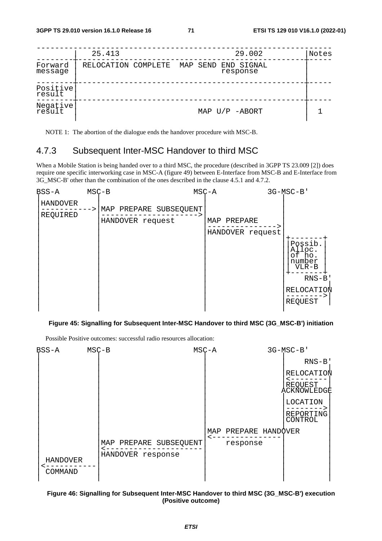|                    | 25.413              |  | 29.002                          | Notes |
|--------------------|---------------------|--|---------------------------------|-------|
| Forward<br>message | RELOCATION COMPLETE |  | MAP SEND END SIGNAL<br>response |       |
| Positive<br>result |                     |  |                                 |       |
| Negative<br>result |                     |  | MAP $U/P$ -ABORT                |       |

NOTE 1: The abortion of the dialogue ends the handover procedure with MSC-B.

## 4.7.3 Subsequent Inter-MSC Handover to third MSC

When a Mobile Station is being handed over to a third MSC, the procedure (described in 3GPP TS 23.009 [2]) does require one specific interworking case in MSC-A (figure 49) between E-Interface from MSC-B and E-Interface from 3G\_MSC-B' other than the combination of the ones described in the clause 4.5.1 and 4.7.2.



#### **Figure 45: Signalling for Subsequent Inter-MSC Handover to third MSC (3G\_MSC-B') initiation**

Possible Positive outcomes: successful radio resources allocation:



#### **Figure 46: Signalling for Subsequent Inter-MSC Handover to third MSC (3G\_MSC-B') execution (Positive outcome)**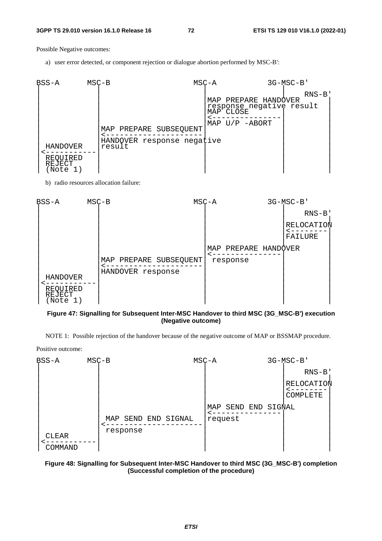Possible Negative outcomes:

a) user error detected, or component rejection or dialogue abortion performed by MSC-B':



b) radio resources allocation failure:



### **Figure 47: Signalling for Subsequent Inter-MSC Handover to third MSC (3G\_MSC-B') execution (Negative outcome)**

NOTE 1: Possible rejection of the handover because of the negative outcome of MAP or BSSMAP procedure.

Positive outcome:



### **Figure 48: Signalling for Subsequent Inter-MSC Handover to third MSC (3G\_MSC-B') completion (Successful completion of the procedure)**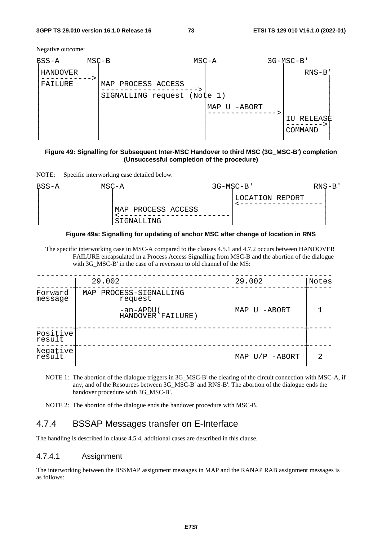#### **3GPP TS 29.010 version 16.1.0 Release 16 73 ETSI TS 129 010 V16.1.0 (2022-01)**

Negative outcome:

| BSS-A               | $MSC-B$ |                                                   | $MSC - A$ |                 | 3G-MSC-B'                     |  |
|---------------------|---------|---------------------------------------------------|-----------|-----------------|-------------------------------|--|
| HANDOVER<br>FAILURE |         | MAP PROCESS ACCESS<br>SIGNALLING request (Note 1) |           | MAP<br>U -ABORT | $RNS-B$<br>RELEASE<br>COMMAND |  |

### **Figure 49: Signalling for Subsequent Inter-MSC Handover to third MSC (3G\_MSC-B') completion (Unsuccessful completion of the procedure)**

NOTE: Specific interworking case detailed below.





The specific interworking case in MSC-A compared to the clauses 4.5.1 and 4.7.2 occurs between HANDOVER FAILURE encapsulated in a Process Access Signalling from MSC-B and the abortion of the dialogue with 3G\_MSC-B' in the case of a reversion to old channel of the MS:

|                    | 29.002                            | 29.002           | Notes |
|--------------------|-----------------------------------|------------------|-------|
| Forward<br>message | MAP PROCESS-SIGNALLING<br>request |                  |       |
|                    | -an-APDU(<br>HANDOVER FAILURE)    | MAP U -ABORT     |       |
| Positive<br>result |                                   |                  |       |
| Negative<br>result |                                   | MAP $U/P$ -ABORT | 2     |

NOTE 1: The abortion of the dialogue triggers in 3G\_MSC-B' the clearing of the circuit connection with MSC-A, if any, and of the Resources between 3G\_MSC-B' and RNS-B'. The abortion of the dialogue ends the handover procedure with 3G\_MSC-B'.

NOTE 2: The abortion of the dialogue ends the handover procedure with MSC-B.

# 4.7.4 BSSAP Messages transfer on E-Interface

The handling is described in clause 4.5.4, additional cases are described in this clause.

### 4.7.4.1 Assignment

The interworking between the BSSMAP assignment messages in MAP and the RANAP RAB assignment messages is as follows: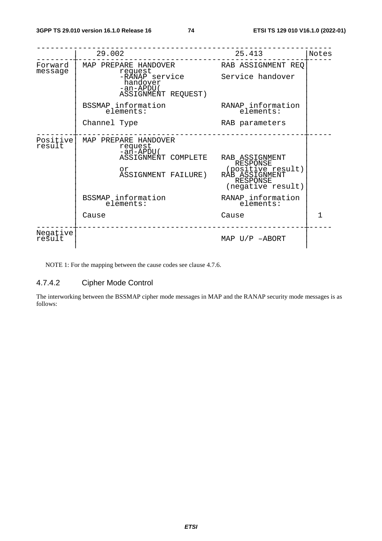|                    | 29.002                                                                                                                 | 25.413                                                                                                                         | Notes |
|--------------------|------------------------------------------------------------------------------------------------------------------------|--------------------------------------------------------------------------------------------------------------------------------|-------|
| Forward<br>message | MAP PREPARE HANDOVER<br>request                                                                                        | RAB ASSIGNMENT REO                                                                                                             |       |
|                    | -RĀNAP service<br>handover<br>-an-APDU(<br>ASSIGNMENT REQUEST)                                                         | Service handover                                                                                                               |       |
|                    | BSSMAP information<br>elements:                                                                                        | RANAP information<br>elements:                                                                                                 |       |
|                    | Channel Type                                                                                                           | RAB parameters                                                                                                                 |       |
| Positive<br>result | MAP PREPARE HANDOVER<br>request<br>-an-APDU(<br>ASSIGNMENT COMPLETE<br>or<br>ASSIGNMENT FAILURE)<br>BSSMAP information | RAB ASSIGNMENT<br>RESPONSE<br>(positive result)<br>RAB ASSIGNMENT<br><b>RESPONSE</b><br>(negative result)<br>RANAP information |       |
|                    | elements:                                                                                                              | elements:                                                                                                                      |       |
|                    | Cause                                                                                                                  | Cause                                                                                                                          | 1     |
| Negative<br>result |                                                                                                                        | MAP $U/P$ -ABORT                                                                                                               |       |

NOTE 1: For the mapping between the cause codes see clause 4.7.6.

# 4.7.4.2 Cipher Mode Control

The interworking between the BSSMAP cipher mode messages in MAP and the RANAP security mode messages is as follows: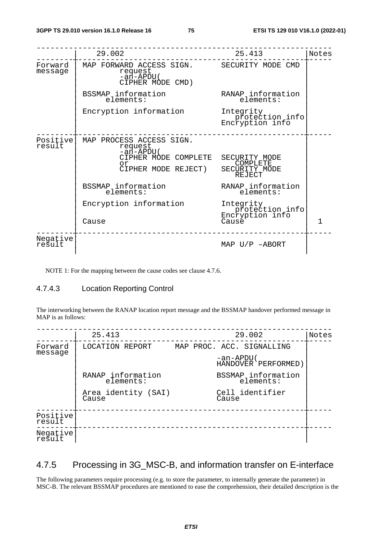|                    | 29.002                                                                                                                                               | 25.413                                                                                 | Notes |
|--------------------|------------------------------------------------------------------------------------------------------------------------------------------------------|----------------------------------------------------------------------------------------|-------|
| Forward<br>message | MAP FORWARD ACCESS SIGN. SECURITY MODE CMD<br>request<br>-an-APDU(<br>CIPHER MODE CMD)                                                               |                                                                                        |       |
|                    | BSSMAP information<br>elements:                                                                                                                      | RANAP information<br>elements:                                                         |       |
|                    | Encryption information                                                                                                                               | Integrity<br>pr̃otection info<br>Encryption info                                       |       |
| Positive<br>result | MAP PROCESS ACCESS SIGN.<br>request<br>-an-APDU(<br>CIPHER MODE COMPLETE<br>O <sub>T</sub><br>CIPHER MODE REJECT)<br>BSSMAP information<br>elements: | SECURITY MODE<br>COMPLETE<br>SECURITY MODE<br>REJECT<br>RANAP information<br>elements: |       |
|                    | Encryption information<br>Cause                                                                                                                      | Integrity<br>protection info<br>Encryption info<br>Cause <sup>-</sup>                  | 1     |
| Negative<br>result |                                                                                                                                                      | MAP $U/P$ -ABORT                                                                       |       |

NOTE 1: For the mapping between the cause codes see clause 4.7.6.

# 4.7.4.3 Location Reporting Control

The interworking between the RANAP location report message and the BSSMAP handover performed message in MAP is as follows:

|                    | 25.413                         | 29.002                            | Notes |
|--------------------|--------------------------------|-----------------------------------|-------|
| Forward<br>message | LOCATION REPORT                | MAP PROC. ACC. SIGNALLING         |       |
|                    |                                | -an-APDU (<br>HANDOVER PERFORMED) |       |
|                    | RANAP information<br>elements: | BSSMAP information<br>elements:   |       |
|                    | Area identity (SAI)<br>Cause   | Cell identifier<br>Cause          |       |
| Positive<br>result |                                |                                   |       |
| Negative<br>result |                                |                                   |       |

# 4.7.5 Processing in 3G\_MSC-B, and information transfer on E-interface

The following parameters require processing (e.g. to store the parameter, to internally generate the parameter) in MSC-B. The relevant BSSMAP procedures are mentioned to ease the comprehension, their detailed description is the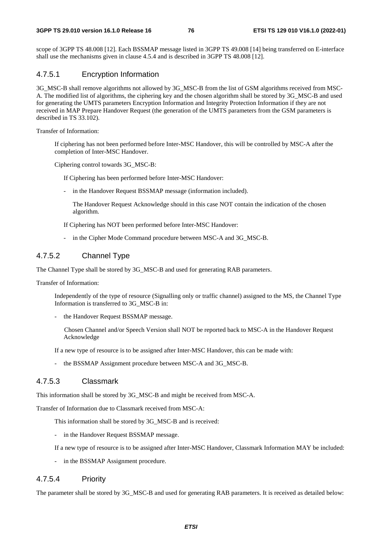scope of 3GPP TS 48.008 [12]. Each BSSMAP message listed in 3GPP TS 49.008 [14] being transferred on E-interface shall use the mechanisms given in clause 4.5.4 and is described in 3GPP TS 48.008 [12].

# 4.7.5.1 Encryption Information

3G\_MSC-B shall remove algorithms not allowed by 3G\_MSC-B from the list of GSM algorithms received from MSC-A. The modified list of algorithms, the ciphering key and the chosen algorithm shall be stored by 3G\_MSC-B and used for generating the UMTS parameters Encryption Information and Integrity Protection Information if they are not received in MAP Prepare Handover Request (the generation of the UMTS parameters from the GSM parameters is described in TS 33.102).

Transfer of Information:

 If ciphering has not been performed before Inter-MSC Handover, this will be controlled by MSC-A after the completion of Inter-MSC Handover.

Ciphering control towards 3G\_MSC-B:

If Ciphering has been performed before Inter-MSC Handover:

- in the Handover Request BSSMAP message (information included).

 The Handover Request Acknowledge should in this case NOT contain the indication of the chosen algorithm.

If Ciphering has NOT been performed before Inter-MSC Handover:

- in the Cipher Mode Command procedure between MSC-A and 3G\_MSC-B.

## 4.7.5.2 Channel Type

The Channel Type shall be stored by 3G\_MSC-B and used for generating RAB parameters.

Transfer of Information:

 Independently of the type of resource (Signalling only or traffic channel) assigned to the MS, the Channel Type Information is transferred to 3G\_MSC-B in:

the Handover Request BSSMAP message.

 Chosen Channel and/or Speech Version shall NOT be reported back to MSC-A in the Handover Request Acknowledge

If a new type of resource is to be assigned after Inter-MSC Handover, this can be made with:

the BSSMAP Assignment procedure between MSC-A and 3G\_MSC-B.

## 4.7.5.3 Classmark

This information shall be stored by 3G\_MSC-B and might be received from MSC-A.

Transfer of Information due to Classmark received from MSC-A:

This information shall be stored by 3G\_MSC-B and is received:

- in the Handover Request BSSMAP message.

If a new type of resource is to be assigned after Inter-MSC Handover, Classmark Information MAY be included:

- in the BSSMAP Assignment procedure.

## 4.7.5.4 Priority

The parameter shall be stored by 3G\_MSC-B and used for generating RAB parameters. It is received as detailed below: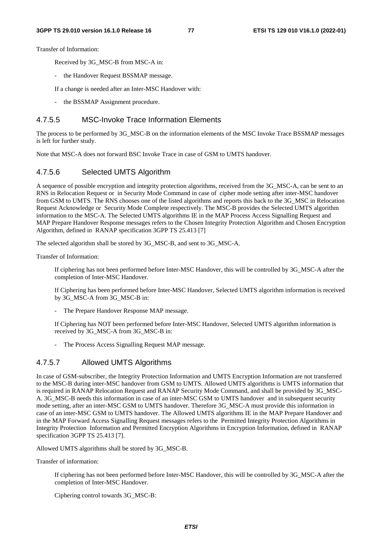Transfer of Information:

Received by 3G\_MSC-B from MSC-A in:

- the Handover Request BSSMAP message.
- If a change is needed after an Inter-MSC Handover with:
- the BSSMAP Assignment procedure.

# 4.7.5.5 MSC-Invoke Trace Information Elements

The process to be performed by 3G\_MSC-B on the information elements of the MSC Invoke Trace BSSMAP messages is left for further study.

Note that MSC-A does not forward BSC Invoke Trace in case of GSM to UMTS handover.

## 4.7.5.6 Selected UMTS Algorithm

A sequence of possible encryption and integrity protection algorithms, received from the 3G\_MSC-A, can be sent to an RNS in Relocation Request or in Security Mode Command in case of cipher mode setting after inter-MSC handover from GSM to UMTS. The RNS chooses one of the listed algorithms and reports this back to the 3G\_MSC in Relocation Request Acknowledge or Security Mode Complete respectively. The MSC-B provides the Selected UMTS algorithm information to the MSC-A. The Selected UMTS algorithms IE in the MAP Process Access Signalling Request and MAP Prepare Handover Response messages refers to the Chosen Integrity Protection Algorithm and Chosen Encryption Algorithm, defined in RANAP specification 3GPP TS 25.413 [7]

The selected algorithm shall be stored by 3G\_MSC-B, and sent to 3G\_MSC-A.

Transfer of Information:

 If ciphering has not been performed before Inter-MSC Handover, this will be controlled by 3G\_MSC-A after the completion of Inter-MSC Handover.

 If Ciphering has been performed before Inter-MSC Handover, Selected UMTS algorithm information is received by 3G\_MSC-A from 3G\_MSC-B in:

- The Prepare Handover Response MAP message.

 If Ciphering has NOT been performed before Inter-MSC Handover, Selected UMTS algorithm information is received by 3G\_MSC-A from 3G\_MSC-B in:

The Process Access Signalling Request MAP message.

## 4.7.5.7 Allowed UMTS Algorithms

In case of GSM-subscriber, the Integrity Protection Information and UMTS Encryption Information are not transferred to the MSC-B during inter-MSC handover from GSM to UMTS. Allowed UMTS algorithms is UMTS information that is required in RANAP Relocation Request and RANAP Security Mode Command, and shall be provided by 3G\_MSC-A. 3G\_MSC-B needs this information in case of an inter-MSC GSM to UMTS handover and in subsequent security mode setting, after an inter-MSC GSM to UMTS handover. Therefore 3G\_MSC-A must provide this information in case of an inter-MSC GSM to UMTS handover. The Allowed UMTS algorithms IE in the MAP Prepare Handover and in the MAP Forward Access Signalling Request messages refers to the Permitted Integrity Protection Algorithms in Integrity Protection Information and Permitted Encryption Algorithms in Encryption Information, defined in RANAP specification 3GPP TS 25.413 [7].

Allowed UMTS algorithms shall be stored by 3G\_MSC-B.

Transfer of information:

 If ciphering has not been performed before Inter-MSC Handover, this will be controlled by 3G\_MSC-A after the completion of Inter-MSC Handover.

Ciphering control towards 3G\_MSC-B: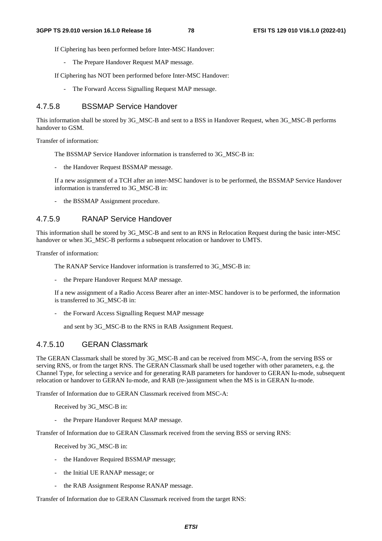If Ciphering has been performed before Inter-MSC Handover:

- The Prepare Handover Request MAP message.

If Ciphering has NOT been performed before Inter-MSC Handover:

- The Forward Access Signalling Request MAP message.

# 4.7.5.8 BSSMAP Service Handover

This information shall be stored by 3G\_MSC-B and sent to a BSS in Handover Request, when 3G\_MSC-B performs handover to GSM.

Transfer of information:

The BSSMAP Service Handover information is transferred to 3G\_MSC-B in:

the Handover Request BSSMAP message.

 If a new assignment of a TCH after an inter-MSC handover is to be performed, the BSSMAP Service Handover information is transferred to 3G\_MSC-B in:

- the BSSMAP Assignment procedure.

# 4.7.5.9 RANAP Service Handover

This information shall be stored by 3G\_MSC-B and sent to an RNS in Relocation Request during the basic inter-MSC handover or when 3G\_MSC-B performs a subsequent relocation or handover to UMTS.

Transfer of information:

The RANAP Service Handover information is transferred to 3G\_MSC-B in:

the Prepare Handover Request MAP message.

 If a new assignment of a Radio Access Bearer after an inter-MSC handover is to be performed, the information is transferred to 3G\_MSC-B in:

the Forward Access Signalling Request MAP message

and sent by 3G\_MSC-B to the RNS in RAB Assignment Request.

# 4.7.5.10 GERAN Classmark

The GERAN Classmark shall be stored by 3G\_MSC-B and can be received from MSC-A, from the serving BSS or serving RNS, or from the target RNS. The GERAN Classmark shall be used together with other parameters, e.g. the Channel Type, for selecting a service and for generating RAB parameters for handover to GERAN Iu-mode, subsequent relocation or handover to GERAN Iu-mode, and RAB (re-)assignment when the MS is in GERAN Iu-mode.

Transfer of Information due to GERAN Classmark received from MSC-A:

Received by 3G\_MSC-B in:

the Prepare Handover Request MAP message.

Transfer of Information due to GERAN Classmark received from the serving BSS or serving RNS:

Received by 3G\_MSC-B in:

- the Handover Required BSSMAP message;
- the Initial UE RANAP message; or
- the RAB Assignment Response RANAP message.

Transfer of Information due to GERAN Classmark received from the target RNS: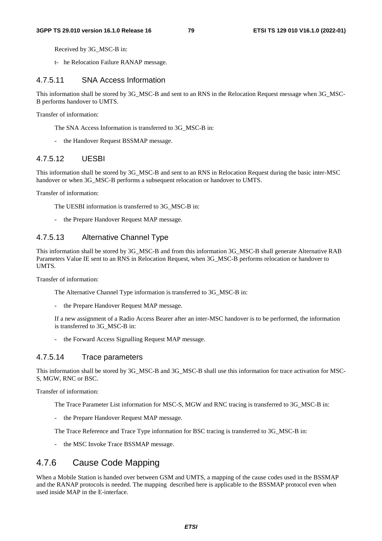Received by 3G\_MSC-B in:

t- he Relocation Failure RANAP message.

### 4.7.5.11 SNA Access Information

This information shall be stored by 3G\_MSC-B and sent to an RNS in the Relocation Request message when 3G\_MSC-B performs handover to UMTS.

Transfer of information:

- The SNA Access Information is transferred to 3G\_MSC-B in:
- the Handover Request BSSMAP message.

### 4.7.5.12 UESBI

This information shall be stored by 3G\_MSC-B and sent to an RNS in Relocation Request during the basic inter-MSC handover or when 3G\_MSC-B performs a subsequent relocation or handover to UMTS.

Transfer of information:

The UESBI information is transferred to 3G\_MSC-B in:

- the Prepare Handover Request MAP message.

# 4.7.5.13 Alternative Channel Type

This information shall be stored by 3G\_MSC-B and from this information 3G\_MSC-B shall generate Alternative RAB Parameters Value IE sent to an RNS in Relocation Request, when 3G\_MSC-B performs relocation or handover to UMTS.

Transfer of information:

The Alternative Channel Type information is transferred to 3G\_MSC-B in:

the Prepare Handover Request MAP message.

 If a new assignment of a Radio Access Bearer after an inter-MSC handover is to be performed, the information is transferred to 3G\_MSC-B in:

- the Forward Access Signalling Request MAP message.

### 4.7.5.14 Trace parameters

This information shall be stored by 3G\_MSC-B and 3G\_MSC-B shall use this information for trace activation for MSC-S, MGW, RNC or BSC.

Transfer of information:

The Trace Parameter List information for MSC-S, MGW and RNC tracing is transferred to 3G\_MSC-B in:

- the Prepare Handover Request MAP message.

The Trace Reference and Trace Type information for BSC tracing is transferred to 3G\_MSC-B in:

- the MSC Invoke Trace BSSMAP message.

# 4.7.6 Cause Code Mapping

When a Mobile Station is handed over between GSM and UMTS, a mapping of the cause codes used in the BSSMAP and the RANAP protocols is needed. The mapping described here is applicable to the BSSMAP protocol even when used inside MAP in the E-interface.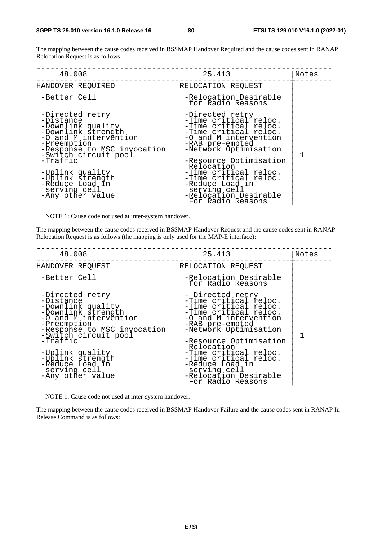The mapping between the cause codes received in BSSMAP Handover Required and the cause codes sent in RANAP Relocation Request is as follows:

| 48.008                                                                                                                                                                                                                                                                           | 25.413                                                                                                                                                                                                                                                                                                                                     | Notes |
|----------------------------------------------------------------------------------------------------------------------------------------------------------------------------------------------------------------------------------------------------------------------------------|--------------------------------------------------------------------------------------------------------------------------------------------------------------------------------------------------------------------------------------------------------------------------------------------------------------------------------------------|-------|
| HANDOVER REQUIRED                                                                                                                                                                                                                                                                | RELOCATION REQUEST                                                                                                                                                                                                                                                                                                                         |       |
| -Better Cell                                                                                                                                                                                                                                                                     | -Relocation Desirable<br>for Radio Reasons                                                                                                                                                                                                                                                                                                 |       |
| -Directed retry<br>-Distance<br>-Downlink quality<br>-Downlink strength<br>-0 and M intervention<br>-Preemption<br>-Response to MSC invocation<br>-Switch circuit pool<br>-Traffic<br>-Uplink quality<br>-Uplink strength<br>-Reduce Load in<br>serving cell<br>-Any other value | -Directed retry<br>-Time critical reloc.<br>-Time critical reloc.<br>-Time critical reloc.<br>-O and M intervention<br>-RAB pre-empted<br>-Network Optimisation<br>-Resource Optimisation<br>Relocation<br>-Time critical reloc.<br>-Time critical reloc.<br>-Reduce Load in<br>serving cell<br>-Relocation Desirable<br>For Radio Reasons |       |

NOTE 1: Cause code not used at inter-system handover.

The mapping between the cause codes received in BSSMAP Handover Request and the cause codes sent in RANAP Relocation Request is as follows (the mapping is only used for the MAP-E interface):

| 48.008                                                                                                                                                                                                                                                                           | 25.413                                                                                                                                                                                                                                                                                                                                      | Notes |
|----------------------------------------------------------------------------------------------------------------------------------------------------------------------------------------------------------------------------------------------------------------------------------|---------------------------------------------------------------------------------------------------------------------------------------------------------------------------------------------------------------------------------------------------------------------------------------------------------------------------------------------|-------|
| HANDOVER REQUEST                                                                                                                                                                                                                                                                 | RELOCATION REQUEST                                                                                                                                                                                                                                                                                                                          |       |
| -Better Cell                                                                                                                                                                                                                                                                     | -Relocation Desirable<br>for Radio Reasons                                                                                                                                                                                                                                                                                                  |       |
| -Directed retry<br>-Distance<br>-Downlink quality<br>-Downlink strength<br>-0 and M intervention<br>-Preemption<br>-Response to MSC invocation<br>-Switch circuit pool<br>-Traffic<br>-Uplink quality<br>-Uplink strength<br>-Reduce Load in<br>serving cell<br>-Any other value | - Directed retry<br>-Time critical reloc.<br>-Time critical reloc.<br>-Time critical reloc.<br>-0 and M intervention<br>-RAB pre-empted<br>-Network Optimisation<br>-Resource Optimisation<br>Relocation<br>-Time critical reloc.<br>-Time critical reloc.<br>-Reduce Load in<br>serving cell<br>-Relocation Desirable<br>For Radio Reasons |       |

NOTE 1: Cause code not used at inter-system handover.

The mapping between the cause codes received in BSSMAP Handover Failure and the cause codes sent in RANAP Iu Release Command is as follows: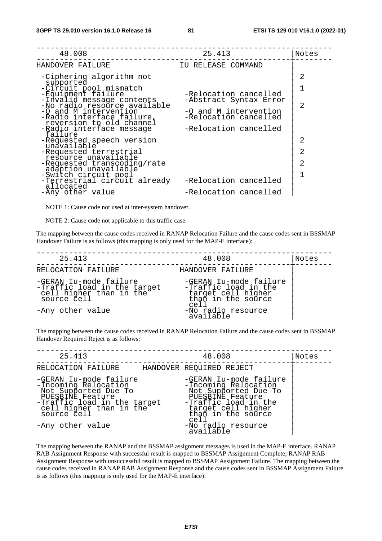| 48.008                                                                         | 25.413                                         | Notes |
|--------------------------------------------------------------------------------|------------------------------------------------|-------|
| HANDOVER FAILURE                                                               | IU RELEASE COMMAND                             |       |
| -Ciphering algorithm not                                                       |                                                | 2     |
| supported<br>-Circuit pool mismatch<br>-Equipment failure                      | -Relocation cancelled                          |       |
| -Invalid message contents<br>-No radio resource available                      | -Abstract Syntax Error                         | 2     |
| -O and M intervention<br>-Radio interface failure,<br>reversion to old channel | -O and M intervention<br>-Relocation cancelled |       |
| -Radio interface message<br>failure                                            | -Relocation cancelled                          |       |
| -Requested speech version<br>unavailable                                       |                                                | 2     |
| -Requested terrestrial<br>resource unavailable                                 |                                                | 2     |
| -Requested transcoding/rate<br>adaption unavailable                            |                                                | 2     |
| -Switch circuit pool<br>-Terrestrial circuit already                           | -Relocation cancelled                          |       |
| allocated<br>-Any other value                                                  | -Relocation cancelled                          |       |

NOTE 1: Cause code not used at inter-system handover.

NOTE 2: Cause code not applicable to this traffic case.

The mapping between the cause codes received in RANAP Relocation Failure and the cause codes sent in BSSMAP Handover Failure is as follows (this mapping is only used for the MAP-E interface):

| 25.413                                                                                          | 48.008                                                                                             | Notes |
|-------------------------------------------------------------------------------------------------|----------------------------------------------------------------------------------------------------|-------|
| RELOCATION FAILURE                                                                              | HANDOVER FAILURE                                                                                   |       |
| -GERAN Iu-mode failure<br>-Traffic load in the target<br>cell higher than in the<br>source cell | -GERAN Iu-mode failure<br>-Traffic load in the<br>target cell higher<br>than in the source<br>cell |       |
| -Any other value                                                                                | -No radio resource<br>available                                                                    |       |

The mapping between the cause codes received in RANAP Relocation Failure and the cause codes sent in BSSMAP Handover Required Reject is as follows:

| 25.413                                                                                                                                                              | 48.008                                                                                                                                                                 | Notes |
|---------------------------------------------------------------------------------------------------------------------------------------------------------------------|------------------------------------------------------------------------------------------------------------------------------------------------------------------------|-------|
| RELOCATION FAILURE                                                                                                                                                  | HANDOVER REQUIRED REJECT                                                                                                                                               |       |
| -GERAN Iu-mode failure<br>-Incoming Relocation<br>Not Supported Due To<br>PUESBINE Feature<br>-Traffic load in the target<br>cell higher than in the<br>source cell | -GERAN Iu-mode failure<br>-Incoming Relocation<br>Not Supported Due To<br>PUESBINE Feature<br>-Traffic load in the<br>target cell higher<br>than in the source<br>cell |       |
| -Any other value                                                                                                                                                    | -No radio resource<br>available                                                                                                                                        |       |

The mapping between the RANAP and the BSSMAP assignment messages is used in the MAP-E interface. RANAP RAB Assignment Response with successful result is mapped to BSSMAP Assignment Complete; RANAP RAB Assignment Response with unsuccessful result is mapped to BSSMAP Assignment Failure. The mapping between the cause codes received in RANAP RAB Assignment Response and the cause codes sent in BSSMAP Assignment Failure is as follows (this mapping is only used for the MAP-E interface):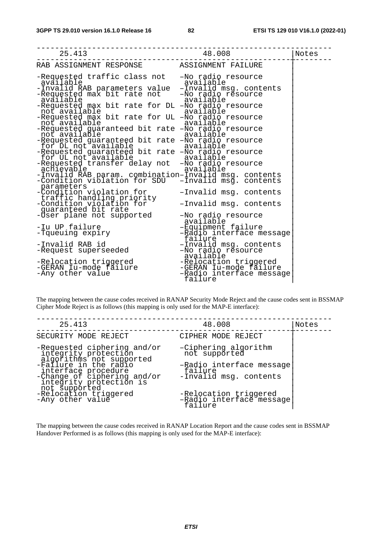| 25.413                                                                                                                                                                                                                                                                                                                                                                                                                                                                                                                                                                                                                                                                                                                                              | 48.008                                                                                                        | Notes |
|-----------------------------------------------------------------------------------------------------------------------------------------------------------------------------------------------------------------------------------------------------------------------------------------------------------------------------------------------------------------------------------------------------------------------------------------------------------------------------------------------------------------------------------------------------------------------------------------------------------------------------------------------------------------------------------------------------------------------------------------------------|---------------------------------------------------------------------------------------------------------------|-------|
| RAB ASSIGNMENT RESPONSE ASSIGNMENT FAILURE                                                                                                                                                                                                                                                                                                                                                                                                                                                                                                                                                                                                                                                                                                          |                                                                                                               |       |
| -Requested traffic class not<br>available<br>-Invalid RAB parameters value -Invalid msg. content-<br>-Requested max bit rate not -No radio resource<br>-Requested max bit rate for DL -No radio resource<br>not available<br>-Requested max bit rate for UL -No radio resource<br>not available<br>-Requested guaranteed bit rate -No radio resource<br>not available<br>-Requested guaranteed bit rate -No radio resource<br>for DL not available<br>-Requested guaranteed bit rate -No radio resource<br>for UL not available available available<br>-Requested transfer delay not -No radio resource<br>achievable<br>-Invalid RAB param. combination-Invalid msg. contents<br>-Condition violation for SDU -Invalid msg. contents<br>parameters | -No radio resource<br>-Invalid msg. contents<br>available<br>available<br>available<br>available<br>available |       |
| -Condition violation for<br>traffic handling priority<br>-Condition violation for                                                                                                                                                                                                                                                                                                                                                                                                                                                                                                                                                                                                                                                                   | -Invalid msg. contents<br>-Invalid msg. contents                                                              |       |
| guaranteed bit rate<br>-Ŭser plane not supported<br>-Iu UP failure                                                                                                                                                                                                                                                                                                                                                                                                                                                                                                                                                                                                                                                                                  | -No radio resource<br>available<br>-Equipment failure                                                         |       |
| -Tqueuing expiry<br>-Invalid RAB id<br>-Request superseeded                                                                                                                                                                                                                                                                                                                                                                                                                                                                                                                                                                                                                                                                                         | -Radio interface message<br>failure<br>-Invalid msg. contents<br>-No radio resource<br>available              |       |
| -Relocation triggered<br>-GERAN Iu-mode fāilure<br>-Any other value                                                                                                                                                                                                                                                                                                                                                                                                                                                                                                                                                                                                                                                                                 | -Relocation triggered<br>-GERAN Iu-mode failure<br>-Radio interface message<br>failure                        |       |

The mapping between the cause codes received in RANAP Security Mode Reject and the cause codes sent in BSSMAP Cipher Mode Reject is as follows (this mapping is only used for the MAP-E interface):

| 25.413                                                                                                   | 48.008                                                        | Notes |
|----------------------------------------------------------------------------------------------------------|---------------------------------------------------------------|-------|
| SECURITY MODE REJECT                                                                                     | CIPHER MODE REJECT                                            |       |
| -Requested ciphering and/or<br>integrity protection<br>algorithms not supported<br>-Failure in the radio | -Ciphering algorithm<br>not supported                         |       |
| interface procedure<br>-Change of ciphering and/or<br>integrity protection is<br>not supported           | -Radio interface message<br>failure<br>-Invalid msg. contents |       |
| -Relocation triggered<br>-Any other value                                                                | -Relocation triggered<br>-Radio interface message<br>failure  |       |

The mapping between the cause codes received in RANAP Location Report and the cause codes sent in BSSMAP Handover Performed is as follows (this mapping is only used for the MAP-E interface):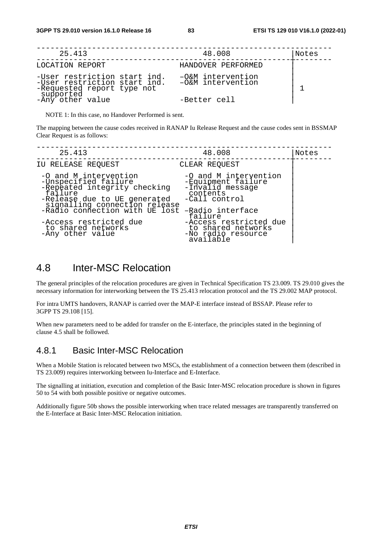| 25.413                                                       | 48.008                                 | Notes |
|--------------------------------------------------------------|----------------------------------------|-------|
| LOCATION REPORT                                              | HANDOVER PERFORMED                     |       |
| -User restriction start ind.<br>-User restriction start ind. | -O&M intervention<br>-O&M intervention |       |
| -Requested report type not<br>supported<br>-Any other value  | -Better cell                           |       |

NOTE 1: In this case, no Handover Performed is sent.

The mapping between the cause codes received in RANAP Iu Release Request and the cause codes sent in BSSMAP Clear Request is as follows:

| 25.413                                                                                                                                                                                      | 48.008                                                                                                                      | Notes |
|---------------------------------------------------------------------------------------------------------------------------------------------------------------------------------------------|-----------------------------------------------------------------------------------------------------------------------------|-------|
| IU RELEASE REQUEST                                                                                                                                                                          | CLEAR REOUEST                                                                                                               |       |
| -O and M intervention<br>-Unspecified failure<br>-Repeated integrity checking<br>failure<br>-Release due to UE generated<br>signalling connection release<br>-Radio connection with UE lost | -O and M intervention<br>-Equipment failure<br>-Invalid message<br>contents<br>-Call control<br>-Radio interface<br>failure |       |
| -Access restricted due<br>to shared networks<br>-Any other value                                                                                                                            | -Access restricted due<br>to shared networks<br>-No radio resource<br>available                                             |       |

# 4.8 Inter-MSC Relocation

The general principles of the relocation procedures are given in Technical Specification TS 23.009. TS 29.010 gives the necessary information for interworking between the TS 25.413 relocation protocol and the TS 29.002 MAP protocol.

For intra UMTS handovers, RANAP is carried over the MAP-E interface instead of BSSAP. Please refer to 3GPP TS 29.108 [15].

When new parameters need to be added for transfer on the E-interface, the principles stated in the beginning of clause 4.5 shall be followed.

# 4.8.1 Basic Inter-MSC Relocation

When a Mobile Station is relocated between two MSCs, the establishment of a connection between them (described in TS 23.009) requires interworking between Iu-Interface and E-Interface.

The signalling at initiation, execution and completion of the Basic Inter-MSC relocation procedure is shown in figures 50 to 54 with both possible positive or negative outcomes.

Additionally figure 50b shows the possible interworking when trace related messages are transparently transferred on the E-Interface at Basic Inter-MSC Relocation initiation.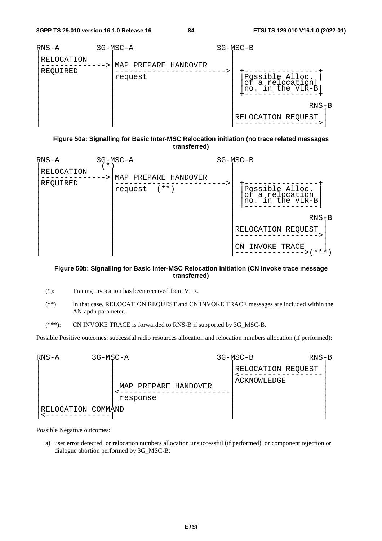

**Figure 50a: Signalling for Basic Inter-MSC Relocation initiation (no trace related messages transferred)** 

| $RNS-A$                | $\star$ | 3G-MSC-A                                    | 3G-MSC-B                                               |
|------------------------|---------|---------------------------------------------|--------------------------------------------------------|
| RELOCATION<br>REQUIRED |         | MAP PREPARE HANDOVER<br>$(* * )$<br>request | Possible Alloc.<br>of a relocation<br>no. in the VLR-B |
|                        |         |                                             | $RNS-B$                                                |
|                        |         |                                             | RELOCATION REQUEST                                     |
|                        |         |                                             | INVOKE TRACE<br>CN<br>***                              |

### **Figure 50b: Signalling for Basic Inter-MSC Relocation initiation (CN invoke trace message transferred)**

- (\*): Tracing invocation has been received from VLR.
- (\*\*): In that case, RELOCATION REQUEST and CN INVOKE TRACE messages are included within the AN-apdu parameter.
- (\*\*\*): CN INVOKE TRACE is forwarded to RNS-B if supported by 3G\_MSC-B.

Possible Positive outcomes: successful radio resources allocation and relocation numbers allocation (if performed):



Possible Negative outcomes:

a) user error detected, or relocation numbers allocation unsuccessful (if performed), or component rejection or dialogue abortion performed by 3G\_MSC-B: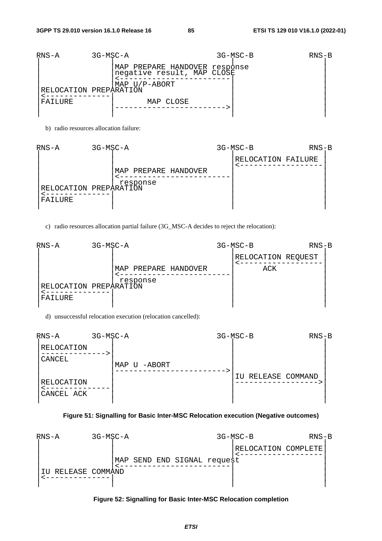| $RNS-A$                           | 3G-MSC-A |                                                                                           | $3G-MSC-B$ | $RNS-B$ |  |
|-----------------------------------|----------|-------------------------------------------------------------------------------------------|------------|---------|--|
| RELOCATION PREPARATION<br>FAILURE |          | MAP PREPARE HANDOVER response<br>negative result, MAP CLOSE<br>MAP U/P-ABORT<br>MAP CLOSE |            |         |  |
|                                   |          |                                                                                           |            |         |  |

b) radio resources allocation failure:

| $RNS-A$                           | 3G-MSC-A |                                  |  | $3G-MSC-B$         | $RNS-B$ |  |
|-----------------------------------|----------|----------------------------------|--|--------------------|---------|--|
| RELOCATION PREPARATION<br>FAILURE |          | MAP PREPARE HANDOVER<br>response |  | RELOCATION FAILURE |         |  |

c) radio resources allocation partial failure (3G\_MSC-A decides to reject the relocation):

| RNS-A                             | 3G-MSC-A |                                  |  | $3G-MSC-B$                | $RNS-B$ |  |
|-----------------------------------|----------|----------------------------------|--|---------------------------|---------|--|
| RELOCATION PREPARATION<br>FAILURE |          | MAP PREPARE HANDOVER<br>response |  | RELOCATION REQUEST<br>ACK |         |  |

d) unsuccessful relocation execution (relocation cancelled):

| $RNS-A$                  | 3G-MSC-A |              | 3G-MSC-B               | $RNS-B$ |  |
|--------------------------|----------|--------------|------------------------|---------|--|
| RELOCATION               |          |              |                        |         |  |
| CANCEL                   |          | MAP U -ABORT |                        |         |  |
| RELOCATION<br>CANCEL ACK |          |              | RELEASE COMMAND<br>IU. |         |  |

### **Figure 51: Signalling for Basic Inter-MSC Relocation execution (Negative outcomes)**



**Figure 52: Signalling for Basic Inter-MSC Relocation completion**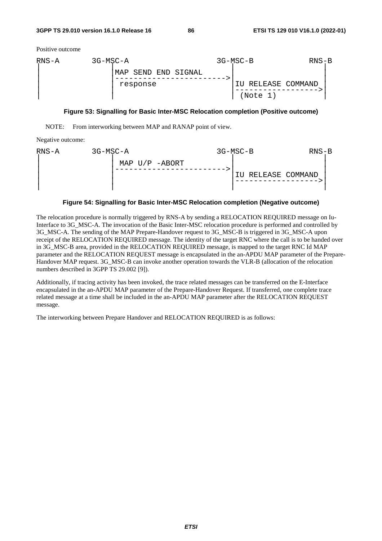Positive outcome



#### **Figure 53: Signalling for Basic Inter-MSC Relocation completion (Positive outcome)**

NOTE: From interworking between MAP and RANAP point of view.

Negative outcome:

| RNS-A | 3G-MSC-A |                | 3G-MSC-B           | $RNS-B$ |
|-------|----------|----------------|--------------------|---------|
|       |          | MAP U/P -ABORT | IU RELEASE COMMAND |         |

### **Figure 54: Signalling for Basic Inter-MSC Relocation completion (Negative outcome)**

The relocation procedure is normally triggered by RNS-A by sending a RELOCATION REQUIRED message on Iu-Interface to 3G\_MSC-A. The invocation of the Basic Inter-MSC relocation procedure is performed and controlled by 3G\_MSC-A. The sending of the MAP Prepare-Handover request to 3G\_MSC-B is triggered in 3G\_MSC-A upon receipt of the RELOCATION REQUIRED message. The identity of the target RNC where the call is to be handed over in 3G\_MSC-B area, provided in the RELOCATION REQUIRED message, is mapped to the target RNC Id MAP parameter and the RELOCATION REQUEST message is encapsulated in the an-APDU MAP parameter of the Prepare-Handover MAP request. 3G\_MSC-B can invoke another operation towards the VLR-B (allocation of the relocation numbers described in 3GPP TS 29.002 [9]).

Additionally, if tracing activity has been invoked, the trace related messages can be transferred on the E-Interface encapsulated in the an-APDU MAP parameter of the Prepare-Handover Request. If transferred, one complete trace related message at a time shall be included in the an-APDU MAP parameter after the RELOCATION REQUEST message.

The interworking between Prepare Handover and RELOCATION REQUIRED is as follows: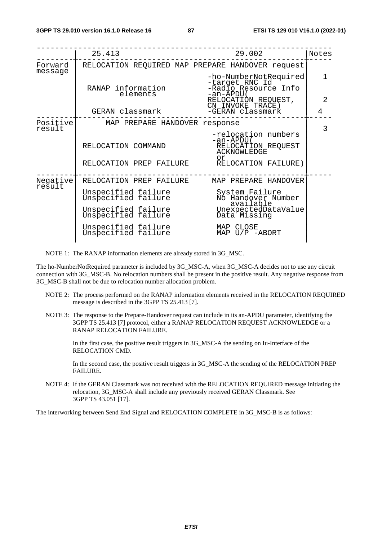|                    | 25.413                                        | 29.002                                                                                              | Notes          |  |  |  |
|--------------------|-----------------------------------------------|-----------------------------------------------------------------------------------------------------|----------------|--|--|--|
| Forward<br>message |                                               | RELOCATION REQUIRED MAP PREPARE HANDOVER request                                                    |                |  |  |  |
|                    | RANAP information<br>elements                 | -ho-NumberNotRequired<br>-target RNC Id<br>-Radio Resource Info<br>-an-APDU (                       | $\mathbf{1}$   |  |  |  |
|                    |                                               | RELOCATIÓN REQUEST,<br>CN INVOKE TRACE)                                                             | $\overline{2}$ |  |  |  |
|                    | GERAN classmark                               | -GERAN classmark                                                                                    | 4              |  |  |  |
| Positive<br>result | MAP PREPARE HANDOVER response                 |                                                                                                     | $\overline{3}$ |  |  |  |
|                    | RELOCATION COMMAND<br>RELOCATION PREP FAILURE | -relocation numbers<br>-an-APDU (<br>RELOCATION REQUEST<br>ACKNOWLEDGE<br>or<br>RELOCATION FAILURE) |                |  |  |  |
| Negative<br>result | RELOCATION PREP FAILURE                       | MAP PREPARE HANDOVER                                                                                |                |  |  |  |
|                    | Unspecified failure<br>Unspecified failure    | System Failure<br>No Handover Number<br>available                                                   |                |  |  |  |
|                    | Unspecified failure<br>Unspecified failure    | UnexpectedDataValue<br>Data Missing                                                                 |                |  |  |  |
|                    | Unspecified failure<br>Unspecified failure    | MAP CLOSE<br>MAP $U/P$ -ABORT                                                                       |                |  |  |  |
|                    |                                               |                                                                                                     |                |  |  |  |

NOTE 1: The RANAP information elements are already stored in 3G\_MSC.

The ho-NumberNotRequired parameter is included by 3G\_MSC-A, when 3G\_MSC-A decides not to use any circuit connection with 3G\_MSC-B. No relocation numbers shall be present in the positive result. Any negative response from 3G\_MSC-B shall not be due to relocation number allocation problem.

- NOTE 2: The process performed on the RANAP information elements received in the RELOCATION REQUIRED message is described in the 3GPP TS 25.413 [7].
- NOTE 3: The response to the Prepare-Handover request can include in its an-APDU parameter, identifying the 3GPP TS 25.413 [7] protocol, either a RANAP RELOCATION REQUEST ACKNOWLEDGE or a RANAP RELOCATION FAILURE.

 In the first case, the positive result triggers in 3G\_MSC-A the sending on Iu-Interface of the RELOCATION CMD.

In the second case, the positive result triggers in 3G\_MSC-A the sending of the RELOCATION PREP FAILURE.

NOTE 4: If the GERAN Classmark was not received with the RELOCATION REQUIRED message initiating the relocation, 3G\_MSC-A shall include any previously received GERAN Classmark. See 3GPP TS 43.051 [17].

The interworking between Send End Signal and RELOCATION COMPLETE in 3G\_MSC-B is as follows: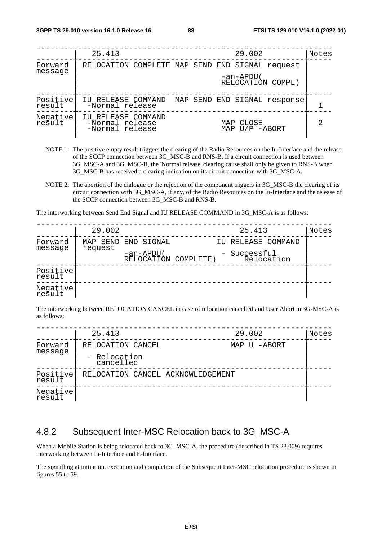|                     | 25.413                                                   | 29.002                          | Notes |
|---------------------|----------------------------------------------------------|---------------------------------|-------|
| Forward             | RELOCATION COMPLETE MAP SEND END SIGNAL request          |                                 |       |
| message             |                                                          | -an-APDU (<br>RELOCATION COMPL) |       |
| Positive<br>result  | IU RELEASE COMMAND<br>-Normal release                    | MAP SEND END SIGNAL response    |       |
| Negative <br>result | IU RELEASE COMMAND<br>-Normal release<br>-Normal release | MAP CLOSE<br>MAP U/P -ABORT     | 2     |

- NOTE 1: The positive empty result triggers the clearing of the Radio Resources on the Iu-Interface and the release of the SCCP connection between 3G\_MSC-B and RNS-B. If a circuit connection is used between 3G\_MSC-A and 3G\_MSC-B, the 'Normal release' clearing cause shall only be given to RNS-B when 3G\_MSC-B has received a clearing indication on its circuit connection with 3G\_MSC-A.
- NOTE 2: The abortion of the dialogue or the rejection of the component triggers in 3G\_MSC-B the clearing of its circuit connection with 3G\_MSC-A, if any, of the Radio Resources on the Iu-Interface and the release of the SCCP connection between 3G\_MSC-B and RNS-B.

The interworking between Send End Signal and IU RELEASE COMMAND in 3G\_MSC-A is as follows:

|                    | 29.002   |                                   | 25.413                     | Notes |
|--------------------|----------|-----------------------------------|----------------------------|-------|
| Forward            | MAP SEND | END SIGNAL                        | IU RELEASE COMMAND         |       |
| message            | request  | -an-APDU(<br>RELOCATION COMPLETE) | - Successful<br>Relocation |       |
| Positive<br>result |          |                                   |                            |       |
| Negative<br>result |          |                                   |                            |       |

The interworking between RELOCATION CANCEL in case of relocation cancelled and User Abort in 3G-MSC-A is as follows:

|                    | 25.413                            | 29.002       | Notes |
|--------------------|-----------------------------------|--------------|-------|
| Forward<br>message | RELOCATION CANCEL                 | MAP U -ABORT |       |
|                    | - Relocation<br>cancelled         |              |       |
| Positive<br>result | RELOCATION CANCEL ACKNOWLEDGEMENT |              |       |
| Negative<br>result |                                   |              |       |

# 4.8.2 Subsequent Inter-MSC Relocation back to 3G\_MSC-A

When a Mobile Station is being relocated back to 3G\_MSC-A, the procedure (described in TS 23.009) requires interworking between Iu-Interface and E-Interface.

The signalling at initiation, execution and completion of the Subsequent Inter-MSC relocation procedure is shown in figures 55 to 59.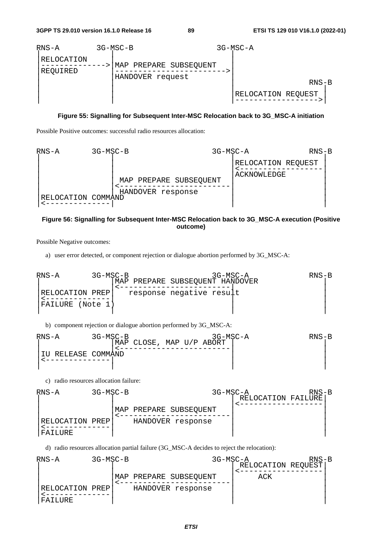

### **Figure 55: Signalling for Subsequent Inter-MSC Relocation back to 3G\_MSC-A initiation**

Possible Positive outcomes: successful radio resources allocation:



### **Figure 56: Signalling for Subsequent Inter-MSC Relocation back to 3G\_MSC-A execution (Positive outcome)**

Possible Negative outcomes:

a) user error detected, or component rejection or dialogue abortion performed by 3G\_MSC-A:

RNS-A 3G-MSC-B 3G-MSC-A RNS-B | |MAP PREPARE SUBSEQUENT HANDOVER | | |<------------------------| | |RELOCATION PREP| response negative result | |<--------------| | | |FAILURE (Note 1) | | | | | |

b) component rejection or dialogue abortion performed by 3G\_MSC-A:

$$
\begin{array}{c}\n\text{RNS-A} & 3G-MSC-B \\
\text{MAP CLOSE, MAP U/P ABORT} \\
\downarrow & \text{LUELEASE} \\
\hline\n\end{array}\n\qquad\n\begin{array}{c}\n\text{RNS}-\text{B} \\
\text{MAP CLOSE, MAP U/P ABORT} \\
\downarrow & \text{LUELEASE} \\
\hline\n\end{array}\n\qquad\n\begin{array}{c}\n\text{RNS}-\text{B} \\
\hline\n\end{array}
$$

c) radio resources allocation failure:



d) radio resources allocation partial failure (3G\_MSC-A decides to reject the relocation):

| RNS-A           | 3G-MSC-B | 3G-MSC-A               |                    | $RNS-B$ |
|-----------------|----------|------------------------|--------------------|---------|
|                 |          |                        | RELOCATION REQUEST |         |
|                 |          | MAP PREPARE SUBSEQUENT | ACK                |         |
| RELOCATION PREP |          | HANDOVER response      |                    |         |
| FAILURE         |          |                        |                    |         |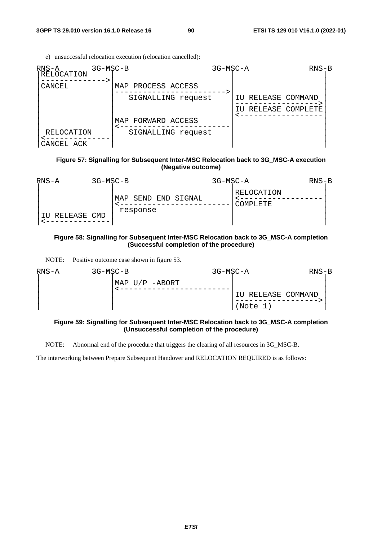e) unsuccessful relocation execution (relocation cancelled):

| $RNS-A$<br>RELOCATION    | 3G-MSC-B              | 3G-MSC-A               | $RNS-B$ |
|--------------------------|-----------------------|------------------------|---------|
| CANCEL                   | PROCESS ACCESS<br>MAP |                        |         |
|                          | SIGNALLING request    | RELEASE COMMAND<br>TU  |         |
|                          |                       | RELEASE COMPLETE<br>ΙU |         |
|                          | FORWARD ACCESS<br>MAP |                        |         |
| RELOCATION<br>CANCEL ACK | SIGNALLING request    |                        |         |

### **Figure 57: Signalling for Subsequent Inter-MSC Relocation back to 3G\_MSC-A execution (Negative outcome)**

| $RNS-A$     | 3G-MSC-B |                                    | 3G-MSC-A |                        | $RNS-B$ |
|-------------|----------|------------------------------------|----------|------------------------|---------|
| RELEASE CMD |          | SEND END SIGNAL<br>MAP<br>response |          | RELOCATION<br>COMPLETE |         |

### **Figure 58: Signalling for Subsequent Inter-MSC Relocation back to 3G\_MSC-A completion (Successful completion of the procedure)**

NOTE: Positive outcome case shown in figure 53.

| RNS-A | 3G-MSC-B |                | 3G-MSC-A |                    | $RNS-B$ |
|-------|----------|----------------|----------|--------------------|---------|
|       |          | MAP U/P -ABORT |          |                    |         |
|       |          |                |          | IU RELEASE COMMAND |         |
|       |          |                |          | (Note 1)           |         |

### **Figure 59: Signalling for Subsequent Inter-MSC Relocation back to 3G\_MSC-A completion (Unsuccessful completion of the procedure)**

NOTE: Abnormal end of the procedure that triggers the clearing of all resources in 3G\_MSC-B.

The interworking between Prepare Subsequent Handover and RELOCATION REQUIRED is as follows: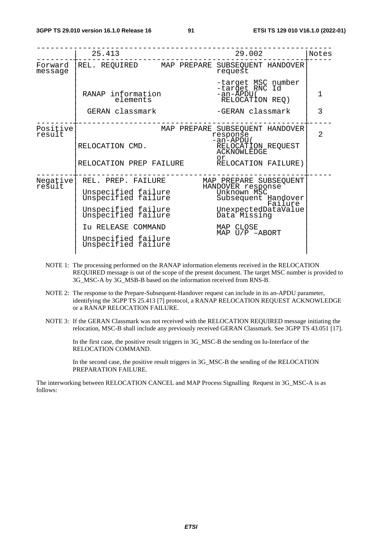|                    | 25.413                                                                                                                                                                                                                                | 29.002                                                                                                                                                            | Notes          |
|--------------------|---------------------------------------------------------------------------------------------------------------------------------------------------------------------------------------------------------------------------------------|-------------------------------------------------------------------------------------------------------------------------------------------------------------------|----------------|
| Forward<br>message |                                                                                                                                                                                                                                       | REL. REQUIRED MAP PREPARE SUBSEQUENT HANDOVER<br>request                                                                                                          |                |
|                    | RANAP information<br>elements                                                                                                                                                                                                         | -target MSC number<br>-target RNC Id<br>-an-ĂPDU (<br>RELOCATION REQ)                                                                                             | 1              |
|                    | GERAN classmark                                                                                                                                                                                                                       | -GERAN classmark                                                                                                                                                  | 3              |
| Positive<br>result | RELOCATION CMD.                                                                                                                                                                                                                       | MAP PREPARE SUBSEQUENT HANDOVER<br>response<br>$-an-APDU($<br>-an-APDU(<br>RELOCATION_REQUEST<br>ACKNOWLEDGE<br>or<br>RELOCATION PREP FAILURE RELOCATION FAILURE) | $\overline{2}$ |
| Negative<br>result | REL. PREP. FAILURE<br>Vispecified failure<br>Unspecified failure Unknown MSC<br>Unspecified failure Subsequent Hand<br>Unspecified failure<br>Unspecified failure<br>Iu RELEASE COMMAND<br>Unspecified failure<br>Unspecified failure | MAP PREPARE SUBSEQUENT<br>Subsequent Handover<br>Failure<br>UnexpectedDataValue<br>Data Missing<br>MAP CLOSE<br>MAP $U/P$ -ABORT                                  |                |

- NOTE 1: The processing performed on the RANAP information elements received in the RELOCATION REQUIRED message is out of the scope of the present document. The target MSC number is provided to 3G\_MSC-A by 3G\_MSB-B based on the information received from RNS-B.
- NOTE 2: The response to the Prepare-Subsequent-Handover request can include in its an-APDU parameter, identifying the 3GPP TS 25.413 [7] protocol, a RANAP RELOCATION REQUEST ACKNOWLEDGE or a RANAP RELOCATION FAILURE.
- NOTE 3: If the GERAN Classmark was not received with the RELOCATION REQUIRED message initiating the relocation, MSC-B shall include any previously received GERAN Classmark. See 3GPP TS 43.051 [17].

 In the first case, the positive result triggers in 3G\_MSC-B the sending on Iu-Interface of the RELOCATION COMMAND.

 In the second case, the positive result triggers in 3G\_MSC-B the sending of the RELOCATION PREPARATION FAILURE.

The interworking between RELOCATION CANCEL and MAP Process Signalling Request in 3G\_MSC-A is as follows: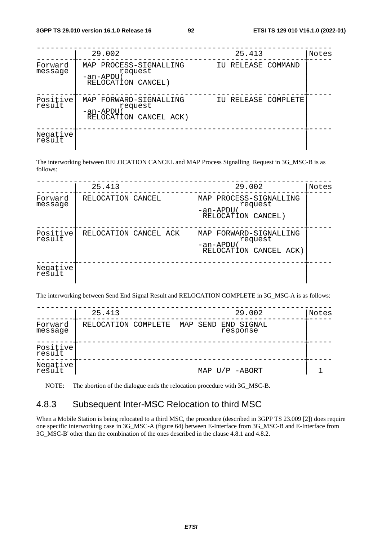|                    | 29.002                                                                  | 25.413              | Notes |
|--------------------|-------------------------------------------------------------------------|---------------------|-------|
| Forward<br>message | MAP PROCESS-SIGNALLING<br>request<br>-an-APDU<br>RELOCATION CANCEL)     | IU RELEASE COMMAND  |       |
| Positive<br>result | MAP FORWARD-SIGNALLING<br>request<br>-an-APDU<br>RELOCATION CANCEL ACK) | IU RELEASE COMPLETE |       |
| Negative<br>result |                                                                         |                     |       |

The interworking between RELOCATION CANCEL and MAP Process Signalling Request in 3G\_MSC-B is as follows:

|                    | 25.413                | 29.002                                                                  | Notes |
|--------------------|-----------------------|-------------------------------------------------------------------------|-------|
| Forward<br>message | RELOCATION CANCEL     | PROCESS-SIGNALLING<br>MAP<br>request<br>-an-APDU<br>RELOCATION CANCEL)  |       |
| Positive<br>result | RELOCATION CANCEL ACK | MAP FORWARD-SIGNALLING<br>request<br>-an-APDU<br>RELOCATION CANCEL ACK) |       |
| Negative<br>result |                       |                                                                         |       |

The interworking between Send End Signal Result and RELOCATION COMPLETE in 3G\_MSC-A is as follows:

|                    | 25.413              |  | 29.002                          | Notes |
|--------------------|---------------------|--|---------------------------------|-------|
| Forward<br>message | RELOCATION COMPLETE |  | MAP SEND END SIGNAL<br>response |       |
| Positive<br>result |                     |  |                                 |       |
| Negative<br>result |                     |  | MAP $U/P$ -ABORT                |       |

NOTE: The abortion of the dialogue ends the relocation procedure with 3G\_MSC-B.

# 4.8.3 Subsequent Inter-MSC Relocation to third MSC

When a Mobile Station is being relocated to a third MSC, the procedure (described in 3GPP TS 23.009 [2]) does require one specific interworking case in 3G\_MSC-A (figure 64) between E-Interface from 3G\_MSC-B and E-Interface from 3G\_MSC-B' other than the combination of the ones described in the clause 4.8.1 and 4.8.2.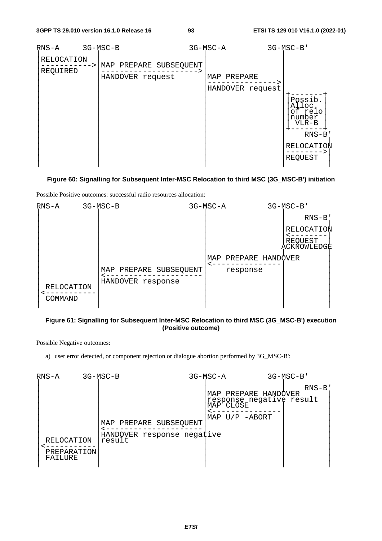| RNS-A                  | 3G-MSC-B                                   | 3G-MSC-A                        |  | 3G-MSC-B'                                                                             |
|------------------------|--------------------------------------------|---------------------------------|--|---------------------------------------------------------------------------------------|
| RELOCATION<br>REQUIRED | MAP PREPARE SUBSEQUENT<br>HANDOVER request | MAP PREPARE<br>HANDOVER request |  | Possib.<br>Alloc.<br>of relo<br>number<br>$VLR-B$<br>$RNS-B$<br>RELOCATION<br>REQUEST |
|                        |                                            |                                 |  |                                                                                       |

### **Figure 60: Signalling for Subsequent Inter-MSC Relocation to third MSC (3G\_MSC-B') initiation**

Possible Positive outcomes: successful radio resources allocation:



### **Figure 61: Signalling for Subsequent Inter-MSC Relocation to third MSC (3G\_MSC-B') execution (Positive outcome)**

Possible Negative outcomes:

a) user error detected, or component rejection or dialogue abortion performed by 3G\_MSC-B':

| RNS-A                                | 3G-MSC-B                                                       | 3G-MSC-A |                                                                                                | $3G-MSC-B$ |
|--------------------------------------|----------------------------------------------------------------|----------|------------------------------------------------------------------------------------------------|------------|
| RELOCATION<br>PREPARATION<br>FAILURE | MAP PREPARE SUBSEQUENT<br>HANDOVER response negative<br>result |          | MAP PREPARE HANDOVER<br>response negative result<br>MAP <sup>-</sup> CLOSE<br>MAP $U/P$ -ABORT | $RNS-B$    |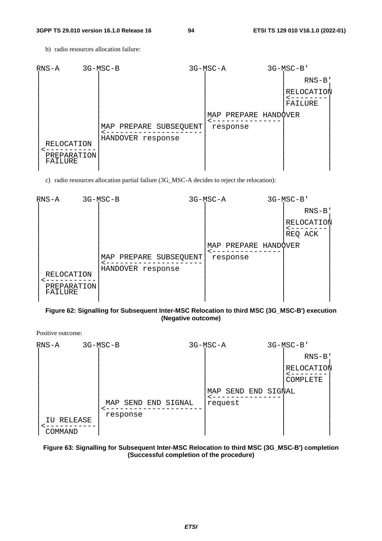b) radio resources allocation failure:



c) radio resources allocation partial failure (3G\_MSC-A decides to reject the relocation):



### **Figure 62: Signalling for Subsequent Inter-MSC Relocation to third MSC (3G\_MSC-B') execution (Negative outcome)**

Positive outcome:

| $RNS-A$                  | 3G-MSC-B                           | 3G-MSC-A               |            | 3G-MSC-B'              |
|--------------------------|------------------------------------|------------------------|------------|------------------------|
|                          |                                    |                        |            | $RNS-B$                |
|                          |                                    |                        |            | RELOCATION<br>COMPLETE |
|                          | SEND END SIGNAL<br>MAP<br>response | SEND<br>MAP<br>request | END SIGNAL |                        |
| RELEASE<br>ΙU<br>COMMAND |                                    |                        |            |                        |

### **Figure 63: Signalling for Subsequent Inter-MSC Relocation to third MSC (3G\_MSC-B') completion (Successful completion of the procedure)**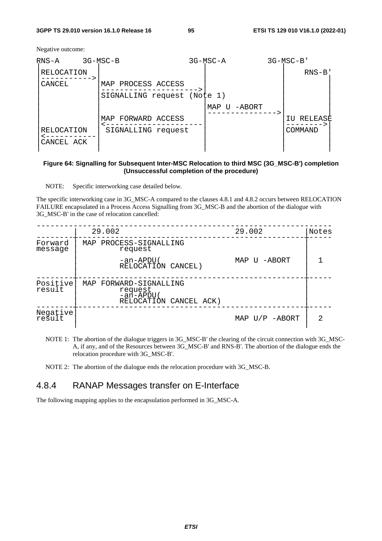Negative outcome:

| RNS-A                    | 3G-MSC-B                    | 3G-MSC-A |        | $3G-MSC-B$ |  |
|--------------------------|-----------------------------|----------|--------|------------|--|
| RELOCATION               |                             |          |        | $RNS-B$    |  |
| CANCEL                   | MAP PROCESS ACCESS          |          |        |            |  |
|                          | SIGNALLING request (Note 1) |          |        |            |  |
|                          |                             | MAP U    | -ABORT |            |  |
|                          | MAP FORWARD ACCESS          |          |        | RELEASE    |  |
| RELOCATION<br>CANCEL ACK | SIGNALLING request          |          |        | COMMAND    |  |
|                          |                             |          |        |            |  |

### **Figure 64: Signalling for Subsequent Inter-MSC Relocation to third MSC (3G\_MSC-B') completion (Unsuccessful completion of the procedure)**

NOTE: Specific interworking case detailed below.

The specific interworking case in 3G\_MSC-A compared to the clauses 4.8.1 and 4.8.2 occurs between RELOCATION FAILURE encapsulated in a Process Access Signalling from 3G\_MSC-B and the abortion of the dialogue with 3G\_MSC-B' in the case of relocation cancelled:

|                    | 29.002 |                                                                          | 29.002           | Notes |
|--------------------|--------|--------------------------------------------------------------------------|------------------|-------|
| Forward<br>message |        | MAP PROCESS-SIGNALLING<br>request                                        |                  |       |
|                    |        | -an-APDU(<br>RELOCATIÓN CANCEL)                                          | MAP U -ABORT     |       |
| Positive<br>result |        | MAP FORWARD-SIGNALLING<br>request<br>-an-APDU(<br>RELOCATIÓN CANCEL ACK) |                  |       |
| Negative<br>result |        |                                                                          | MAP $U/P$ -ABORT |       |

NOTE 1: The abortion of the dialogue triggers in 3G\_MSC-B' the clearing of the circuit connection with 3G\_MSC-A, if any, and of the Resources between 3G\_MSC-B' and RNS-B'. The abortion of the dialogue ends the relocation procedure with 3G\_MSC-B'.

NOTE 2: The abortion of the dialogue ends the relocation procedure with 3G\_MSC-B.

# 4.8.4 RANAP Messages transfer on E-Interface

The following mapping applies to the encapsulation performed in 3G\_MSC-A.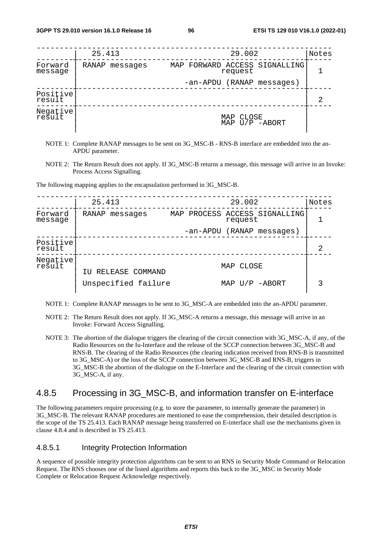|                    | 25.413            | 29.002                                   | Notes |
|--------------------|-------------------|------------------------------------------|-------|
| Forward<br>message | RANAP<br>messages | MAP FORWARD ACCESS SIGNALLING<br>request |       |
|                    |                   | -an-APDU (RANAP messages)                |       |
| Positive<br>result |                   |                                          | 2     |
| Negative           |                   | CLOSE<br>MAP<br>MAP U/P -ABORT           |       |

- NOTE 1: Complete RANAP messages to be sent on 3G\_MSC-B RNS-B interface are embedded into the an-APDU parameter.
- NOTE 2: The Return Result does not apply. If 3G\_MSC-B returns a message, this message will arrive in an Invoke: Process Access Signalling.

The following mapping applies to the encapsulation performed in 3G\_MSC-B.

|                    | 25.413              | 29.002                                      | Notes |
|--------------------|---------------------|---------------------------------------------|-------|
| Forward<br>message | RANAP<br>messages   | PROCESS ACCESS SIGNALLING<br>MAP<br>request |       |
|                    |                     | (RANAP messages)<br>-an-APDU                |       |
| Positive<br>result |                     |                                             | 2     |
| Negative<br>result | IU RELEASE COMMAND  | CLOSE<br>MAP                                |       |
|                    | Unspecified failure | U/P -ABORT<br>MAP                           |       |

- NOTE 1: Complete RANAP messages to be sent to 3G\_MSC-A are embedded into the an-APDU parameter.
- NOTE 2: The Return Result does not apply. If 3G\_MSC-A returns a message, this message will arrive in an Invoke: Forward Access Signalling.
- NOTE 3: The abortion of the dialogue triggers the clearing of the circuit connection with 3G\_MSC-A, if any, of the Radio Resources on the Iu-Interface and the release of the SCCP connection between 3G\_MSC-B and RNS-B. The clearing of the Radio Resources (the clearing indication received from RNS-B is transmitted to 3G\_MSC-A) or the loss of the SCCP connection between 3G\_MSC-B and RNS-B, triggers in 3G\_MSC-B the abortion of the dialogue on the E-Interface and the clearing of the circuit connection with 3G\_MSC-A, if any.

# 4.8.5 Processing in 3G\_MSC-B, and information transfer on E-interface

The following parameters require processing (e.g. to store the parameter, to internally generate the parameter) in 3G\_MSC-B. The relevant RANAP procedures are mentioned to ease the comprehension, their detailed description is the scope of the TS 25.413. Each RANAP message being transferred on E-interface shall use the mechanisms given in clause 4.8.4 and is described in TS 25.413.

## 4.8.5.1 Integrity Protection Information

A sequence of possible integrity protection algorithms can be sent to an RNS in Security Mode Command or Relocation Request. The RNS chooses one of the listed algorithms and reports this back to the 3G\_MSC in Security Mode Complete or Relocation Request Acknowledge respectively.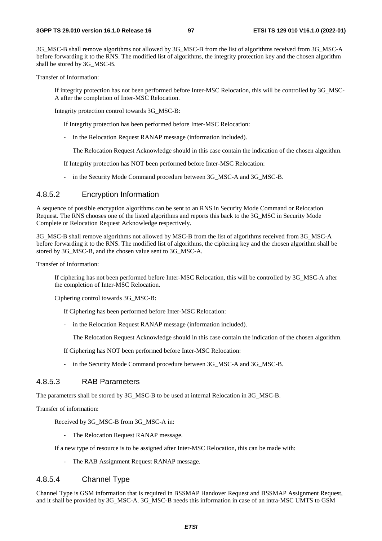3G\_MSC-B shall remove algorithms not allowed by 3G\_MSC-B from the list of algorithms received from 3G\_MSC-A before forwarding it to the RNS. The modified list of algorithms, the integrity protection key and the chosen algorithm shall be stored by 3G\_MSC-B.

Transfer of Information:

 If integrity protection has not been performed before Inter-MSC Relocation, this will be controlled by 3G\_MSC-A after the completion of Inter-MSC Relocation.

Integrity protection control towards 3G\_MSC-B:

If Integrity protection has been performed before Inter-MSC Relocation:

- in the Relocation Request RANAP message (information included).

The Relocation Request Acknowledge should in this case contain the indication of the chosen algorithm.

If Integrity protection has NOT been performed before Inter-MSC Relocation:

- in the Security Mode Command procedure between 3G\_MSC-A and 3G\_MSC-B.

# 4.8.5.2 Encryption Information

A sequence of possible encryption algorithms can be sent to an RNS in Security Mode Command or Relocation Request. The RNS chooses one of the listed algorithms and reports this back to the 3G\_MSC in Security Mode Complete or Relocation Request Acknowledge respectively.

3G\_MSC-B shall remove algorithms not allowed by MSC-B from the list of algorithms received from 3G\_MSC-A before forwarding it to the RNS. The modified list of algorithms, the ciphering key and the chosen algorithm shall be stored by 3G\_MSC-B, and the chosen value sent to 3G\_MSC-A.

Transfer of Information:

 If ciphering has not been performed before Inter-MSC Relocation, this will be controlled by 3G\_MSC-A after the completion of Inter-MSC Relocation.

Ciphering control towards 3G\_MSC-B:

If Ciphering has been performed before Inter-MSC Relocation:

- in the Relocation Request RANAP message (information included).

The Relocation Request Acknowledge should in this case contain the indication of the chosen algorithm.

If Ciphering has NOT been performed before Inter-MSC Relocation:

- in the Security Mode Command procedure between 3G\_MSC-A and 3G\_MSC-B.

### 4.8.5.3 RAB Parameters

The parameters shall be stored by 3G\_MSC-B to be used at internal Relocation in 3G\_MSC-B.

Transfer of information:

Received by 3G\_MSC-B from 3G\_MSC-A in:

- The Relocation Request RANAP message.

If a new type of resource is to be assigned after Inter-MSC Relocation, this can be made with:

- The RAB Assignment Request RANAP message.

## 4.8.5.4 Channel Type

Channel Type is GSM information that is required in BSSMAP Handover Request and BSSMAP Assignment Request, and it shall be provided by 3G\_MSC-A. 3G\_MSC-B needs this information in case of an intra-MSC UMTS to GSM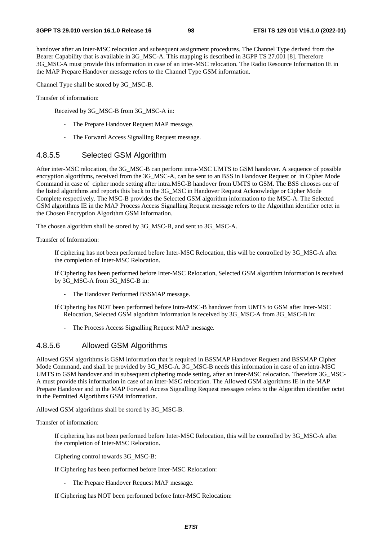handover after an inter-MSC relocation and subsequent assignment procedures. The Channel Type derived from the Bearer Capability that is available in 3G\_MSC-A. This mapping is described in 3GPP TS 27.001 [8]. Therefore 3G\_MSC-A must provide this information in case of an inter-MSC relocation. The Radio Resource Information IE in the MAP Prepare Handover message refers to the Channel Type GSM information.

Channel Type shall be stored by 3G\_MSC-B.

Transfer of information:

Received by 3G\_MSC-B from 3G\_MSC-A in:

- The Prepare Handover Request MAP message.
- The Forward Access Signalling Request message.

### 4.8.5.5 Selected GSM Algorithm

After inter-MSC relocation, the 3G\_MSC-B can perform intra-MSC UMTS to GSM handover. A sequence of possible encryption algorithms, received from the 3G\_MSC-A, can be sent to an BSS in Handover Request or in Cipher Mode Command in case of cipher mode setting after intra.MSC-B handover from UMTS to GSM. The BSS chooses one of the listed algorithms and reports this back to the 3G\_MSC in Handover Request Acknowledge or Cipher Mode Complete respectively. The MSC-B provides the Selected GSM algorithm information to the MSC-A. The Selected GSM algorithms IE in the MAP Process Access Signalling Request message refers to the Algorithm identifier octet in the Chosen Encryption Algorithm GSM information.

The chosen algorithm shall be stored by 3G\_MSC-B, and sent to 3G\_MSC-A.

Transfer of Information:

 If ciphering has not been performed before Inter-MSC Relocation, this will be controlled by 3G\_MSC-A after the completion of Inter-MSC Relocation.

 If Ciphering has been performed before Inter-MSC Relocation, Selected GSM algorithm information is received by 3G\_MSC-A from 3G\_MSC-B in:

- The Handover Performed BSSMAP message.
- If Ciphering has NOT been performed before Intra-MSC-B handover from UMTS to GSM after Inter-MSC Relocation, Selected GSM algorithm information is received by 3G\_MSC-A from 3G\_MSC-B in:
	- The Process Access Signalling Request MAP message.

### 4.8.5.6 Allowed GSM Algorithms

Allowed GSM algorithms is GSM information that is required in BSSMAP Handover Request and BSSMAP Cipher Mode Command, and shall be provided by 3G\_MSC-A. 3G\_MSC-B needs this information in case of an intra-MSC UMTS to GSM handover and in subsequent ciphering mode setting, after an inter-MSC relocation. Therefore 3G\_MSC-A must provide this information in case of an inter-MSC relocation. The Allowed GSM algorithms IE in the MAP Prepare Handover and in the MAP Forward Access Signalling Request messages refers to the Algorithm identifier octet in the Permitted Algorithms GSM information.

Allowed GSM algorithms shall be stored by 3G\_MSC-B.

Transfer of information:

 If ciphering has not been performed before Inter-MSC Relocation, this will be controlled by 3G\_MSC-A after the completion of Inter-MSC Relocation.

Ciphering control towards 3G\_MSC-B:

If Ciphering has been performed before Inter-MSC Relocation:

- The Prepare Handover Request MAP message.

If Ciphering has NOT been performed before Inter-MSC Relocation: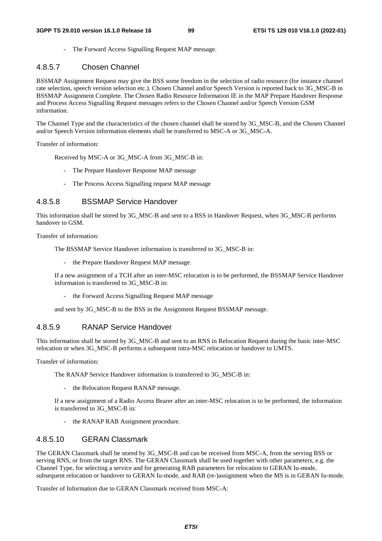- The Forward Access Signalling Request MAP message.

## 4.8.5.7 Chosen Channel

BSSMAP Assignment Request may give the BSS some freedom in the selection of radio resource (for instance channel rate selection, speech version selection etc.). Chosen Channel and/or Speech Version is reported back to 3G\_MSC-B in BSSMAP Assignment Complete. The Chosen Radio Resource Information IE in the MAP Prepare Handover Response and Process Access Signalling Request messages refers to the Chosen Channel and/or Speech Version GSM information.

The Channel Type and the characteristics of the chosen channel shall be stored by 3G\_MSC-B, and the Chosen Channel and/or Speech Version information elements shall be transferred to MSC-A or 3G\_MSC-A.

Transfer of information:

Received by MSC-A or 3G\_MSC-A from 3G\_MSC-B in:

- The Prepare Handover Response MAP message
- The Process Access Signalling request MAP message

### 4.8.5.8 BSSMAP Service Handover

This information shall be stored by 3G\_MSC-B and sent to a BSS in Handover Request, when 3G\_MSC-B performs handover to GSM.

Transfer of information:

The BSSMAP Service Handover information is transferred to 3G\_MSC-B in:

- the Prepare Handover Request MAP message.

 If a new assignment of a TCH after an inter-MSC relocation is to be performed, the BSSMAP Service Handover information is transferred to 3G\_MSC-B in:

- the Forward Access Signalling Request MAP message

and sent by 3G\_MSC-B to the BSS in the Assignment Request BSSMAP message.

## 4.8.5.9 RANAP Service Handover

This information shall be stored by 3G\_MSC-B and sent to an RNS in Relocation Request during the basic inter-MSC relocation or when 3G\_MSC-B performs a subsequent intra-MSC relocation or handover to UMTS.

Transfer of information:

The RANAP Service Handover information is transferred to 3G\_MSC-B in:

- the Relocation Request RANAP message.

 If a new assignment of a Radio Access Bearer after an inter-MSC relocation is to be performed, the information is transferred to 3G\_MSC-B in:

- the RANAP RAB Assignment procedure.

# 4.8.5.10 GERAN Classmark

The GERAN Classmark shall be stored by 3G\_MSC-B and can be received from MSC-A, from the serving BSS or serving RNS, or from the target RNS. The GERAN Classmark shall be used together with other parameters, e.g. the Channel Type, for selecting a service and for generating RAB parameters for relocation to GERAN Iu-mode, subsequent relocation or handover to GERAN Iu-mode, and RAB (re-)assignment when the MS is in GERAN Iu-mode.

Transfer of Information due to GERAN Classmark received from MSC-A: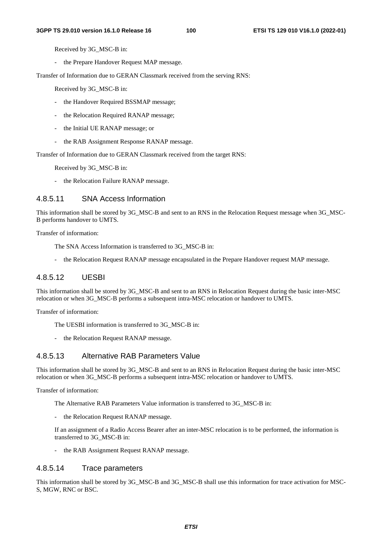Received by 3G\_MSC-B in:

- the Prepare Handover Request MAP message.

Transfer of Information due to GERAN Classmark received from the serving RNS:

Received by 3G\_MSC-B in:

- the Handover Required BSSMAP message;
- the Relocation Required RANAP message;
- the Initial UE RANAP message; or
- the RAB Assignment Response RANAP message.

Transfer of Information due to GERAN Classmark received from the target RNS:

Received by 3G\_MSC-B in:

- the Relocation Failure RANAP message.

### 4.8.5.11 SNA Access Information

This information shall be stored by 3G\_MSC-B and sent to an RNS in the Relocation Request message when 3G\_MSC-B performs handover to UMTS.

Transfer of information:

The SNA Access Information is transferred to 3G\_MSC-B in:

- the Relocation Request RANAP message encapsulated in the Prepare Handover request MAP message.

# 4.8.5.12 UESBI

This information shall be stored by 3G\_MSC-B and sent to an RNS in Relocation Request during the basic inter-MSC relocation or when 3G\_MSC-B performs a subsequent intra-MSC relocation or handover to UMTS.

Transfer of information:

- The UESBI information is transferred to 3G\_MSC-B in:
- the Relocation Request RANAP message.

# 4.8.5.13 Alternative RAB Parameters Value

This information shall be stored by 3G\_MSC-B and sent to an RNS in Relocation Request during the basic inter-MSC relocation or when 3G\_MSC-B performs a subsequent intra-MSC relocation or handover to UMTS.

Transfer of information:

The Alternative RAB Parameters Value information is transferred to 3G\_MSC-B in:

the Relocation Request RANAP message.

 If an assignment of a Radio Access Bearer after an inter-MSC relocation is to be performed, the information is transferred to 3G\_MSC-B in:

- the RAB Assignment Request RANAP message.

## 4.8.5.14 Trace parameters

This information shall be stored by 3G\_MSC-B and 3G\_MSC-B shall use this information for trace activation for MSC-S, MGW, RNC or BSC.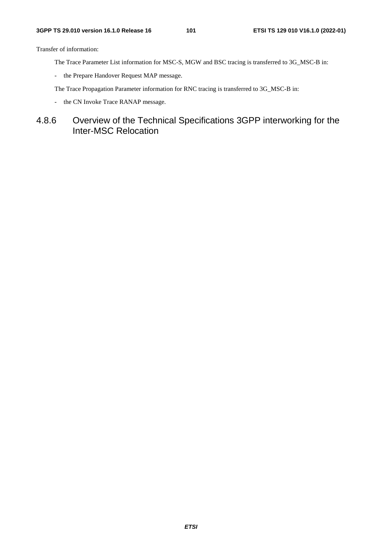Transfer of information:

- The Trace Parameter List information for MSC-S, MGW and BSC tracing is transferred to 3G\_MSC-B in:
- the Prepare Handover Request MAP message.

The Trace Propagation Parameter information for RNC tracing is transferred to 3G\_MSC-B in:

- the CN Invoke Trace RANAP message.

# 4.8.6 Overview of the Technical Specifications 3GPP interworking for the Inter-MSC Relocation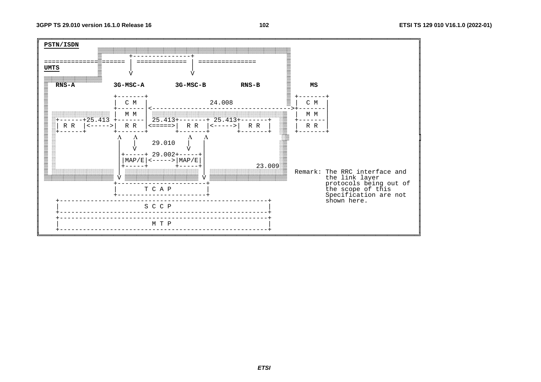

 $102$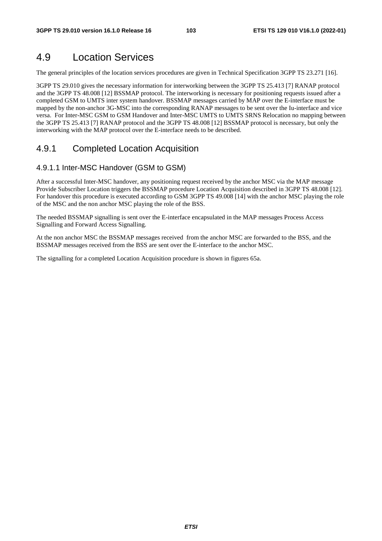# 4.9 Location Services

The general principles of the location services procedures are given in Technical Specification 3GPP TS 23.271 [16].

3GPP TS 29.010 gives the necessary information for interworking between the 3GPP TS 25.413 [7] RANAP protocol and the 3GPP TS 48.008 [12] BSSMAP protocol. The interworking is necessary for positioning requests issued after a completed GSM to UMTS inter system handover. BSSMAP messages carried by MAP over the E-interface must be mapped by the non-anchor 3G-MSC into the corresponding RANAP messages to be sent over the Iu-interface and vice versa. For Inter-MSC GSM to GSM Handover and Inter-MSC UMTS to UMTS SRNS Relocation no mapping between the 3GPP TS 25.413 [7] RANAP protocol and the 3GPP TS 48.008 [12] BSSMAP protocol is necessary, but only the interworking with the MAP protocol over the E-interface needs to be described.

# 4.9.1 Completed Location Acquisition

## 4.9.1.1 Inter-MSC Handover (GSM to GSM)

After a successful Inter-MSC handover, any positioning request received by the anchor MSC via the MAP message Provide Subscriber Location triggers the BSSMAP procedure Location Acquisition described in 3GPP TS 48.008 [12]. For handover this procedure is executed according to GSM 3GPP TS 49.008 [14] with the anchor MSC playing the role of the MSC and the non anchor MSC playing the role of the BSS.

The needed BSSMAP signalling is sent over the E-interface encapsulated in the MAP messages Process Access Signalling and Forward Access Signalling.

At the non anchor MSC the BSSMAP messages received from the anchor MSC are forwarded to the BSS, and the BSSMAP messages received from the BSS are sent over the E-interface to the anchor MSC.

The signalling for a completed Location Acquisition procedure is shown in figures 65a.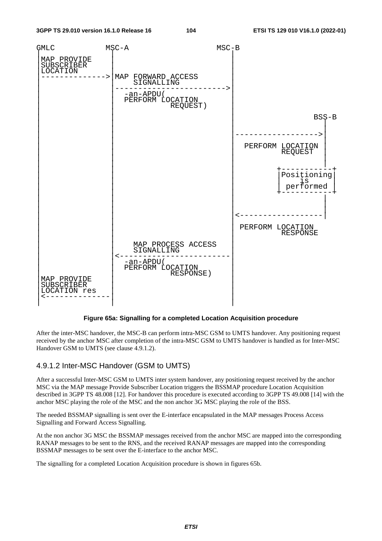

**Figure 65a: Signalling for a completed Location Acquisition procedure** 

After the inter-MSC handover, the MSC-B can perform intra-MSC GSM to UMTS handover. Any positioning request received by the anchor MSC after completion of the intra-MSC GSM to UMTS handover is handled as for Inter-MSC Handover GSM to UMTS (see clause 4.9.1.2).

### 4.9.1.2 Inter-MSC Handover (GSM to UMTS)

After a successful Inter-MSC GSM to UMTS inter system handover, any positioning request received by the anchor MSC via the MAP message Provide Subscriber Location triggers the BSSMAP procedure Location Acquisition described in 3GPP TS 48.008 [12]. For handover this procedure is executed according to 3GPP TS 49.008 [14] with the anchor MSC playing the role of the MSC and the non anchor 3G MSC playing the role of the BSS.

The needed BSSMAP signalling is sent over the E-interface encapsulated in the MAP messages Process Access Signalling and Forward Access Signalling.

At the non anchor 3G MSC the BSSMAP messages received from the anchor MSC are mapped into the corresponding RANAP messages to be sent to the RNS, and the received RANAP messages are mapped into the corresponding BSSMAP messages to be sent over the E-interface to the anchor MSC.

The signalling for a completed Location Acquisition procedure is shown in figures 65b.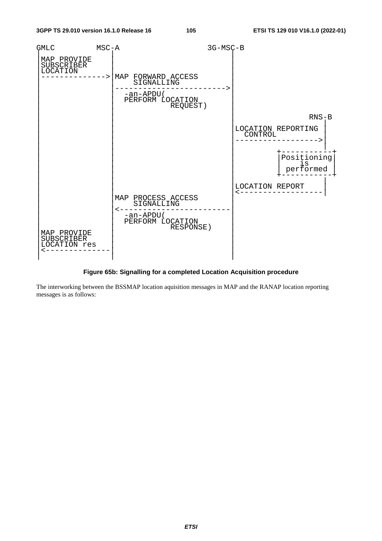![](_page_105_Figure_3.jpeg)

### **Figure 65b: Signalling for a completed Location Acquisition procedure**

The interworking between the BSSMAP location aquisition messages in MAP and the RANAP location reporting messages is as follows: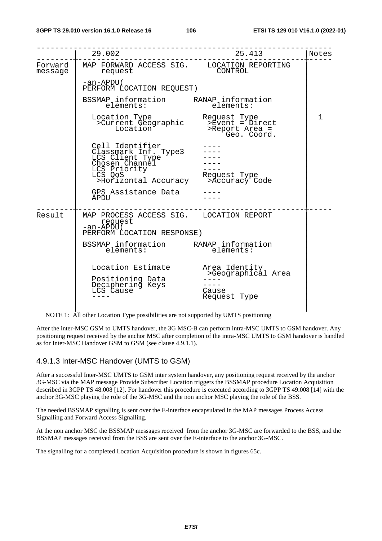|         | 29.002                                                                                                                                                                                                    | 25.413                                                       | Notes |
|---------|-----------------------------------------------------------------------------------------------------------------------------------------------------------------------------------------------------------|--------------------------------------------------------------|-------|
| message | Forward   MAP FORWARD ACCESS SIG. LOCATION REPORTING<br>request                                                                                                                                           | CONTROL                                                      |       |
|         | -an-APDU(<br>PERFORM LOCATION REQUEST)                                                                                                                                                                    |                                                              |       |
|         | BSSMAP information RANAP information<br>elements: elements:                                                                                                                                               |                                                              |       |
|         | Location Type<br>ocation Type        Request Type<br>>Current Geographic     >Event = Direct<br>Location                >Report Area =                                                                    | <sup>-</sup> Geo. Coord.                                     | 1     |
|         | Cell Identifier<br>Classmark Inf. Type3<br>LCS Client Type<br>Chosen Channel<br>Chosen Channel<br>LCS Priority<br>LCS QoS<br>CS QoS contract deguest Type<br>Shorizontal Accuracy contract >Accuracy Code |                                                              |       |
|         | GPS Assistance Data<br>APDU                                                                                                                                                                               |                                                              |       |
| Result  | MAP PROCESS ACCESS SIG. LOCATION REPORT<br>request<br>-an-APĎU (<br>PERFORM LOCATION RESPONSE)                                                                                                            |                                                              |       |
|         | BSSMAP information RANAP information<br>alamants: alamants:<br>elements:                                                                                                                                  | elements:                                                    |       |
|         | Location Estimate<br>Positioning Data<br>Deciphering Keys<br>LCS Cause                                                                                                                                    | Area Identity<br>>Geographical Area<br>Cause<br>Request Type |       |

NOTE 1: All other Location Type possibilities are not supported by UMTS positioning

After the inter-MSC GSM to UMTS handover, the 3G MSC-B can perform intra-MSC UMTS to GSM handover. Any positioning request received by the anchor MSC after completion of the intra-MSC UMTS to GSM handover is handled as for Inter-MSC Handover GSM to GSM (see clause 4.9.1.1).

## 4.9.1.3 Inter-MSC Handover (UMTS to GSM)

After a successful Inter-MSC UMTS to GSM inter system handover, any positioning request received by the anchor 3G-MSC via the MAP message Provide Subscriber Location triggers the BSSMAP procedure Location Acquisition described in 3GPP TS 48.008 [12]. For handover this procedure is executed according to 3GPP TS 49.008 [14] with the anchor 3G-MSC playing the role of the 3G-MSC and the non anchor MSC playing the role of the BSS.

The needed BSSMAP signalling is sent over the E-interface encapsulated in the MAP messages Process Access Signalling and Forward Access Signalling.

At the non anchor MSC the BSSMAP messages received from the anchor 3G-MSC are forwarded to the BSS, and the BSSMAP messages received from the BSS are sent over the E-interface to the anchor 3G-MSC.

The signalling for a completed Location Acquisition procedure is shown in figures 65c.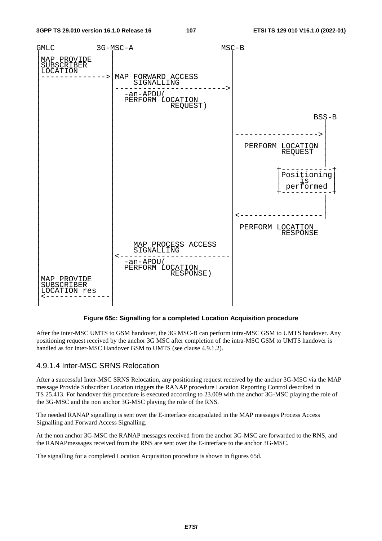![](_page_107_Figure_3.jpeg)

### **Figure 65c: Signalling for a completed Location Acquisition procedure**

After the inter-MSC UMTS to GSM handover, the 3G MSC-B can perform intra-MSC GSM to UMTS handover. Any positioning request received by the anchor 3G MSC after completion of the intra-MSC GSM to UMTS handover is handled as for Inter-MSC Handover GSM to UMTS (see clause 4.9.1.2).

### 4.9.1.4 Inter-MSC SRNS Relocation

After a successful Inter-MSC SRNS Relocation, any positioning request received by the anchor 3G-MSC via the MAP message Provide Subscriber Location triggers the RANAP procedure Location Reporting Control described in TS 25.413. For handover this procedure is executed according to 23.009 with the anchor 3G-MSC playing the role of the 3G-MSC and the non anchor 3G-MSC playing the role of the RNS.

The needed RANAP signalling is sent over the E-interface encapsulated in the MAP messages Process Access Signalling and Forward Access Signalling.

At the non anchor 3G-MSC the RANAP messages received from the anchor 3G-MSC are forwarded to the RNS, and the RANAPmessages received from the RNS are sent over the E-interface to the anchor 3G-MSC.

The signalling for a completed Location Acquisition procedure is shown in figures 65d.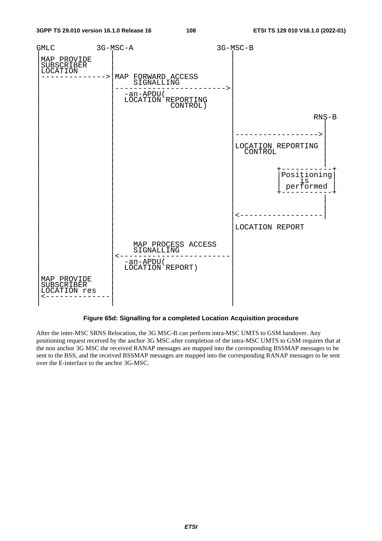

**Figure 65d: Signalling for a completed Location Acquisition procedure** 

After the inter-MSC SRNS Relocation, the 3G MSC-B can perform intra-MSC UMTS to GSM handover. Any positioning request received by the anchor 3G MSC after completion of the intra-MSC UMTS to GSM requires that at the non anchor 3G MSC the received RANAP messages are mapped into the corresponding BSSMAP messages to be sent to the BSS, and the received BSSMAP messages are mapped into the corresponding RANAP messages to be sent over the E-interface to the anchor 3G-MSC.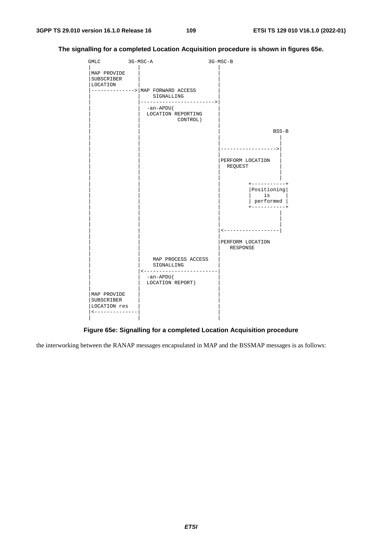

### **The signalling for a completed Location Acquisition procedure is shown in figures 65e.**

**Figure 65e: Signalling for a completed Location Acquisition procedure** 

the interworking between the RANAP messages encapsulated in MAP and the BSSMAP messages is as follows: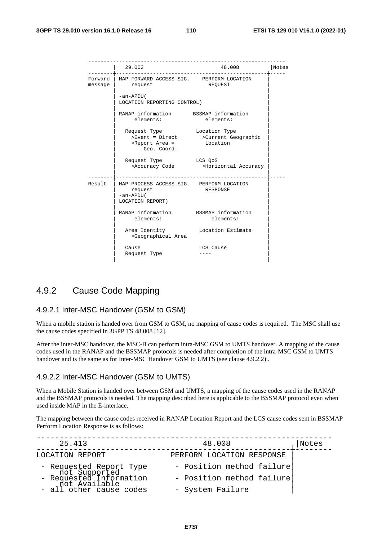|          | 29.002                                                                               | 48.008                                          | Notes |
|----------|--------------------------------------------------------------------------------------|-------------------------------------------------|-------|
| $mesaqe$ | Forward   MAP FORWARD ACCESS SIG. PERFORM LOCATION<br>request                        | REOUEST                                         |       |
|          | -an-APDU (<br>LOCATION REPORTING CONTROL)                                            |                                                 |       |
|          | RANAP information BSSMAP information<br>elements:                                    | elements:                                       |       |
|          | Request Type Location Type<br>>Report Area =<br>Geo. Coord.                          | >Event = Direct >Current Geographic<br>Location |       |
|          | Request Type LCS QoS                                                                 | >Accuracy Code >Horizontal Accuracy             |       |
| Result   | MAP PROCESS ACCESS SIG. PERFORM LOCATION<br>request<br>-an-APDU(<br>LOCATION REPORT) | <b>RESPONSE</b>                                 |       |
|          | RANAP information BSSMAP information<br>elements:                                    | elements:                                       |       |
|          | Area Identity <b>Location Estimate</b><br>>Geographical Area                         |                                                 |       |
|          | Cause<br>Request Type                                                                | LCS Cause                                       |       |

### 4.9.2 Cause Code Mapping

### 4.9.2.1 Inter-MSC Handover (GSM to GSM)

When a mobile station is handed over from GSM to GSM, no mapping of cause codes is required. The MSC shall use the cause codes specified in 3GPP TS 48.008 [12].

After the inter-MSC handover, the MSC-B can perform intra-MSC GSM to UMTS handover. A mapping of the cause codes used in the RANAP and the BSSMAP protocols is needed after completion of the intra-MSC GSM to UMTS handover and is the same as for Inter-MSC Handover GSM to UMTS (see clause 4.9.2.2)..

#### 4.9.2.2 Inter-MSC Handover (GSM to UMTS)

When a Mobile Station is handed over between GSM and UMTS, a mapping of the cause codes used in the RANAP and the BSSMAP protocols is needed. The mapping described here is applicable to the BSSMAP protocol even when used inside MAP in the E-interface.

The mapping between the cause codes received in RANAP Location Report and the LCS cause codes sent in BSSMAP Perform Location Response is as follows:

| 25.413                                                                               | 48.008                    | Notes |
|--------------------------------------------------------------------------------------|---------------------------|-------|
| LOCATION REPORT                                                                      | PERFORM LOCATION RESPONSE |       |
|                                                                                      | - Position method failure |       |
| - Requested Report Type<br>not Supported<br>- Requested Information<br>not Available | - Position method failure |       |
| - all other cause codes                                                              | - System Failure          |       |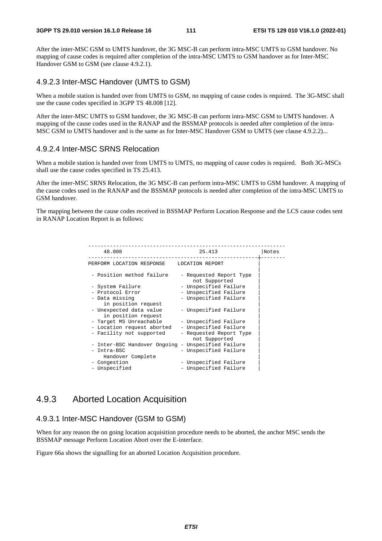After the inter-MSC GSM to UMTS handover, the 3G MSC-B can perform intra-MSC UMTS to GSM handover. No mapping of cause codes is required after completion of the intra-MSC UMTS to GSM handover as for Inter-MSC Handover GSM to GSM (see clause 4.9.2.1).

### 4.9.2.3 Inter-MSC Handover (UMTS to GSM)

When a mobile station is handed over from UMTS to GSM, no mapping of cause codes is required. The 3G-MSC shall use the cause codes specified in 3GPP TS 48.008 [12].

After the inter-MSC UMTS to GSM handover, the 3G MSC-B can perform intra-MSC GSM to UMTS handover. A mapping of the cause codes used in the RANAP and the BSSMAP protocols is needed after completion of the intra-MSC GSM to UMTS handover and is the same as for Inter-MSC Handover GSM to UMTS (see clause 4.9.2.2)...

### 4.9.2.4 Inter-MSC SRNS Relocation

When a mobile station is handed over from UMTS to UMTS, no mapping of cause codes is required. Both 3G-MSCs shall use the cause codes specified in TS 25.413.

After the inter-MSC SRNS Relocation, the 3G MSC-B can perform intra-MSC UMTS to GSM handover. A mapping of the cause codes used in the RANAP and the BSSMAP protocols is needed after completion of the intra-MSC UMTS to GSM handover.

The mapping between the cause codes received in BSSMAP Perform Location Response and the LCS cause codes sent in RANAP Location Report is as follows:

| 48.008                                             | 25.413                                   | Notes |
|----------------------------------------------------|------------------------------------------|-------|
| PERFORM LOCATION RESPONSE                          | LOCATION REPORT                          |       |
| - Position method failure                          | - Requested Report Type<br>not Supported |       |
| - System Failure                                   | - Unspecified Failure                    |       |
| - Protocol Error                                   | - Unspecified Failure                    |       |
| - Data missing                                     | - Unspecified Failure                    |       |
| in position request                                |                                          |       |
| - Unexpected data value<br>in position request     | - Unspecified Failure                    |       |
| - Target MS Unreachable                            | - Unspecified Failure                    |       |
| - Location request aborted                         | - Unspecified Failure                    |       |
| - Facility not supported                           | - Requested Report Type<br>not Supported |       |
| - Inter-BSC Handover Ongoing - Unspecified Failure |                                          |       |
| Intra-BSC<br>Handover Complete                     | - Unspecified Failure                    |       |
| - Congestion                                       | - Unspecified Failure                    |       |
| - Unspecified                                      | - Unspecified Failure                    |       |

### 4.9.3 Aborted Location Acquisition

### 4.9.3.1 Inter-MSC Handover (GSM to GSM)

When for any reason the on going location acquisition procedure needs to be aborted, the anchor MSC sends the BSSMAP message Perform Location Abort over the E-interface.

Figure 66a shows the signalling for an aborted Location Acquisition procedure.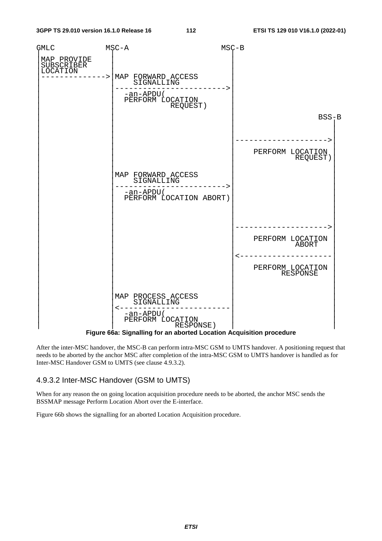

After the inter-MSC handover, the MSC-B can perform intra-MSC GSM to UMTS handover. A positioning request that needs to be aborted by the anchor MSC after completion of the intra-MSC GSM to UMTS handover is handled as for Inter-MSC Handover GSM to UMTS (see clause 4.9.3.2).

### 4.9.3.2 Inter-MSC Handover (GSM to UMTS)

When for any reason the on going location acquisition procedure needs to be aborted, the anchor MSC sends the BSSMAP message Perform Location Abort over the E-interface.

Figure 66b shows the signalling for an aborted Location Acquisition procedure.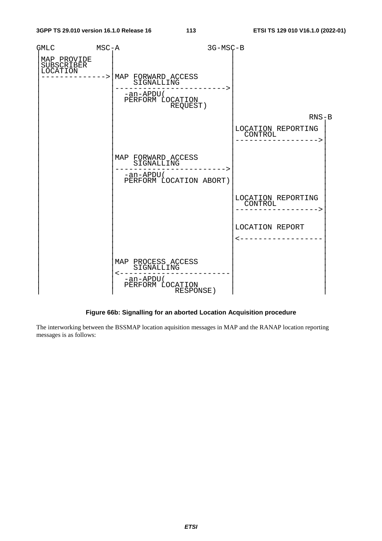| GMLC                                  | $MSC - A$ |                                                                                                            | 3G-MSC-B |                                          |
|---------------------------------------|-----------|------------------------------------------------------------------------------------------------------------|----------|------------------------------------------|
| MAP PROVIDE<br>SUBSCRIBER<br>LOCATION |           | -----> MAP FORWARD ACCESS<br>SIGNALLING<br>-an-APDU(<br>PERFORM LOCATION<br>REQUEST)                       |          |                                          |
|                                       |           |                                                                                                            |          | $RNS-B$                                  |
|                                       |           |                                                                                                            |          | LOCATION REPORTING<br>CONTROL            |
|                                       |           | MAP FORWARD ACCESS<br>FURWALLING<br>SIGNALLING<br>-an-APDU(<br>PERFORM LOCATION ABORT)                     |          |                                          |
|                                       |           |                                                                                                            |          | LOCATION REPORTING<br>CONTROL<br>CONTROL |
|                                       |           |                                                                                                            |          | LOCATION REPORT<br><------------------   |
|                                       |           | MAP PROCESS ACCESS<br>SIGNALLING<br>$\mathord{<}\mathord{-}$<br>-an-APDU(<br>PERFORM LOCATION<br>RESPONSE) |          |                                          |

### **Figure 66b: Signalling for an aborted Location Acquisition procedure**

The interworking between the BSSMAP location aquisition messages in MAP and the RANAP location reporting messages is as follows: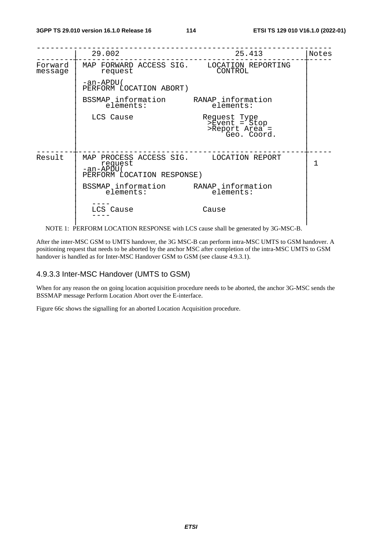|                    | 29.002                                                                                         | 25.413                                                                      | Notes |
|--------------------|------------------------------------------------------------------------------------------------|-----------------------------------------------------------------------------|-------|
| Forward<br>message | MAP FORWARD ACCESS SIG. LOCATION REPORTING<br>request                                          | CONTROL                                                                     |       |
|                    | -an-APDU(<br>PERFORM LOCATION ABORT)                                                           |                                                                             |       |
|                    | BSSMAP information RANAP information<br>elements:                                              | elements:                                                                   |       |
|                    | LCS Cause                                                                                      | Request Type<br>>Event = Stop<br>>Report Area <sup>+</sup> =<br>Geo. Coord. |       |
| Result             | MAP PROCESS ACCESS SIG. LOCATION REPORT<br>request<br>-an-APDU (<br>PERFORM LOCATION RESPONSE) |                                                                             | 1     |
|                    | BSSMAP information RANAP information<br>elements:                                              | elements:                                                                   |       |
|                    | LCS Cause                                                                                      | Cause                                                                       |       |

NOTE 1: PERFORM LOCATION RESPONSE with LCS cause shall be generated by 3G-MSC-B.

After the inter-MSC GSM to UMTS handover, the 3G MSC-B can perform intra-MSC UMTS to GSM handover. A positioning request that needs to be aborted by the anchor MSC after completion of the intra-MSC UMTS to GSM handover is handled as for Inter-MSC Handover GSM to GSM (see clause 4.9.3.1).

### 4.9.3.3 Inter-MSC Handover (UMTS to GSM)

When for any reason the on going location acquisition procedure needs to be aborted, the anchor 3G-MSC sends the BSSMAP message Perform Location Abort over the E-interface.

Figure 66c shows the signalling for an aborted Location Acquisition procedure.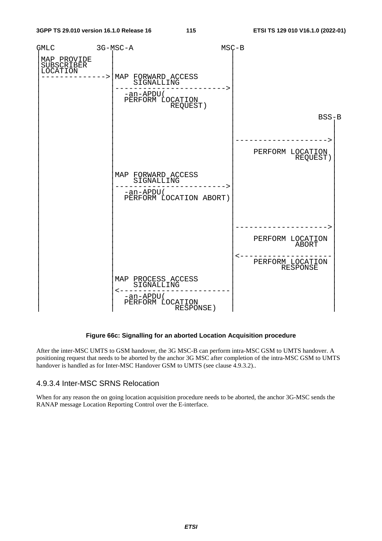

#### **Figure 66c: Signalling for an aborted Location Acquisition procedure**

After the inter-MSC UMTS to GSM handover, the 3G MSC-B can perform intra-MSC GSM to UMTS handover. A positioning request that needs to be aborted by the anchor 3G MSC after completion of the intra-MSC GSM to UMTS handover is handled as for Inter-MSC Handover GSM to UMTS (see clause 4.9.3.2)..

### 4.9.3.4 Inter-MSC SRNS Relocation

When for any reason the on going location acquisition procedure needs to be aborted, the anchor 3G-MSC sends the RANAP message Location Reporting Control over the E-interface.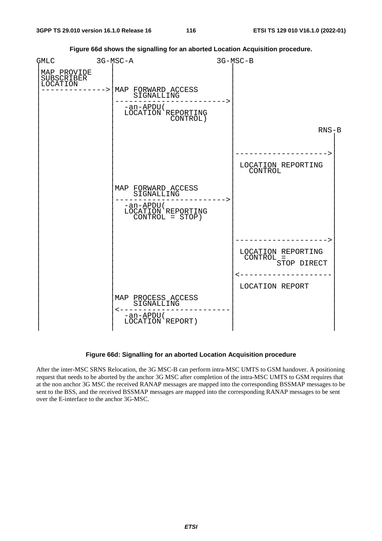

**Figure 66d shows the signalling for an aborted Location Acquisition procedure.** 

### **Figure 66d: Signalling for an aborted Location Acquisition procedure**

After the inter-MSC SRNS Relocation, the 3G MSC-B can perform intra-MSC UMTS to GSM handover. A positioning request that needs to be aborted by the anchor 3G MSC after completion of the intra-MSC UMTS to GSM requires that at the non anchor 3G MSC the received RANAP messages are mapped into the corresponding BSSMAP messages to be sent to the BSS, and the received BSSMAP messages are mapped into the corresponding RANAP messages to be sent over the E-interface to the anchor 3G-MSC.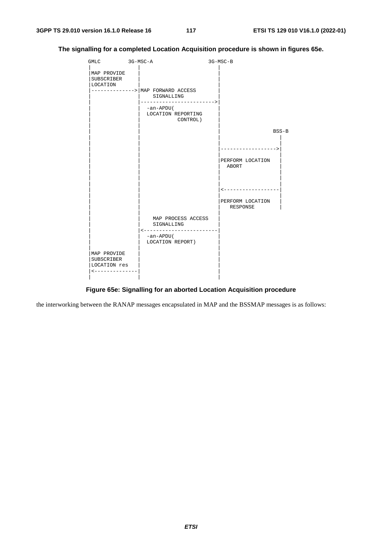

**The signalling for a completed Location Acquisition procedure is shown in figures 65e.** 

### **Figure 65e: Signalling for an aborted Location Acquisition procedure**

the interworking between the RANAP messages encapsulated in MAP and the BSSMAP messages is as follows: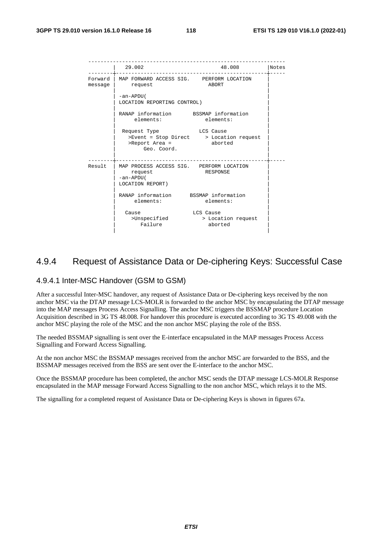|                    | 29.002                                                                               | 48.008                                               | Notes |
|--------------------|--------------------------------------------------------------------------------------|------------------------------------------------------|-------|
| Forward<br>messaqe | MAP FORWARD ACCESS SIG. PERFORM LOCATION<br>request                                  | ABORT                                                |       |
|                    | -an-APDU(<br>LOCATION REPORTING CONTROL)                                             |                                                      |       |
|                    | RANAP information BSSMAP information<br>elements:                                    | elements:                                            |       |
|                    | Request Type<br>>Report Area = aborted<br>Geo. Coord.                                | LCS Cause<br>>Event = Stop Direct > Location request |       |
| Result             | MAP PROCESS ACCESS SIG. PERFORM LOCATION<br>request<br>-an-APDU(<br>LOCATION REPORT) | RESPONSE                                             |       |
|                    | RANAP information BSSMAP information<br>elements:                                    | elements:                                            |       |
|                    | Cause<br>>Unspecified<br>Failure                                                     | LCS Cause<br>> Location request<br>aborted           |       |

### 4.9.4 Request of Assistance Data or De-ciphering Keys: Successful Case

### 4.9.4.1 Inter-MSC Handover (GSM to GSM)

After a successful Inter-MSC handover, any request of Assistance Data or De-ciphering keys received by the non anchor MSC via the DTAP message LCS-MOLR is forwarded to the anchor MSC by encapsulating the DTAP message into the MAP messages Process Access Signalling. The anchor MSC triggers the BSSMAP procedure Location Acquisition described in 3G TS 48.008. For handover this procedure is executed according to 3G TS 49.008 with the anchor MSC playing the role of the MSC and the non anchor MSC playing the role of the BSS.

The needed BSSMAP signalling is sent over the E-interface encapsulated in the MAP messages Process Access Signalling and Forward Access Signalling.

At the non anchor MSC the BSSMAP messages received from the anchor MSC are forwarded to the BSS, and the BSSMAP messages received from the BSS are sent over the E-interface to the anchor MSC.

Once the BSSMAP procedure has been completed, the anchor MSC sends the DTAP message LCS-MOLR Response encapsulated in the MAP message Forward Access Signalling to the non anchor MSC, which relays it to the MS.

The signalling for a completed request of Assistance Data or De-ciphering Keys is shown in figures 67a.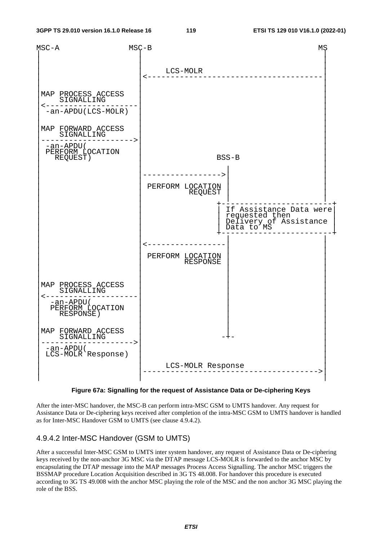

**Figure 67a: Signalling for the request of Assistance Data or De-ciphering Keys** 

After the inter-MSC handover, the MSC-B can perform intra-MSC GSM to UMTS handover. Any request for Assistance Data or De-ciphering keys received after completion of the intra-MSC GSM to UMTS handover is handled as for Inter-MSC Handover GSM to UMTS (see clause 4.9.4.2).

### 4.9.4.2 Inter-MSC Handover (GSM to UMTS)

After a successful Inter-MSC GSM to UMTS inter system handover, any request of Assistance Data or De-ciphering keys received by the non-anchor 3G MSC via the DTAP message LCS-MOLR is forwarded to the anchor MSC by encapsulating the DTAP message into the MAP messages Process Access Signalling. The anchor MSC triggers the BSSMAP procedure Location Acquisition described in 3G TS 48.008. For handover this procedure is executed according to 3G TS 49.008 with the anchor MSC playing the role of the MSC and the non anchor 3G MSC playing the role of the BSS.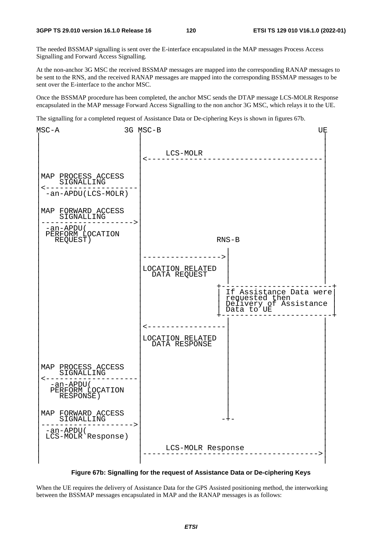The needed BSSMAP signalling is sent over the E-interface encapsulated in the MAP messages Process Access Signalling and Forward Access Signalling.

At the non-anchor 3G MSC the received BSSMAP messages are mapped into the corresponding RANAP messages to be sent to the RNS, and the received RANAP messages are mapped into the corresponding BSSMAP messages to be sent over the E-interface to the anchor MSC.

Once the BSSMAP procedure has been completed, the anchor MSC sends the DTAP message LCS-MOLR Response encapsulated in the MAP message Forward Access Signalling to the non anchor 3G MSC, which relays it to the UE.

The signalling for a completed request of Assistance Data or De-ciphering Keys is shown in figures 67b.



**Figure 67b: Signalling for the request of Assistance Data or De-ciphering Keys** 

When the UE requires the delivery of Assistance Data for the GPS Assisted positioning method, the interworking between the BSSMAP messages encapsulated in MAP and the RANAP messages is as follows: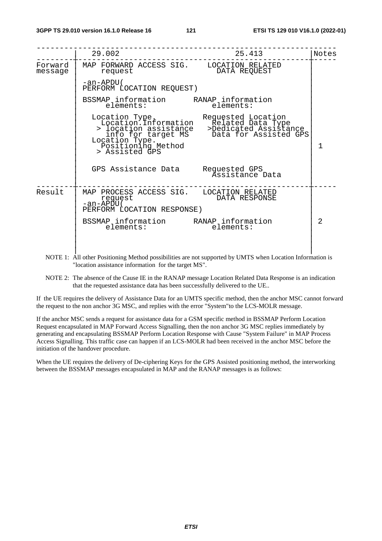|                    | 29.002                                                                                          | 25.413                                                                                                                                                                 | Notes          |
|--------------------|-------------------------------------------------------------------------------------------------|------------------------------------------------------------------------------------------------------------------------------------------------------------------------|----------------|
| Forward<br>message | MAP FORWARD ACCESS SIG. LOCATION RELATED<br>request                                             | DATA REQUEST                                                                                                                                                           |                |
|                    | -an-APDU (<br>PERFORM LOCATION REQUEST)                                                         |                                                                                                                                                                        |                |
|                    | BSSMAP information RANAP information<br>elements:                                               | elements:                                                                                                                                                              |                |
|                    | Location Type.<br>Positioning Method<br>> Assisted GPS                                          | Location Type. Requested Location<br>Location.Information Related Data Type<br>> location assistance >Dedicated Assistance<br>info for target MS Data for Assisted GPS | 1              |
|                    | GPS Assistance Data Requested GPS<br>Assistance Data                                            |                                                                                                                                                                        |                |
| Result             | MAP PROCESS ACCESS SIG. LOCATION RELATED<br>request<br>-an-APĎU (<br>PERFORM LOCATION RESPONSE) | DATA RESPONSE                                                                                                                                                          |                |
|                    | BSSMAP <sub>l</sub> information RANAP <sub>l</sub> information<br>elements:                     | elements:                                                                                                                                                              | $\mathfrak{D}$ |

- NOTE 1: All other Positioning Method possibilities are not supported by UMTS when Location Information is "location assistance information for the target MS".
- NOTE 2: The absence of the Cause IE in the RANAP message Location Related Data Response is an indication that the requested assistance data has been successfully delivered to the UE..

If the UE requires the delivery of Assistance Data for an UMTS specific method, then the anchor MSC cannot forward the request to the non anchor 3G MSC, and replies with the error "System"to the LCS-MOLR message.

If the anchor MSC sends a request for assistance data for a GSM specific method in BSSMAP Perform Location Request encapsulated in MAP Forward Access Signalling, then the non anchor 3G MSC replies immediately by generating and encapsulating BSSMAP Perform Location Response with Cause "System Failure" in MAP Process Access Signalling. This traffic case can happen if an LCS-MOLR had been received in the anchor MSC before the initiation of the handover procedure.

When the UE requires the delivery of De-ciphering Keys for the GPS Assisted positioning method, the interworking between the BSSMAP messages encapsulated in MAP and the RANAP messages is as follows: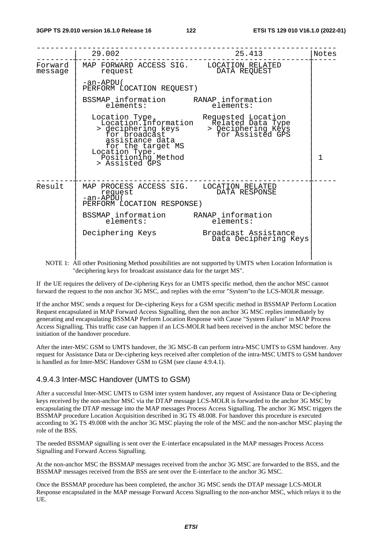|                    | 29.002                                                                                                           | 25.413                                                                                                                                                   | Notes        |
|--------------------|------------------------------------------------------------------------------------------------------------------|----------------------------------------------------------------------------------------------------------------------------------------------------------|--------------|
| Forward<br>message | MAP FORWARD ACCESS SIG. LOCATION RELATED<br>request                                                              | DATA REQUEST                                                                                                                                             |              |
|                    | -an-APDU(<br>PERFORM LOCATION REQUEST)                                                                           |                                                                                                                                                          |              |
|                    | BSSMAP information RANAP information<br>elements:                                                                | elements:                                                                                                                                                |              |
|                    | Location Type.<br>assistance data<br>for the target MS<br>Location Type.<br>Positioning Method<br>> Assisted GPS | ocation Type. Requested Location<br>Location.Information Related Data Type<br>> deciphering keys > Deciphering Keys<br>for broadcast if for Assisted GPS | $\mathbf{1}$ |
| Result             | MAP PROCESS ACCESS SIG. LOCATION RELATED<br>request<br>-an-APĎU (<br>PERFORM LOCATION RESPONSE)                  | DATA RESPONSE                                                                                                                                            |              |
|                    | BSSMAP information RANAP information<br>elements: elements:                                                      |                                                                                                                                                          |              |
|                    | Deciphering Keys Broadcast Assistance                                                                            | Data Deciphering Keys                                                                                                                                    |              |
|                    |                                                                                                                  |                                                                                                                                                          |              |

NOTE 1: All other Positioning Method possibilities are not supported by UMTS when Location Information is "deciphering keys for broadcast assistance data for the target MS".

If the UE requires the delivery of De-ciphering Keys for an UMTS specific method, then the anchor MSC cannot forward the request to the non anchor 3G MSC, and replies with the error "System"to the LCS-MOLR message.

If the anchor MSC sends a request for De-ciphering Keys for a GSM specific method in BSSMAP Perform Location Request encapsulated in MAP Forward Access Signalling, then the non anchor 3G MSC replies immediately by generating and encapsulating BSSMAP Perform Location Response with Cause "System Failure" in MAP Process Access Signalling. This traffic case can happen if an LCS-MOLR had been received in the anchor MSC before the initiation of the handover procedure.

After the inter-MSC GSM to UMTS handover, the 3G MSC-B can perform intra-MSC UMTS to GSM handover. Any request for Assistance Data or De-ciphering keys received after completion of the intra-MSC UMTS to GSM handover is handled as for Inter-MSC Handover GSM to GSM (see clause 4.9.4.1).

### 4.9.4.3 Inter-MSC Handover (UMTS to GSM)

After a successful Inter-MSC UMTS to GSM inter system handover, any request of Assistance Data or De-ciphering keys received by the non-anchor MSC via the DTAP message LCS-MOLR is forwarded to the anchor 3G MSC by encapsulating the DTAP message into the MAP messages Process Access Signalling. The anchor 3G MSC triggers the BSSMAP procedure Location Acquisition described in 3G TS 48.008. For handover this procedure is executed according to 3G TS 49.008 with the anchor 3G MSC playing the role of the MSC and the non-anchor MSC playing the role of the BSS.

The needed BSSMAP signalling is sent over the E-interface encapsulated in the MAP messages Process Access Signalling and Forward Access Signalling.

At the non-anchor MSC the BSSMAP messages received from the anchor 3G MSC are forwarded to the BSS, and the BSSMAP messages received from the BSS are sent over the E-interface to the anchor 3G MSC.

Once the BSSMAP procedure has been completed, the anchor 3G MSC sends the DTAP message LCS-MOLR Response encapsulated in the MAP message Forward Access Signalling to the non-anchor MSC, which relays it to the UE.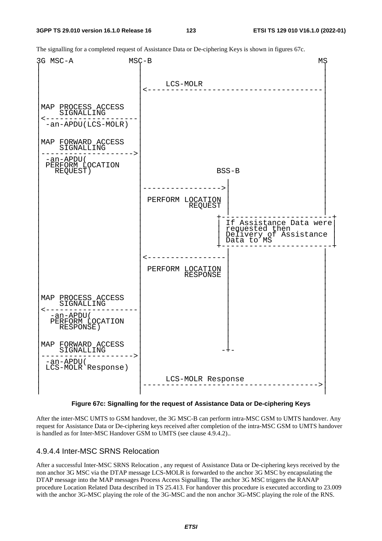The signalling for a completed request of Assistance Data or De-ciphering Keys is shown in figures 67c.



**Figure 67c: Signalling for the request of Assistance Data or De-ciphering Keys** 

After the inter-MSC UMTS to GSM handover, the 3G MSC-B can perform intra-MSC GSM to UMTS handover. Any request for Assistance Data or De-ciphering keys received after completion of the intra-MSC GSM to UMTS handover is handled as for Inter-MSC Handover GSM to UMTS (see clause 4.9.4.2)..

### 4.9.4.4 Inter-MSC SRNS Relocation

After a successful Inter-MSC SRNS Relocation , any request of Assistance Data or De-ciphering keys received by the non anchor 3G MSC via the DTAP message LCS-MOLR is forwarded to the anchor 3G MSC by encapsulating the DTAP message into the MAP messages Process Access Signalling. The anchor 3G MSC triggers the RANAP procedure Location Related Data described in TS 25.413. For handover this procedure is executed according to 23.009 with the anchor 3G-MSC playing the role of the 3G-MSC and the non anchor 3G-MSC playing the role of the RNS.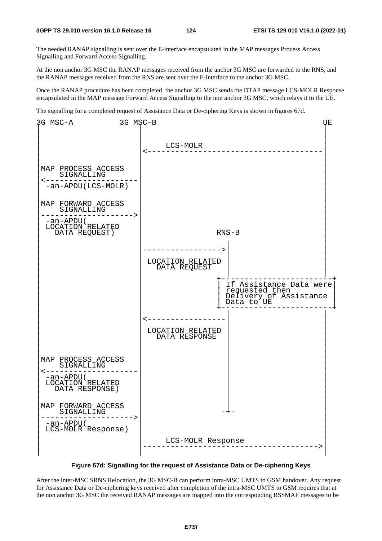The needed RANAP signalling is sent over the E-interface encapsulated in the MAP messages Process Access Signalling and Forward Access Signalling.

At the non anchor 3G MSC the RANAP messages received from the anchor 3G MSC are forwarded to the RNS, and the RANAP messages received from the RNS are sent over the E-interface to the anchor 3G MSC.

Once the RANAP procedure has been completed, the anchor 3G MSC sends the DTAP message LCS-MOLR Response encapsulated in the MAP message Forward Access Signalling to the non anchor 3G MSC, which relays it to the UE.

The signalling for a completed request of Assistance Data or De-ciphering Keys is shown in figures 67d.



**Figure 67d: Signalling for the request of Assistance Data or De-ciphering Keys** 

After the inter-MSC SRNS Relocation, the 3G MSC-B can perform intra-MSC UMTS to GSM handover. Any request for Assistance Data or De-ciphering keys received after completion of the intra-MSC UMTS to GSM requires that at the non anchor 3G MSC the received RANAP messages are mapped into the corresponding BSSMAP messages to be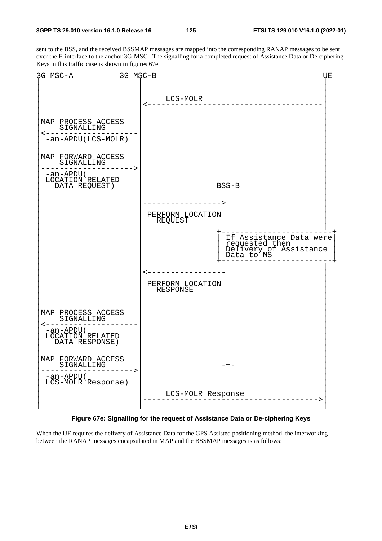sent to the BSS, and the received BSSMAP messages are mapped into the corresponding RANAP messages to be sent over the E-interface to the anchor 3G-MSC. The signalling for a completed request of Assistance Data or De-ciphering Keys in this traffic case is shown in figures 67e.



**Figure 67e: Signalling for the request of Assistance Data or De-ciphering Keys** 

When the UE requires the delivery of Assistance Data for the GPS Assisted positioning method, the interworking between the RANAP messages encapsulated in MAP and the BSSMAP messages is as follows: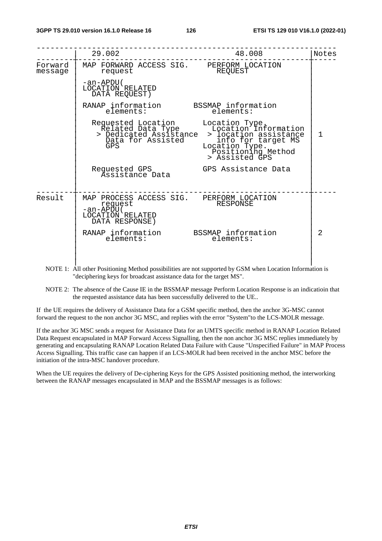|                    | 29.002                                                                                                  | 48.008                                                                                                                                                                                                    | Notes        |
|--------------------|---------------------------------------------------------------------------------------------------------|-----------------------------------------------------------------------------------------------------------------------------------------------------------------------------------------------------------|--------------|
| Forward<br>message | MAP FORWARD ACCESS SIG. PERFORM LOCATION<br>request                                                     | REOUEST                                                                                                                                                                                                   |              |
|                    | -an-APDU(<br>LOCATION RELATED<br>DATA REQUEST)                                                          |                                                                                                                                                                                                           |              |
|                    | RANAP information<br>elements:                                                                          | BSSMAP information<br>elements:                                                                                                                                                                           |              |
|                    | Data for Assisted<br>GPS                                                                                | Requested Location Location Type.<br>Related Data Type Location Information<br>Dedicated Assistance > location assistance<br>info for target MS<br>Location Type.<br>Positioning Method<br>> Assisted GPS | $\mathbf{1}$ |
|                    | Requested GPS<br>Assistance Data                                                                        | GPS Assistance Data                                                                                                                                                                                       |              |
| Result             | MAP PROCESS ACCESS SIG. PERFORM LOCATION<br>request<br>-an-APDU (<br>LOCATION RELATED<br>DATA RESPONSE) | RESPONSE                                                                                                                                                                                                  |              |
|                    | RANAP information BSSMAP information<br>elements:                                                       | elements:                                                                                                                                                                                                 | 2            |
|                    |                                                                                                         |                                                                                                                                                                                                           |              |

NOTE 1: All other Positioning Method possibilities are not supported by GSM when Location Information is "deciphering keys for broadcast assistance data for the target MS".

NOTE 2: The absence of the Cause IE in the BSSMAP message Perform Location Response is an indicatioin that the requested assistance data has been successfully delivered to the UE..

If the UE requires the delivery of Assistance Data for a GSM specific method, then the anchor 3G-MSC cannot forward the request to the non anchor 3G MSC, and replies with the error "System"to the LCS-MOLR message.

If the anchor 3G MSC sends a request for Assistance Data for an UMTS specific method in RANAP Location Related Data Request encapsulated in MAP Forward Access Signalling, then the non anchor 3G MSC replies immediately by generating and encapsulating RANAP Location Related Data Failure with Cause "Unspecified Failure" in MAP Process Access Signalling. This traffic case can happen if an LCS-MOLR had been received in the anchor MSC before the initiation of the intra-MSC handover procedure.

When the UE requires the delivery of De-ciphering Keys for the GPS Assisted positioning method, the interworking between the RANAP messages encapsulated in MAP and the BSSMAP messages is as follows: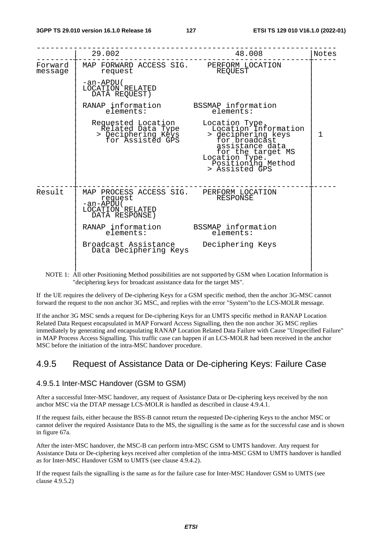|                    | 29.002                                                                                                 | 48.008                                                                                                                                                                          | Notes        |
|--------------------|--------------------------------------------------------------------------------------------------------|---------------------------------------------------------------------------------------------------------------------------------------------------------------------------------|--------------|
| Forward<br>message | MAP FORWARD ACCESS SIG. PERFORM LOCATION<br>request                                                    | REQUEST                                                                                                                                                                         |              |
|                    | -an-APDU(<br>LOCATION RELATED<br>DATA REQUEST)                                                         |                                                                                                                                                                                 |              |
|                    | RANAP information<br>elements:                                                                         | BSSMAP information<br>elements:                                                                                                                                                 |              |
|                    | Requested Location<br>Related Data Type<br>> Deciphering Keys<br>for Assisted GPS                      | Location Type.<br>Location Information<br>> deciphering keys<br>for broadcast<br>assistance data<br>for the target MS<br>Location Type.<br>Positioning Method<br>> Assisted GPS | $\mathbf{1}$ |
| Result             | MAP PROCESS ACCESS SIG. PERFORM LOCATION<br>request<br>-an-APDŪ(<br>LOCATION RELATED<br>DATA RESPONSE) | RESPONSE                                                                                                                                                                        |              |
|                    | RANAP information BSSMAP information<br>elements:                                                      | elements:                                                                                                                                                                       |              |
|                    | Broadcast Assistance<br>Data Deciphering Keys                                                          | Deciphering Keys                                                                                                                                                                |              |

NOTE 1: All other Positioning Method possibilities are not supported by GSM when Location Information is "deciphering keys for broadcast assistance data for the target MS".

If the UE requires the delivery of De-ciphering Keys for a GSM specific method, then the anchor 3G-MSC cannot forward the request to the non anchor 3G MSC, and replies with the error "System"to the LCS-MOLR message.

If the anchor 3G MSC sends a request for De-ciphering Keys for an UMTS specific method in RANAP Location Related Data Request encapsulated in MAP Forward Access Signalling, then the non anchor 3G MSC replies immediately by generating and encapsulating RANAP Location Related Data Failure with Cause "Unspecified Failure" in MAP Process Access Signalling. This traffic case can happen if an LCS-MOLR had been received in the anchor MSC before the initiation of the intra-MSC handover procedure.

### 4.9.5 Request of Assistance Data or De-ciphering Keys: Failure Case

### 4.9.5.1 Inter-MSC Handover (GSM to GSM)

After a successful Inter-MSC handover, any request of Assistance Data or De-ciphering keys received by the non anchor MSC via the DTAP message LCS-MOLR is handled as described in clause 4.9.4.1.

If the request fails, either because the BSS-B cannot return the requested De-ciphering Keys to the anchor MSC or cannot deliver the required Assistance Data to the MS, the signalling is the same as for the successful case and is shown in figure 67a.

After the inter-MSC handover, the MSC-B can perform intra-MSC GSM to UMTS handover. Any request for Assistance Data or De-ciphering keys received after completion of the intra-MSC GSM to UMTS handover is handled as for Inter-MSC Handover GSM to UMTS (see clause 4.9.4.2).

If the request fails the signalling is the same as for the failure case for Inter-MSC Handover GSM to UMTS (see clause 4.9.5.2)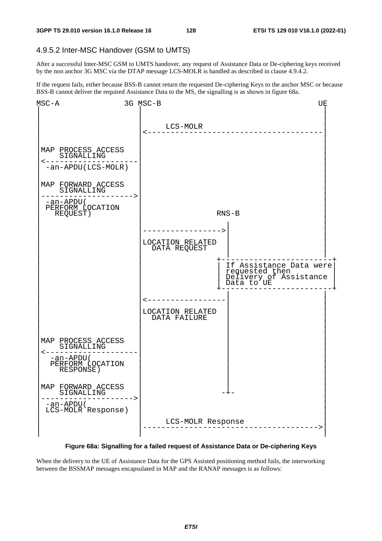### 4.9.5.2 Inter-MSC Handover (GSM to UMTS)

After a successful Inter-MSC GSM to UMTS handover, any request of Assistance Data or De-ciphering keys received by the non anchor 3G MSC via the DTAP message LCS-MOLR is handled as described in clause 4.9.4.2.

If the request fails, either because BSS-B cannot return the requested De-ciphering Keys to the anchor MSC or because BSS-B cannot deliver the required Assistance Data to the MS, the signalling is as shown in figure 68a.



**Figure 68a: Signalling for a failed request of Assistance Data or De-ciphering Keys** 

When the delivery to the UE of Assistance Data for the GPS Assisted positioning method fails, the interworking between the BSSMAP messages encapsulated in MAP and the RANAP messages is as follows: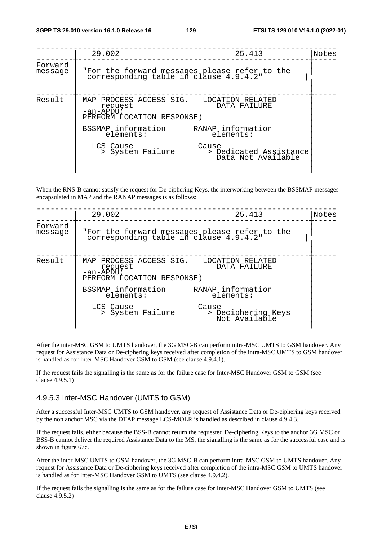|                    | 29.002                                                                                        | 25.413                                                | Notes |
|--------------------|-----------------------------------------------------------------------------------------------|-------------------------------------------------------|-------|
| Forward<br>message | "For the forward messages please refer to the<br>corresponding table in clause 4.9.4.2"       |                                                       |       |
| Result             | MAP PROCESS ACCESS SIG. LOCATION RELATED<br>request<br>-an-APDU<br>PERFORM LOCATION RESPONSE) | DATA FAILURE                                          |       |
|                    | BSSMAP information<br>elements:                                                               | RANAP information<br>elements:                        |       |
|                    | LCS Cause<br>> System Failure                                                                 | Cause<br>> Dedicated Assistance<br>Data Not Available |       |

When the RNS-B cannot satisfy the request for De-ciphering Keys, the interworking between the BSSMAP messages encapsulated in MAP and the RANAP messages is as follows:

|                    | 29.002                                                                                          | 25.413                                       | Notes |
|--------------------|-------------------------------------------------------------------------------------------------|----------------------------------------------|-------|
| Forward<br>message | "For the forward messages please refer to the<br>corresponding table in clause 4.9.4.2"         |                                              |       |
| Result             | MAP PROCESS ACCESS SIG. LOCATION RELATED<br>request<br>-an-APDU (<br>PERFORM LOCATION RESPONSE) | DATA FAILURE                                 |       |
|                    | BSSMAP information<br>elements:                                                                 | RANAP information<br>elements:               |       |
|                    | LCS Cause<br>> System Failure                                                                   | Cause<br>> Deciphering Keys<br>Not Available |       |

After the inter-MSC GSM to UMTS handover, the 3G MSC-B can perform intra-MSC UMTS to GSM handover. Any request for Assistance Data or De-ciphering keys received after completion of the intra-MSC UMTS to GSM handover is handled as for Inter-MSC Handover GSM to GSM (see clause 4.9.4.1).

If the request fails the signalling is the same as for the failure case for Inter-MSC Handover GSM to GSM (see clause 4.9.5.1)

### 4.9.5.3 Inter-MSC Handover (UMTS to GSM)

After a successful Inter-MSC UMTS to GSM handover, any request of Assistance Data or De-ciphering keys received by the non anchor MSC via the DTAP message LCS-MOLR is handled as described in clause 4.9.4.3.

If the request fails, either because the BSS-B cannot return the requested De-ciphering Keys to the anchor 3G MSC or BSS-B cannot deliver the required Assistance Data to the MS, the signalling is the same as for the successful case and is shown in figure 67c.

After the inter-MSC UMTS to GSM handover, the 3G MSC-B can perform intra-MSC GSM to UMTS handover. Any request for Assistance Data or De-ciphering keys received after completion of the intra-MSC GSM to UMTS handover is handled as for Inter-MSC Handover GSM to UMTS (see clause 4.9.4.2)..

If the request fails the signalling is the same as for the failure case for Inter-MSC Handover GSM to UMTS (see clause 4.9.5.2)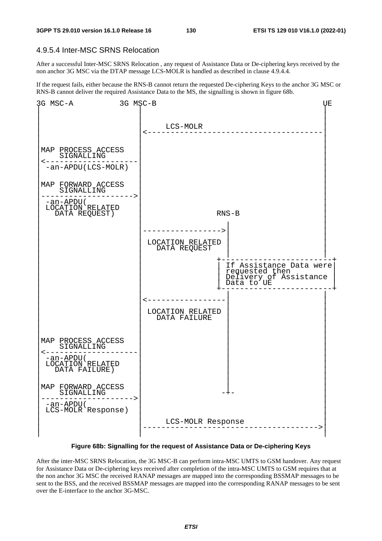### 4.9.5.4 Inter-MSC SRNS Relocation

After a successful Inter-MSC SRNS Relocation , any request of Assistance Data or De-ciphering keys received by the non anchor 3G MSC via the DTAP message LCS-MOLR is handled as described in clause 4.9.4.4.

If the request fails, either because the RNS-B cannot return the requested De-ciphering Keys to the anchor 3G MSC or RNS-B cannot deliver the required Assistance Data to the MS, the signalling is shown in figure 68b.



**Figure 68b: Signalling for the request of Assistance Data or De-ciphering Keys** 

After the inter-MSC SRNS Relocation, the 3G MSC-B can perform intra-MSC UMTS to GSM handover. Any request for Assistance Data or De-ciphering keys received after completion of the intra-MSC UMTS to GSM requires that at the non anchor 3G MSC the received RANAP messages are mapped into the corresponding BSSMAP messages to be sent to the BSS, and the received BSSMAP messages are mapped into the corresponding RANAP messages to be sent over the E-interface to the anchor 3G-MSC.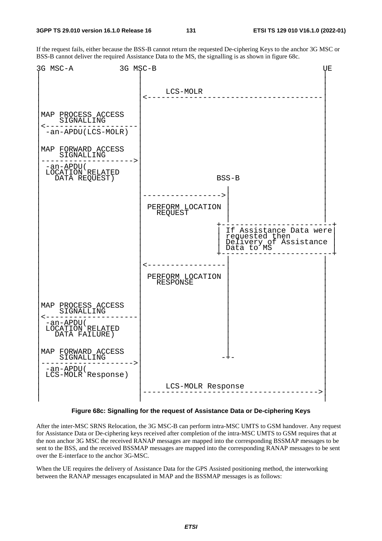If the request fails, either because the BSS-B cannot return the requested De-ciphering Keys to the anchor 3G MSC or BSS-B cannot deliver the required Assistance Data to the MS, the signalling is as shown in figure 68c.



**Figure 68c: Signalling for the request of Assistance Data or De-ciphering Keys** 

After the inter-MSC SRNS Relocation, the 3G MSC-B can perform intra-MSC UMTS to GSM handover. Any request for Assistance Data or De-ciphering keys received after completion of the intra-MSC UMTS to GSM requires that at the non anchor 3G MSC the received RANAP messages are mapped into the corresponding BSSMAP messages to be sent to the BSS, and the received BSSMAP messages are mapped into the corresponding RANAP messages to be sent over the E-interface to the anchor 3G-MSC.

When the UE requires the delivery of Assistance Data for the GPS Assisted positioning method, the interworking between the RANAP messages encapsulated in MAP and the BSSMAP messages is as follows: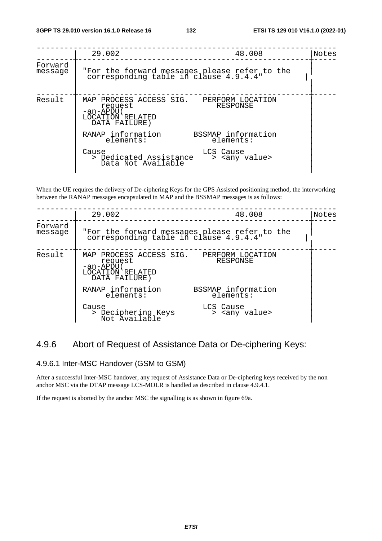|                    | 29.002<br>48.008                                                                                                   | Notes |
|--------------------|--------------------------------------------------------------------------------------------------------------------|-------|
| Forward<br>message | "For the forward messages please refer to the<br>corresponding table in clause 4.9.4.4"                            |       |
| Result             | MAP PROCESS ACCESS SIG. PERFORM LOCATION<br>RESPONSE<br>request<br>-an-APDU (<br>LOCATION RELATED<br>DATA FAILURE) |       |
|                    | BSSMAP information<br>RANAP information<br>elements:<br>elements:                                                  |       |
|                    | LCS Cause<br>Cause<br>> Dedicated Assistance<br>> <any value=""><br/>Data Not Available</any>                      |       |

When the UE requires the delivery of De-ciphering Keys for the GPS Assisted positioning method, the interworking between the RANAP messages encapsulated in MAP and the BSSMAP messages is as follows:

|                    | 29.002                                                                                                 | 48.008                                                                                  | Notes |
|--------------------|--------------------------------------------------------------------------------------------------------|-----------------------------------------------------------------------------------------|-------|
| Forward<br>message |                                                                                                        | "For the forward messages please refer to the<br>corresponding table in clause 4.9.4.4" |       |
| Result             | MAP PROCESS ACCESS SIG. PERFORM LOCATION<br>request<br>-an-APDU (<br>LOCATION RELATED<br>DATA FAILURE) | RESPONSE                                                                                |       |
|                    | RANAP information<br>elements:                                                                         | BSSMAP information<br>elements:                                                         |       |
|                    | Cause<br>> Deciphering Keys<br>Not Available                                                           | LCS Cause<br>> <any value=""></any>                                                     |       |

### 4.9.6 Abort of Request of Assistance Data or De-ciphering Keys:

### 4.9.6.1 Inter-MSC Handover (GSM to GSM)

After a successful Inter-MSC handover, any request of Assistance Data or De-ciphering keys received by the non anchor MSC via the DTAP message LCS-MOLR is handled as described in clause 4.9.4.1.

If the request is aborted by the anchor MSC the signalling is as shown in figure 69a.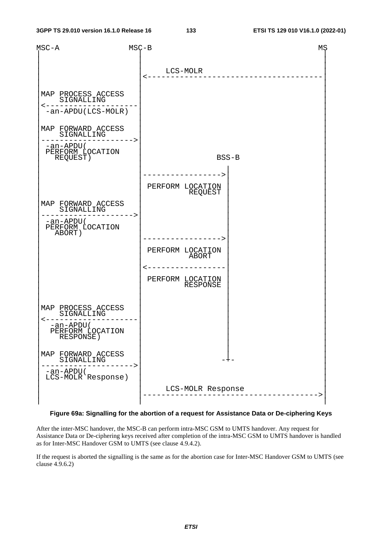

#### **Figure 69a: Signalling for the abortion of a request for Assistance Data or De-ciphering Keys**

After the inter-MSC handover, the MSC-B can perform intra-MSC GSM to UMTS handover. Any request for Assistance Data or De-ciphering keys received after completion of the intra-MSC GSM to UMTS handover is handled as for Inter-MSC Handover GSM to UMTS (see clause 4.9.4.2).

If the request is aborted the signalling is the same as for the abortion case for Inter-MSC Handover GSM to UMTS (see clause 4.9.6.2)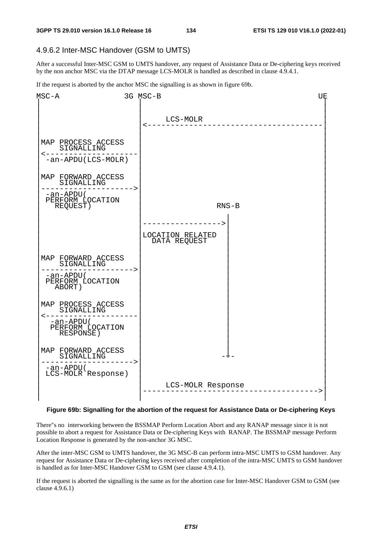### 4.9.6.2 Inter-MSC Handover (GSM to UMTS)

After a successful Inter-MSC GSM to UMTS handover, any request of Assistance Data or De-ciphering keys received by the non anchor MSC via the DTAP message LCS-MOLR is handled as described in clause 4.9.4.1.

If the request is aborted by the anchor MSC the signalling is as shown in figure 69b.



#### **Figure 69b: Signalling for the abortion of the request for Assistance Data or De-ciphering Keys**

There"s no interworking between the BSSMAP Perform Location Abort and any RANAP message since it is not possible to abort a request for Assistance Data or De-ciphering Keys with RANAP. The BSSMAP message Perform Location Response is generated by the non-anchor 3G MSC.

After the inter-MSC GSM to UMTS handover, the 3G MSC-B can perform intra-MSC UMTS to GSM handover. Any request for Assistance Data or De-ciphering keys received after completion of the intra-MSC UMTS to GSM handover is handled as for Inter-MSC Handover GSM to GSM (see clause 4.9.4.1).

If the request is aborted the signalling is the same as for the abortion case for Inter-MSC Handover GSM to GSM (see clause 4.9.6.1)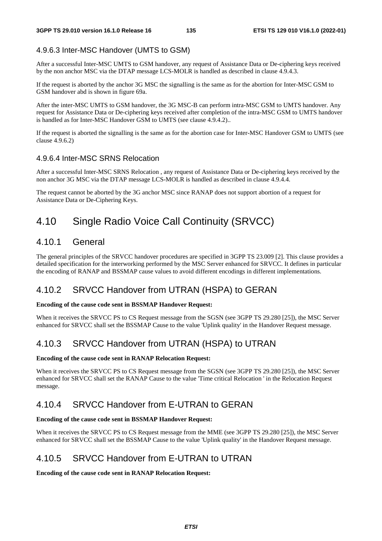### 4.9.6.3 Inter-MSC Handover (UMTS to GSM)

After a successful Inter-MSC UMTS to GSM handover, any request of Assistance Data or De-ciphering keys received by the non anchor MSC via the DTAP message LCS-MOLR is handled as described in clause 4.9.4.3.

If the request is aborted by the anchor 3G MSC the signalling is the same as for the abortion for Inter-MSC GSM to GSM handover abd is shown in figure 69a.

After the inter-MSC UMTS to GSM handover, the 3G MSC-B can perform intra-MSC GSM to UMTS handover. Any request for Assistance Data or De-ciphering keys received after completion of the intra-MSC GSM to UMTS handover is handled as for Inter-MSC Handover GSM to UMTS (see clause 4.9.4.2)..

If the request is aborted the signalling is the same as for the abortion case for Inter-MSC Handover GSM to UMTS (see clause 4.9.6.2)

### 4.9.6.4 Inter-MSC SRNS Relocation

After a successful Inter-MSC SRNS Relocation , any request of Assistance Data or De-ciphering keys received by the non anchor 3G MSC via the DTAP message LCS-MOLR is handled as described in clause 4.9.4.4.

The request cannot be aborted by the 3G anchor MSC since RANAP does not support abortion of a request for Assistance Data or De-Ciphering Keys.

## 4.10 Single Radio Voice Call Continuity (SRVCC)

### 4.10.1 General

The general principles of the SRVCC handover procedures are specified in 3GPP TS 23.009 [2]. This clause provides a detailed specification for the interworking performed by the MSC Server enhanced for SRVCC. It defines in particular the encoding of RANAP and BSSMAP cause values to avoid different encodings in different implementations.

### 4.10.2 SRVCC Handover from UTRAN (HSPA) to GERAN

#### **Encoding of the cause code sent in BSSMAP Handover Request:**

When it receives the SRVCC PS to CS Request message from the SGSN (see 3GPP TS 29.280 [25]), the MSC Server enhanced for SRVCC shall set the BSSMAP Cause to the value 'Uplink quality' in the Handover Request message.

### 4.10.3 SRVCC Handover from UTRAN (HSPA) to UTRAN

#### **Encoding of the cause code sent in RANAP Relocation Request:**

When it receives the SRVCC PS to CS Request message from the SGSN (see 3GPP TS 29.280 [25]), the MSC Server enhanced for SRVCC shall set the RANAP Cause to the value 'Time critical Relocation ' in the Relocation Request message.

### 4.10.4 SRVCC Handover from E-UTRAN to GERAN

#### **Encoding of the cause code sent in BSSMAP Handover Request:**

When it receives the SRVCC PS to CS Request message from the MME (see 3GPP TS 29.280 [25]), the MSC Server enhanced for SRVCC shall set the BSSMAP Cause to the value 'Uplink quality' in the Handover Request message.

### 4.10.5 SRVCC Handover from E-UTRAN to UTRAN

**Encoding of the cause code sent in RANAP Relocation Request:**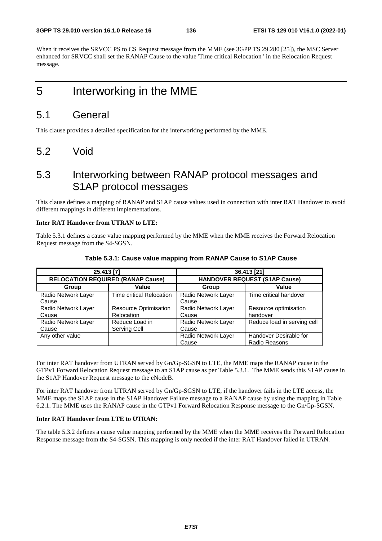When it receives the SRVCC PS to CS Request message from the MME (see 3GPP TS 29.280 [25]), the MSC Server enhanced for SRVCC shall set the RANAP Cause to the value 'Time critical Relocation ' in the Relocation Request message.

# 5 Interworking in the MME

### 5.1 General

This clause provides a detailed specification for the interworking performed by the MME.

5.2 Void

## 5.3 Interworking between RANAP protocol messages and S1AP protocol messages

This clause defines a mapping of RANAP and S1AP cause values used in connection with inter RAT Handover to avoid different mappings in different implementations.

### **Inter RAT Handover from UTRAN to LTE:**

Table 5.3.1 defines a cause value mapping performed by the MME when the MME receives the Forward Relocation Request message from the S4-SGSN.

|                                          | 25.413 [7]                                 | 36.413 [21]                  |                                         |
|------------------------------------------|--------------------------------------------|------------------------------|-----------------------------------------|
| <b>RELOCATION REQUIRED (RANAP Cause)</b> |                                            |                              | <b>HANDOVER REQUEST (S1AP Cause)</b>    |
| Group                                    | Value                                      | Group                        | Value                                   |
| Radio Network Layer<br>Cause             | Time critical Relocation                   | Radio Network Layer<br>Cause | Time critical handover                  |
| Radio Network Layer<br>Cause             | <b>Resource Optimisation</b><br>Relocation | Radio Network Layer<br>Cause | Resource optimisation<br>handover       |
| Radio Network Layer<br>Cause             | Reduce Load in<br>Serving Cell             | Radio Network Layer<br>Cause | Reduce load in serving cell             |
| Any other value                          |                                            | Radio Network Layer<br>Cause | Handover Desirable for<br>Radio Reasons |

### **Table 5.3.1: Cause value mapping from RANAP Cause to S1AP Cause**

For inter RAT handover from UTRAN served by Gn/Gp-SGSN to LTE, the MME maps the RANAP cause in the GTPv1 Forward Relocation Request message to an S1AP cause as per Table 5.3.1. The MME sends this S1AP cause in the S1AP Handover Request message to the eNodeB.

For inter RAT handover from UTRAN served by Gn/Gp-SGSN to LTE, if the handover fails in the LTE access, the MME maps the S1AP cause in the S1AP Handover Failure message to a RANAP cause by using the mapping in Table 6.2.1. The MME uses the RANAP cause in the GTPv1 Forward Relocation Response message to the Gn/Gp-SGSN.

### **Inter RAT Handover from LTE to UTRAN:**

The table 5.3.2 defines a cause value mapping performed by the MME when the MME receives the Forward Relocation Response message from the S4-SGSN. This mapping is only needed if the inter RAT Handover failed in UTRAN.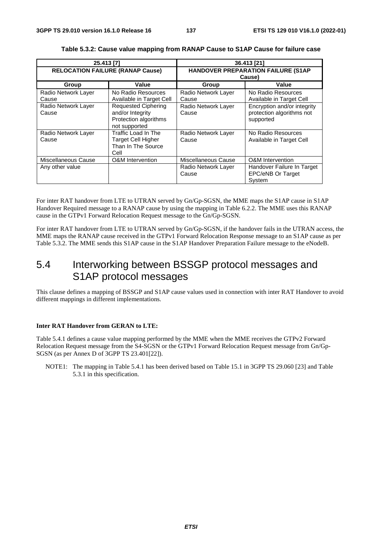| 25.413 [7]                              |                                                                                          | 36.413 [21]                                  |                                                                       |
|-----------------------------------------|------------------------------------------------------------------------------------------|----------------------------------------------|-----------------------------------------------------------------------|
| <b>RELOCATION FAILURE (RANAP Cause)</b> |                                                                                          | HANDOVER PREPARATION FAILURE (S1AP<br>Cause) |                                                                       |
| Group                                   | Value                                                                                    | Group                                        | Value                                                                 |
| Radio Network Layer<br>Cause            | No Radio Resources<br>Available in Target Cell                                           | Radio Network Layer<br>Cause                 | No Radio Resources<br>Available in Target Cell                        |
| Radio Network Layer<br>Cause            | <b>Requested Ciphering</b><br>and/or Integrity<br>Protection algorithms<br>not supported | Radio Network Layer<br>Cause                 | Encryption and/or integrity<br>protection algorithms not<br>supported |
| Radio Network Layer<br>Cause            | Traffic Load In The<br><b>Target Cell Higher</b><br>Than In The Source<br>Cell           | Radio Network Layer<br>Cause                 | No Radio Resources<br>Available in Target Cell                        |
| Miscellaneous Cause                     | O&M Intervention                                                                         | Miscellaneous Cause                          | <b>O&amp;M</b> Intervention                                           |
| Any other value                         |                                                                                          | Radio Network Layer<br>Cause                 | Handover Failure In Target<br><b>EPC/eNB Or Target</b><br>System      |

For inter RAT handover from LTE to UTRAN served by Gn/Gp-SGSN, the MME maps the S1AP cause in S1AP Handover Required message to a RANAP cause by using the mapping in Table 6.2.2. The MME uses this RANAP cause in the GTPv1 Forward Relocation Request message to the Gn/Gp-SGSN.

For inter RAT handover from LTE to UTRAN served by Gn/Gp-SGSN, if the handover fails in the UTRAN access, the MME maps the RANAP cause received in the GTPv1 Forward Relocation Response message to an S1AP cause as per Table 5.3.2. The MME sends this S1AP cause in the S1AP Handover Preparation Failure message to the eNodeB.

## 5.4 Interworking between BSSGP protocol messages and S1AP protocol messages

This clause defines a mapping of BSSGP and S1AP cause values used in connection with inter RAT Handover to avoid different mappings in different implementations.

#### **Inter RAT Handover from GERAN to LTE:**

Table 5.4.1 defines a cause value mapping performed by the MME when the MME receives the GTPv2 Forward Relocation Request message from the S4-SGSN or the GTPv1 Forward Relocation Request message from Gn/Gp-SGSN (as per Annex D of 3GPP TS 23.401[22]).

NOTE1: The mapping in Table 5.4.1 has been derived based on Table 15.1 in 3GPP TS 29.060 [23] and Table 5.3.1 in this specification.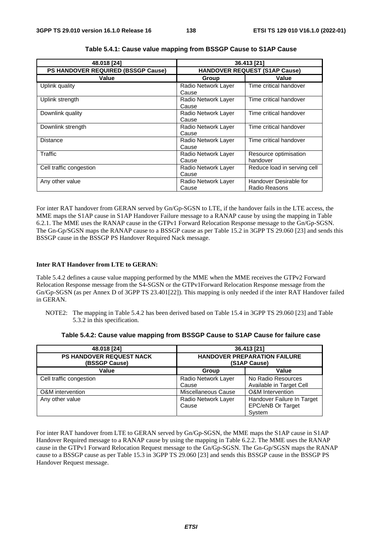| 48.018 [24]<br>36.413 [21]                |                                      |                                         |
|-------------------------------------------|--------------------------------------|-----------------------------------------|
| <b>PS HANDOVER REQUIRED (BSSGP Cause)</b> | <b>HANDOVER REQUEST (S1AP Cause)</b> |                                         |
| Value                                     | Group                                | Value                                   |
| Uplink quality                            | Radio Network Layer<br>Cause         | Time critical handover                  |
| Uplink strength                           | Radio Network Layer<br>Cause         | Time critical handover                  |
| Downlink quality                          | Radio Network Layer<br>Cause         | Time critical handover                  |
| Downlink strength                         | Radio Network Layer<br>Cause         | Time critical handover                  |
| Distance                                  | Radio Network Layer<br>Cause         | Time critical handover                  |
| Traffic                                   | Radio Network Layer<br>Cause         | Resource optimisation<br>handover       |
| Cell traffic congestion                   | Radio Network Layer<br>Cause         | Reduce load in serving cell             |
| Any other value                           | Radio Network Layer<br>Cause         | Handover Desirable for<br>Radio Reasons |

**Table 5.4.1: Cause value mapping from BSSGP Cause to S1AP Cause** 

For inter RAT handover from GERAN served by Gn/Gp-SGSN to LTE, if the handover fails in the LTE access, the MME maps the S1AP cause in S1AP Handover Failure message to a RANAP cause by using the mapping in Table 6.2.1. The MME uses the RANAP cause in the GTPv1 Forward Relocation Response message to the Gn/Gp-SGSN. The Gn-Gp/SGSN maps the RANAP cause to a BSSGP cause as per Table 15.2 in 3GPP TS 29.060 [23] and sends this BSSGP cause in the BSSGP PS Handover Required Nack message.

### **Inter RAT Handover from LTE to GERAN:**

Table 5.4.2 defines a cause value mapping performed by the MME when the MME receives the GTPv2 Forward Relocation Response message from the S4-SGSN or the GTPv1Forward Relocation Response message from the Gn/Gp-SGSN (as per Annex D of 3GPP TS 23.401[22]). This mapping is only needed if the inter RAT Handover failed in GERAN.

NOTE2: The mapping in Table 5.4.2 has been derived based on Table 15.4 in 3GPP TS 29.060 [23] and Table 5.3.2 in this specification.

| 48.018 [24]                                      |                              | 36.413 [21]                                                      |
|--------------------------------------------------|------------------------------|------------------------------------------------------------------|
| <b>PS HANDOVER REQUEST NACK</b><br>(BSSGP Cause) |                              | <b>HANDOVER PREPARATION FAILURE</b><br>(S1AP Cause)              |
| Value                                            | Group                        | Value                                                            |
| Cell traffic congestion                          | Radio Network Layer<br>Cause | No Radio Resources<br>Available in Target Cell                   |
| O&M intervention                                 | Miscellaneous Cause          | <b>O&amp;M</b> Intervention                                      |
| Any other value                                  | Radio Network Layer<br>Cause | Handover Failure In Target<br><b>EPC/eNB Or Target</b><br>System |

**Table 5.4.2: Cause value mapping from BSSGP Cause to S1AP Cause for failure case** 

For inter RAT handover from LTE to GERAN served by Gn/Gp-SGSN, the MME maps the S1AP cause in S1AP Handover Required message to a RANAP cause by using the mapping in Table 6.2.2. The MME uses the RANAP cause in the GTPv1 Forward Relocation Request message to the Gn/Gp-SGSN. The Gn-Gp/SGSN maps the RANAP cause to a BSSGP cause as per Table 15.3 in 3GPP TS 29.060 [23] and sends this BSSGP cause in the BSSGP PS Handover Request message.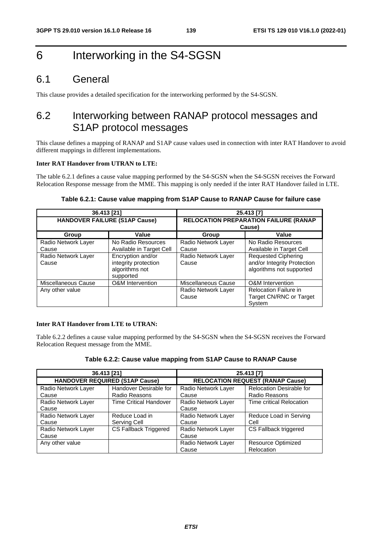# 6 Interworking in the S4-SGSN

## 6.1 General

This clause provides a detailed specification for the interworking performed by the S4-SGSN.

## 6.2 Interworking between RANAP protocol messages and S1AP protocol messages

This clause defines a mapping of RANAP and S1AP cause values used in connection with inter RAT Handover to avoid different mappings in different implementations.

### **Inter RAT Handover from UTRAN to LTE:**

The table 6.2.1 defines a cause value mapping performed by the S4-SGSN when the S4-SGSN receives the Forward Relocation Response message from the MME. This mapping is only needed if the inter RAT Handover failed in LTE.

### **Table 6.2.1: Cause value mapping from S1AP Cause to RANAP Cause for failure case**

| 36.413 [21]                          |                                                                          | 25.413 [7]                                             |                                                                                       |
|--------------------------------------|--------------------------------------------------------------------------|--------------------------------------------------------|---------------------------------------------------------------------------------------|
| <b>HANDOVER FAILURE (S1AP Cause)</b> |                                                                          | <b>RELOCATION PREPARATION FAILURE (RANAP</b><br>Cause) |                                                                                       |
| Group                                | Value                                                                    | Group                                                  | Value                                                                                 |
| Radio Network Layer                  | No Radio Resources                                                       | Radio Network Layer                                    | No Radio Resources                                                                    |
| Cause                                | Available in Target Cell                                                 | Cause                                                  | Available in Target Cell                                                              |
| Radio Network Layer<br>Cause         | Encryption and/or<br>integrity protection<br>algorithms not<br>supported | Radio Network Layer<br>Cause                           | <b>Requested Ciphering</b><br>and/or Integrity Protection<br>algorithms not supported |
| Miscellaneous Cause                  | O&M Intervention                                                         | Miscellaneous Cause                                    | <b>O&amp;M</b> Intervention                                                           |
| Any other value                      |                                                                          | Radio Network Layer<br>Cause                           | <b>Relocation Failure in</b><br>Target CN/RNC or Target<br>System                     |

#### **Inter RAT Handover from LTE to UTRAN:**

Table 6.2.2 defines a cause value mapping performed by the S4-SGSN when the S4-SGSN receives the Forward Relocation Request message from the MME.

| Table 6.2.2: Cause value mapping from S1AP Cause to RANAP Cause |  |  |  |  |  |
|-----------------------------------------------------------------|--|--|--|--|--|
|-----------------------------------------------------------------|--|--|--|--|--|

| 36.413 [21]                           |                               | 25.413 [7]          |                                         |
|---------------------------------------|-------------------------------|---------------------|-----------------------------------------|
| <b>HANDOVER REQUIRED (S1AP Cause)</b> |                               |                     | <b>RELOCATION REQUEST (RANAP Cause)</b> |
| Radio Network Layer                   | Handover Desirable for        | Radio Network Layer | <b>Relocation Desirable for</b>         |
| Cause                                 | Radio Reasons                 | Cause               | Radio Reasons                           |
| Radio Network Layer                   | <b>Time Critical Handover</b> | Radio Network Layer | Time critical Relocation                |
| Cause                                 |                               | Cause               |                                         |
| Radio Network Layer                   | Reduce Load in                | Radio Network Layer | Reduce Load in Serving                  |
| Cause                                 | Serving Cell                  | Cause               | Cell                                    |
| Radio Network Layer                   | <b>CS Fallback Triggered</b>  | Radio Network Layer | CS Fallback triggered                   |
| Cause                                 |                               | Cause               |                                         |
| Any other value                       |                               | Radio Network Layer | <b>Resource Optimized</b>               |
|                                       |                               | Cause               | Relocation                              |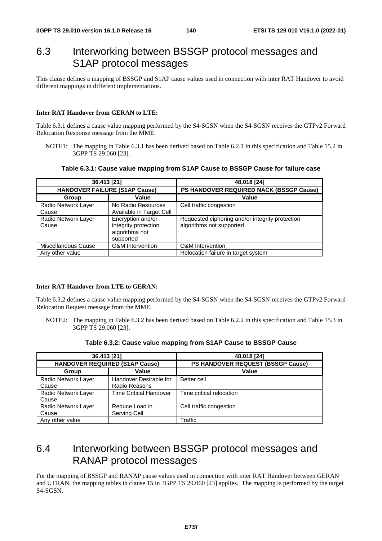## 6.3 Interworking between BSSGP protocol messages and S1AP protocol messages

This clause defines a mapping of BSSGP and S1AP cause values used in connection with inter RAT Handover to avoid different mappings in different implementations.

#### **Inter RAT Handover from GERAN to LTE:**

Table 6.3.1 defines a cause value mapping performed by the S4-SGSN when the S4-SGSN receives the GTPv2 Forward Relocation Response message from the MME.

NOTE1: The mapping in Table 6.3.1 has been derived based on Table 6.2.1 in this specification and Table 15.2 in 3GPP TS 29.060 [23].

**Table 6.3.1: Cause value mapping from S1AP Cause to BSSGP Cause for failure case** 

| 36.413 [21]                          |                                                                          | 48.018 [24]                                                                 |
|--------------------------------------|--------------------------------------------------------------------------|-----------------------------------------------------------------------------|
| <b>HANDOVER FAILURE (S1AP Cause)</b> |                                                                          | PS HANDOVER REQUIRED NACK (BSSGP Cause)                                     |
| Group                                | Value                                                                    | Value                                                                       |
| Radio Network Layer<br>Cause         | No Radio Resources<br>Available in Target Cell                           | Cell traffic congestion                                                     |
| Radio Network Layer<br>Cause         | Encryption and/or<br>integrity protection<br>algorithms not<br>supported | Requested ciphering and/or integrity protection<br>algorithms not supported |
| Miscellaneous Cause                  | <b>O&amp;M</b> Intervention                                              | <b>O&amp;M</b> Intervention                                                 |
| Any other value                      |                                                                          | Relocation failure in target system                                         |

#### **Inter RAT Handover from LTE to GERAN:**

Table 6.3.2 defines a cause value mapping performed by the S4-SGSN when the S4-SGSN receives the GTPv2 Forward Relocation Request message from the MME.

NOTE2: The mapping in Table 6.3.2 has been derived based on Table 6.2.2 in this specification and Table 15.3 in 3GPP TS 29.060 [23].

| 36.413 [21]                           |                               | 48.018 [24]                       |
|---------------------------------------|-------------------------------|-----------------------------------|
| <b>HANDOVER REQUIRED (S1AP Cause)</b> |                               | PS HANDOVER REQUEST (BSSGP Cause) |
| Value<br>Group                        |                               | Value                             |
| Radio Network Layer                   | Handover Desirable for        | Better cell                       |
| Cause                                 | Radio Reasons                 |                                   |
| Radio Network Layer                   | <b>Time Critical Handover</b> | Time critical relocation          |
| Cause                                 |                               |                                   |
| Radio Network Layer                   | Reduce Load in                | Cell traffic congestion           |
| Cause                                 | Serving Cell                  |                                   |
| Any other value                       |                               | Traffic                           |

**Table 6.3.2: Cause value mapping from S1AP Cause to BSSGP Cause** 

## 6.4 Interworking between BSSGP protocol messages and RANAP protocol messages

For the mapping of BSSGP and RANAP cause values used in connection with inter RAT Handover between GERAN and UTRAN, the mapping tables in clause 15 in 3GPP TS 29.060 [23] applies. The mapping is performed by the target S4-SGSN.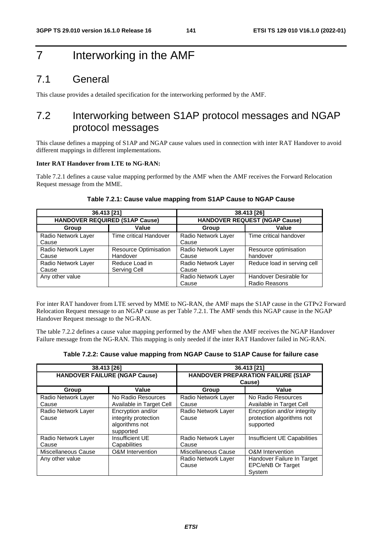# 7 Interworking in the AMF

### 7.1 General

This clause provides a detailed specification for the interworking performed by the AMF.

## 7.2 Interworking between S1AP protocol messages and NGAP protocol messages

This clause defines a mapping of S1AP and NGAP cause values used in connection with inter RAT Handover to avoid different mappings in different implementations.

#### **Inter RAT Handover from LTE to NG-RAN:**

Table 7.2.1 defines a cause value mapping performed by the AMF when the AMF receives the Forward Relocation Request message from the MME.

| 36.413 [21]                           |                              | 38.413 [26]                          |                             |
|---------------------------------------|------------------------------|--------------------------------------|-----------------------------|
| <b>HANDOVER REQUIRED (S1AP Cause)</b> |                              | <b>HANDOVER REQUEST (NGAP Cause)</b> |                             |
| Group                                 | Value                        | Group                                | Value                       |
| Radio Network Layer                   | Time critical Handover       | Radio Network Layer                  | Time critical handover      |
| Cause                                 |                              | Cause                                |                             |
| Radio Network Layer                   | <b>Resource Optimisation</b> | Radio Network Layer                  | Resource optimisation       |
| Cause                                 | Handover                     | Cause                                | handover                    |
| Radio Network Layer                   | Reduce Load in               | Radio Network Layer                  | Reduce load in serving cell |
| Cause                                 | Serving Cell                 | Cause                                |                             |
| Any other value                       |                              | Radio Network Layer                  | Handover Desirable for      |
|                                       |                              | Cause                                | Radio Reasons               |

#### **Table 7.2.1: Cause value mapping from S1AP Cause to NGAP Cause**

For inter RAT handover from LTE served by MME to NG-RAN, the AMF maps the S1AP cause in the GTPv2 Forward Relocation Request message to an NGAP cause as per Table 7.2.1. The AMF sends this NGAP cause in the NGAP Handover Request message to the NG-RAN.

The table 7.2.2 defines a cause value mapping performed by the AMF when the AMF receives the NGAP Handover Failure message from the NG-RAN. This mapping is only needed if the inter RAT Handover failed in NG-RAN.

| Table 7.2.2: Cause value mapping from NGAP Cause to S1AP Cause for failure case |  |
|---------------------------------------------------------------------------------|--|
|---------------------------------------------------------------------------------|--|

| 38.413 [26]                            |                                                                          |                                                     | 36.413 [21]                                                                              |
|----------------------------------------|--------------------------------------------------------------------------|-----------------------------------------------------|------------------------------------------------------------------------------------------|
| <b>HANDOVER FAILURE (NGAP Cause)</b>   |                                                                          | <b>HANDOVER PREPARATION FAILURE (S1AP</b><br>Cause) |                                                                                          |
| Group                                  | Value                                                                    | Group                                               | Value                                                                                    |
| Radio Network Layer<br>Cause           | No Radio Resources<br>Available in Target Cell                           | Radio Network Layer<br>Cause                        | No Radio Resources<br>Available in Target Cell                                           |
| Radio Network Layer<br>Cause           | Encryption and/or<br>integrity protection<br>algorithms not<br>supported | Radio Network Layer<br>Cause                        | Encryption and/or integrity<br>protection algorithms not<br>supported                    |
| Radio Network Layer<br>Cause           | Insufficient UE<br>Capabilities                                          | Radio Network Layer<br>Cause                        | Insufficient UE Capabilities                                                             |
| Miscellaneous Cause<br>Any other value | O&M Intervention                                                         | Miscellaneous Cause<br>Radio Network Layer<br>Cause | <b>O&amp;M</b> Intervention<br>Handover Failure In Target<br>EPC/eNB Or Target<br>System |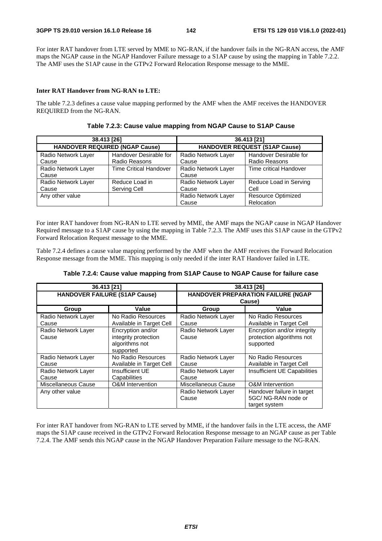For inter RAT handover from LTE served by MME to NG-RAN, if the handover fails in the NG-RAN access, the AMF maps the NGAP cause in the NGAP Handover Failure message to a S1AP cause by using the mapping in Table 7.2.2. The AMF uses the S1AP cause in the GTPv2 Forward Relocation Response message to the MME.

#### **Inter RAT Handover from NG-RAN to LTE:**

The table 7.2.3 defines a cause value mapping performed by the AMF when the AMF receives the HANDOVER REQUIRED from the NG-RAN.

| 38.413 [26]                           |                               | 36.413 [21]                          |                           |
|---------------------------------------|-------------------------------|--------------------------------------|---------------------------|
| <b>HANDOVER REQUIRED (NGAP Cause)</b> |                               | <b>HANDOVER REQUEST (S1AP Cause)</b> |                           |
| Radio Network Layer                   | Handover Desirable for        | Radio Network Layer                  | Handover Desirable for    |
| Cause                                 | Radio Reasons                 | Cause                                | Radio Reasons             |
| Radio Network Layer                   | <b>Time Critical Handover</b> | Radio Network Layer                  | Time critical Handover    |
| Cause                                 |                               | Cause                                |                           |
| Radio Network Layer                   | Reduce Load in                | Radio Network Layer                  | Reduce Load in Serving    |
| Cause                                 | Serving Cell                  | Cause                                | Cell                      |
| Any other value                       |                               | Radio Network Layer                  | <b>Resource Optimized</b> |
|                                       |                               | Cause                                | Relocation                |

**Table 7.2.3: Cause value mapping from NGAP Cause to S1AP Cause** 

For inter RAT handover from NG-RAN to LTE served by MME, the AMF maps the NGAP cause in NGAP Handover Required message to a S1AP cause by using the mapping in Table 7.2.3. The AMF uses this S1AP cause in the GTPv2 Forward Relocation Request message to the MME.

Table 7.2.4 defines a cause value mapping performed by the AMF when the AMF receives the Forward Relocation Response message from the MME. This mapping is only needed if the inter RAT Handover failed in LTE.

| Table 7.2.4: Cause value mapping from S1AP Cause to NGAP Cause for failure case |
|---------------------------------------------------------------------------------|
|                                                                                 |

| 36.413 [21]                          |                                                                          |                                                     | 38.413 [26]                                                           |
|--------------------------------------|--------------------------------------------------------------------------|-----------------------------------------------------|-----------------------------------------------------------------------|
| <b>HANDOVER FAILURE (S1AP Cause)</b> |                                                                          | <b>HANDOVER PREPARATION FAILURE (NGAP</b><br>Cause) |                                                                       |
| Group                                | Value                                                                    | Group                                               | Value                                                                 |
| Radio Network Layer<br>Cause         | No Radio Resources<br>Available in Target Cell                           | Radio Network Layer<br>Cause                        | No Radio Resources<br>Available in Target Cell                        |
| Radio Network Layer<br>Cause         | Encryption and/or<br>integrity protection<br>algorithms not<br>supported | Radio Network Layer<br>Cause                        | Encryption and/or integrity<br>protection algorithms not<br>supported |
| Radio Network Layer<br>Cause         | No Radio Resources<br>Available in Target Cell                           | Radio Network Layer<br>Cause                        | No Radio Resources<br>Available in Target Cell                        |
| Radio Network Layer<br>Cause         | Insufficient UE<br>Capabilities                                          | Radio Network Layer<br>Cause                        | Insufficient UE Capabilities                                          |
| Miscellaneous Cause                  | <b>O&amp;M</b> Intervention                                              | Miscellaneous Cause                                 | <b>O&amp;M</b> Intervention                                           |
| Any other value                      |                                                                          | Radio Network Layer<br>Cause                        | Handover failure in target<br>5GC/NG-RAN node or<br>target system     |

For inter RAT handover from NG-RAN to LTE served by MME, if the handover fails in the LTE access, the AMF maps the S1AP cause received in the GTPv2 Forward Relocation Response message to an NGAP cause as per Table 7.2.4. The AMF sends this NGAP cause in the NGAP Handover Preparation Failure message to the NG-RAN.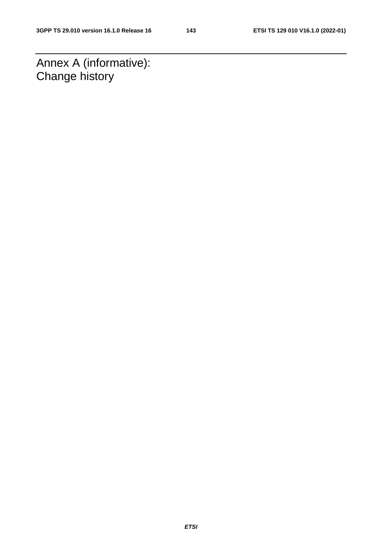Annex A (informative): Change history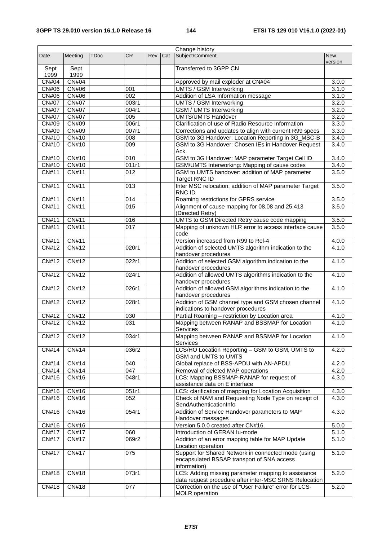| Change history |                    |             |                  |     |     |                                                                                 |                       |
|----------------|--------------------|-------------|------------------|-----|-----|---------------------------------------------------------------------------------|-----------------------|
| Date           | Meeting            | <b>TDoc</b> | CR               | Rev | Cat | Subject/Comment                                                                 | <b>New</b><br>version |
| Sept<br>1999   | Sept<br>1999       |             |                  |     |     | Transferred to 3GPP CN                                                          |                       |
| <b>CN#04</b>   | CN#04              |             |                  |     |     | Approved by mail exploder at CN#04                                              | 3.0.0                 |
| CN#06          | CN#06              |             | 001              |     |     | UMTS / GSM Interworking                                                         | 3.1.0                 |
| CN#06          | CN#06              |             | 002              |     |     | Addition of LSA Information message                                             | 3.1.0                 |
| <b>CN#07</b>   | <b>CN#07</b>       |             | 003r1            |     |     | <b>UMTS / GSM Interworking</b>                                                  | 3.2.0                 |
| <b>CN#07</b>   | <b>CN#07</b>       |             | 004r1            |     |     | <b>GSM / UMTS Interworking</b>                                                  | 3.2.0                 |
| <b>CN#07</b>   | <b>CN#07</b>       |             | 005              |     |     | <b>UMTS/UMTS Handover</b>                                                       | 3.2.0                 |
| CN#09          | CN#09              |             | 006r1            |     |     | Clarification of use of Radio Resource Information                              | 3.3.0                 |
| CN#09          | CN#09              |             | 007r1            |     |     | Corrections and updates to align with current R99 specs                         | 3.3.0                 |
| CN#10          | CN#10              |             | 008              |     |     | GSM to 3G Handover: Location Reporting in 3G_MSC-B                              | 3.4.0                 |
| CN#10          | CN#10              |             | $\overline{009}$ |     |     | GSM to 3G Handover: Chosen IEs in Handover Request                              | 3.4.0                 |
|                |                    |             |                  |     |     | Ack                                                                             |                       |
| CN#10          | CN#10              |             | 010              |     |     | GSM to 3G Handover: MAP parameter Target Cell ID                                | 3.4.0                 |
| CN#10          | CN#10              |             | 011r1            |     |     | GSM/UMTS Interworking: Mapping of cause codes                                   | 3.4.0                 |
| CN#11          | CN#11              |             | 012              |     |     | GSM to UMTS handover: addition of MAP parameter<br>Target RNC ID                | 3.5.0                 |
| CN#11          | CN#11              |             | 013              |     |     | Inter MSC relocation: addition of MAP parameter Target<br>RNC ID                | 3.5.0                 |
| CN#11          | CN#11              |             | 014              |     |     | Roaming restrictions for GPRS service                                           | 3.5.0                 |
| CN#11          | <b>CN#11</b>       |             | $\overline{015}$ |     |     | Alignment of cause mapping for 08.08 and 25.413                                 | 3.5.0                 |
|                |                    |             |                  |     |     | (Directed Retry)                                                                |                       |
| CN#11          | <b>CN#11</b>       |             | 016              |     |     | UMTS to GSM Directed Retry cause code mapping                                   | 3.5.0                 |
| CN#11          | CN#11              |             | 017              |     |     | Mapping of unknown HLR error to access interface cause<br>code                  | 3.5.0                 |
| <b>CN#11</b>   | $\overline{CN#11}$ |             |                  |     |     | Version increased from R99 to Rel-4                                             | 4.0.0                 |
| CN#12          | CN#12              |             | 020r1            |     |     | Addition of selected UMTS algorithm indication to the                           | 4.1.0                 |
|                |                    |             |                  |     |     | handover procedures                                                             |                       |
| CN#12          | CN#12              |             | 022r1            |     |     | Addition of selected GSM algorithm indication to the<br>handover procedures     | 4.1.0                 |
| CN#12          | <b>CN#12</b>       |             | 024r1            |     |     | Addition of allowed UMTS algorithms indication to the<br>handover procedures    | 4.1.0                 |
| CN#12          | CN#12              |             | 026r1            |     |     | Addition of allowed GSM algorithms indication to the<br>handover procedures     | 4.1.0                 |
| CN#12          | CN#12              |             | 028r1            |     |     | Addition of GSM channel type and GSM chosen channel                             | 4.1.0                 |
|                |                    |             |                  |     |     | indications to handover procedures                                              |                       |
| CN#12          | CN#12              |             | 030              |     |     | Partial Roaming - restriction by Location area                                  | 4.1.0                 |
| CN#12          | CN#12              |             | 031              |     |     | Mapping between RANAP and BSSMAP for Location<br>Services                       | 4.1.0                 |
| CN#12          | CN#12              |             | 034r1            |     |     | Mapping between RANAP and BSSMAP for Location<br>Services                       | 4.1.0                 |
| CN#14          | CN#14              |             | 036r2            |     |     | LCS/HO Location Reporting - GSM to GSM, UMTS to<br>GSM and UMTS to UMTS         | 4.2.0                 |
| CN#14          | CN#14              |             | 040              |     |     | Global replace of BSS-APDU with AN-APDU                                         | 4.2.0                 |
| CN#14          | CN#14              |             | 047              |     |     | Removal of deleted MAP operations                                               | 4.2.0                 |
| CN#16          | CN#16              |             | 048r1            |     |     | LCS: Mapping BSSMAP-RANAP for request of                                        | 4.3.0                 |
|                |                    |             |                  |     |     | assistance data on E interface                                                  |                       |
| CN#16          | CN#16              |             | 051r1            |     |     | LCS: clarification of mapping for Location Acquisition                          | 4.3.0                 |
| CN#16          | CN#16              |             | 052              |     |     | Check of NAM and Requesting Node Type on receipt of<br>SendAuthenticationInfo   | 4.3.0                 |
| CN#16          | CN#16              |             | 054r1            |     |     | Addition of Service Handover parameters to MAP                                  | 4.3.0                 |
|                |                    |             |                  |     |     | Handover messages                                                               |                       |
| CN#16          | CN#16              |             |                  |     |     | Version 5.0.0 created after CN#16.                                              | 5.0.0                 |
| <b>CN#17</b>   | <b>CN#17</b>       |             | 060              |     |     | Introduction of GERAN lu-mode                                                   | $5.1.\overline{0}$    |
| <b>CN#17</b>   | <b>CN#17</b>       |             | 069r2            |     |     | Addition of an error mapping table for MAP Update<br>Location operation         | 5.1.0                 |
| <b>CN#17</b>   | <b>CN#17</b>       |             | 075              |     |     | Support for Shared Network in connected mode (using                             | 5.1.0                 |
|                |                    |             |                  |     |     | encapsulated BSSAP transport of SNA access<br>information)                      |                       |
| CN#18          | CN#18              |             | 073r1            |     |     | LCS: Adding missing parameter mapping to assistance                             | 5.2.0                 |
|                |                    |             |                  |     |     | data request procedure after inter-MSC SRNS Relocation                          |                       |
| CN#18          | CN#18              |             | 077              |     |     | Correction on the use of "User Failure" error for LCS-<br><b>MOLR</b> operation | 5.2.0                 |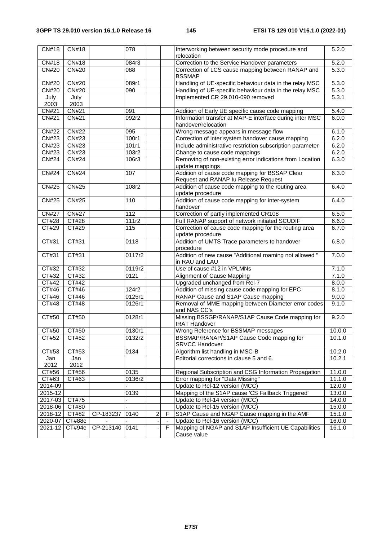| CN#18        | CN#18               |           | 078              |                         |    | Interworking between security mode procedure and<br>relocation                         | 5.2.0  |
|--------------|---------------------|-----------|------------------|-------------------------|----|----------------------------------------------------------------------------------------|--------|
| <b>CN#18</b> | <b>CN#18</b>        |           | 084r3            |                         |    | Correction to the Service Handover parameters                                          | 5.2.0  |
| <b>CN#20</b> | <b>CN#20</b>        |           | 088              |                         |    | Correction of LCS cause mapping between RANAP and<br><b>BSSMAP</b>                     | 5.3.0  |
| <b>CN#20</b> | <b>CN#20</b>        |           | 089r1            |                         |    | Handling of UE-specific behaviour data in the relay MSC                                | 5.3.0  |
| <b>CN#20</b> | CN#20               |           | $\overline{090}$ |                         |    | Handling of UE-specific behaviour data in the relay MSC                                | 5.3.0  |
| July<br>2003 | July<br>2003        |           |                  |                         |    | Implemented CR 29.010-090 removed                                                      | 5.3.1  |
| CN#21        | <b>CN#21</b>        |           | 091              |                         |    | Addition of Early UE specific cause code mapping                                       | 5.4.0  |
| CN#21        | CN#21               |           | 092r2            |                         |    | Information transfer at MAP-E interface during inter MSC<br>handover/relocation        | 6.0.0  |
| <b>CN#22</b> | <b>CN#22</b>        |           | 095              |                         |    | Wrong message appears in message flow                                                  | 6.1.0  |
| CN#23        | CN#23               |           | 100r1            |                         |    | Correction of inter system handover cause mapping                                      | 6.2.0  |
| CN#23        | CN#23               |           | 101r1            |                         |    | Include administrative restriction subscription parameter                              | 6.2.0  |
| CN#23        | CN#23               |           | 103r2            |                         |    | Change to cause code mappings                                                          | 6.2.0  |
| <b>CN#24</b> | <b>CN#24</b>        |           | 106r3            |                         |    | Removing of non-existing error indications from Location<br>update mappings            | 6.3.0  |
| <b>CN#24</b> | <b>CN#24</b>        |           | 107              |                         |    | Addition of cause code mapping for BSSAP Clear<br>Request and RANAP Iu Release Request | 6.3.0  |
| <b>CN#25</b> | <b>CN#25</b>        |           | 108r2            |                         |    | Addition of cause code mapping to the routing area                                     | 6.4.0  |
| <b>CN#25</b> | <b>CN#25</b>        |           | 110              |                         |    | update procedure<br>Addition of cause code mapping for inter-system<br>handover        | 6.4.0  |
| <b>CN#27</b> | <b>CN#27</b>        |           | 112              |                         |    | Correction of partly implemented CR108                                                 | 6.5.0  |
| CT#28        | <b>CT#28</b>        |           | 111r2            |                         |    | Full RANAP support of network initiated SCUDIF                                         | 6.6.0  |
| CT#29        | CT#29               |           | 115              |                         |    | Correction of cause code mapping for the routing area<br>update procedure              | 6.7.0  |
| CT#31        | CT#31               |           | 0118             |                         |    | Addition of UMTS Trace parameters to handover<br>procedure                             | 6.8.0  |
| CT#31        | CT#31               |           | 0117r2           |                         |    | Addition of new cause "Additional roaming not allowed "<br>in RAU and LAU              | 7.0.0  |
| CT#32        | CT#32               |           | 0119r2           |                         |    | Use of cause #12 in VPLMNs                                                             | 7.1.0  |
| CT#32        | CT#32               |           | 0121             |                         |    | Alignment of Cause Mapping                                                             | 7.1.0  |
| CT#42        | CT#42               |           |                  |                         |    | Upgraded unchanged from Rel-7                                                          | 8.0.0  |
| CT#46        | CT#46               |           | 124r2            |                         |    | Addition of missing cause code mapping for EPC                                         | 8.1.0  |
| CT#46        | CT#46               |           | 0125r1           |                         |    | RANAP Cause and S1AP Cause mapping                                                     | 9.0.0  |
| CT#48        | CT#48               |           | 0126r1           |                         |    | Removal of MME mapping between Diameter error codes<br>and NAS CC's                    | 9.1.0  |
| CT#50        | CT#50               |           | 0128r1           |                         |    | Missing BSSGP/RANAP/S1AP Cause Code mapping for<br><b>IRAT Handover</b>                | 9.2.0  |
| CT#50        | CT#50               |           | 0130r1           |                         |    | Wrong Reference for BSSMAP messages                                                    | 10.0.0 |
| CT#52        | CT#52               |           | 0132r2           |                         |    | BSSMAP/RANAP/S1AP Cause Code mapping for<br><b>SRVCC Handover</b>                      | 10.1.0 |
| CT#53        | CT#53               |           | 0134             |                         |    | Algorithm list handling in MSC-B                                                       | 10.2.0 |
| Jan<br>2012  | Jan<br>2012         |           |                  |                         |    | Editorial corrections in clause 5 and 6.                                               | 10.2.1 |
| CT#56        | CT#56               |           | 0135             |                         |    | Regional Subscription and CSG Information Propagation                                  | 11.0.0 |
| CT#63        | CT#63               |           | 0136r2           |                         |    | Error mapping for "Data Missing"                                                       | 11.1.0 |
| 2014-09      |                     |           |                  |                         |    | Update to Rel-12 version (MCC)                                                         | 12.0.0 |
| 2015-12      |                     |           | 0139             |                         |    | Mapping of the S1AP cause 'CS Fallback Triggered'                                      | 13.0.0 |
| 2017-03      | CT#75               |           |                  |                         |    | Update to Rel-14 version (MCC)                                                         | 14.0.0 |
| 2018-06      | CT#80               |           |                  |                         |    | Update to Rel-15 version (MCC)                                                         | 15.0.0 |
| 2018-12      | $\overline{C}$ T#82 | CP-183237 | 0140             | $\overline{\mathbf{c}}$ | F  | S1AP Cause and NGAP Cause mapping in the AMF                                           | 15.1.0 |
| 2020-07      | CT#88e              |           |                  |                         |    | Update to Rel-16 version (MCC)                                                         | 16.0.0 |
| 2021-12      | CT#94e              | CP-213140 | 0141             |                         | F. | Mapping of NGAP and S1AP Insufficient UE Capabilities<br>Cause value                   | 16.1.0 |